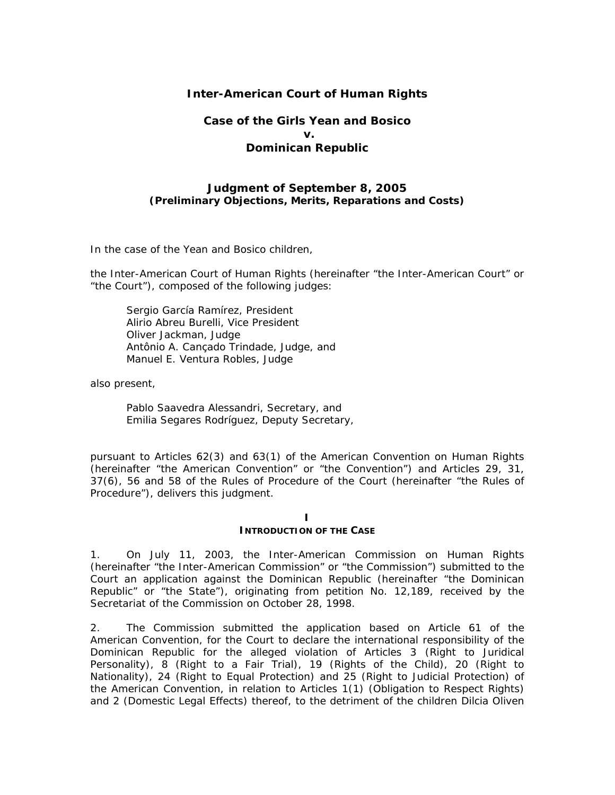# **Inter-American Court of Human Rights**

# **Case of the Girls Yean and Bosico**  *v.* **Dominican Republic**

## **Judgment of September 8, 2005**  *(Preliminary Objections, Merits, Reparations and Costs)*

In the case of *the Yean and Bosico children*,

the Inter-American Court of Human Rights (hereinafter "the Inter-American Court" or "the Court"), composed of the following judges:

Sergio García Ramírez, President Alirio Abreu Burelli, Vice President Oliver Jackman, Judge Antônio A. Cançado Trindade, Judge, and Manuel E. Ventura Robles, Judge

also present,

Pablo Saavedra Alessandri, Secretary, and Emilia Segares Rodríguez, Deputy Secretary,

pursuant to Articles 62(3) and 63(1) of the American Convention on Human Rights (hereinafter "the American Convention" or "the Convention") and Articles 29, 31, 37(6), 56 and 58 of the Rules of Procedure of the Court (hereinafter "the Rules of Procedure"), delivers this judgment.

#### **I INTRODUCTION OF THE CASE**

1. On July 11, 2003, the Inter-American Commission on Human Rights (hereinafter "the Inter-American Commission" or "the Commission") submitted to the Court an application against the Dominican Republic (hereinafter "the Dominican Republic" or "the State"), originating from petition No. 12,189, received by the Secretariat of the Commission on October 28, 1998.

2. The Commission submitted the application based on Article 61 of the American Convention, for the Court to declare the international responsibility of the Dominican Republic for the alleged violation of Articles 3 (Right to Juridical Personality), 8 (Right to a Fair Trial), 19 (Rights of the Child), 20 (Right to Nationality), 24 (Right to Equal Protection) and 25 (Right to Judicial Protection) of the American Convention, in relation to Articles 1(1) (Obligation to Respect Rights) and 2 (Domestic Legal Effects) thereof, to the detriment of the children Dilcia Oliven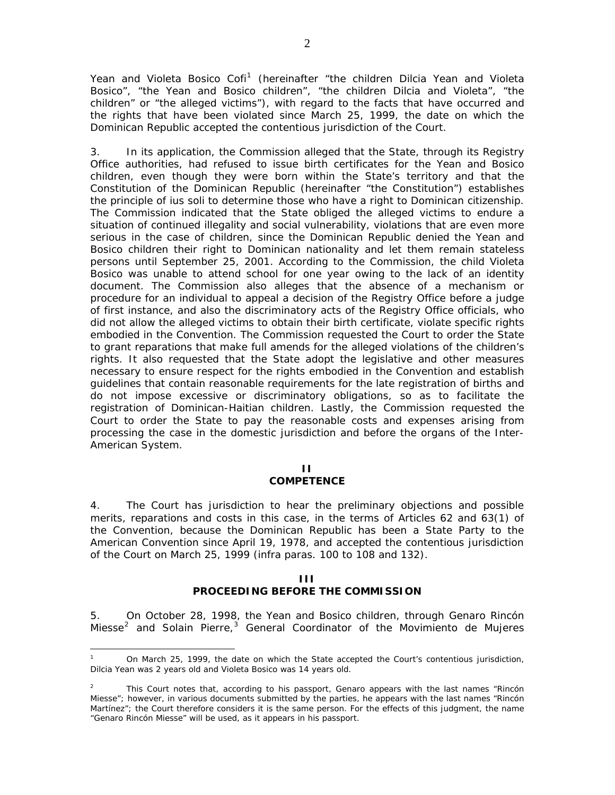Yean and Violeta Bosico Cofi<sup>[1](#page-1-0)</sup> (hereinafter "the children Dilcia Yean and Violeta Bosico", "the Yean and Bosico children", "the children Dilcia and Violeta", "the children" or "the alleged victims"), with regard to the facts that have occurred and the rights that have been violated since March 25, 1999, the date on which the Dominican Republic accepted the contentious jurisdiction of the Court.

3. In its application, the Commission alleged that the State, through its Registry Office authorities, had refused to issue birth certificates for the Yean and Bosico children, even though they were born within the State's territory and that the Constitution of the Dominican Republic (hereinafter "the Constitution") establishes the principle of *ius soli* to determine those who have a right to Dominican citizenship. The Commission indicated that the State obliged the alleged victims to endure a situation of continued illegality and social vulnerability, violations that are even more serious in the case of children, since the Dominican Republic denied the Yean and Bosico children their right to Dominican nationality and let them remain stateless persons until September 25, 2001. According to the Commission, the child Violeta Bosico was unable to attend school for one year owing to the lack of an identity document. The Commission also alleges that the absence of a mechanism or procedure for an individual to appeal a decision of the Registry Office before a judge of first instance, and also the discriminatory acts of the Registry Office officials, who did not allow the alleged victims to obtain their birth certificate, violate specific rights embodied in the Convention. The Commission requested the Court to order the State to grant reparations that make full amends for the alleged violations of the children's rights. It also requested that the State adopt the legislative and other measures necessary to ensure respect for the rights embodied in the Convention and establish guidelines that contain reasonable requirements for the late registration of births and do not impose excessive or discriminatory obligations, so as to facilitate the registration of Dominican-Haitian children. Lastly, the Commission requested the Court to order the State to pay the reasonable costs and expenses arising from processing the case in the domestic jurisdiction and before the organs of the Inter-American System.

#### **II COMPETENCE**

4. The Court has jurisdiction to hear the preliminary objections and possible merits, reparations and costs in this case, in the terms of Articles 62 and 63(1) of the Convention, because the Dominican Republic has been a State Party to the American Convention since April 19, 1978, and accepted the contentious jurisdiction of the Court on March 25, 1999 (*infra* paras. 100 to 108 and 132).

#### **III**

## **PROCEEDING BEFORE THE COMMISSION**

5. On October 28, 1998, the Yean and Bosico children, through Genaro Rincón Miesse<sup>[2](#page-1-1)</sup> and Solain Pierre,<sup>[3](#page-1-2)</sup> General Coordinator of the *Movimiento de Mujeres* 

 $\overline{a}$ 

<span id="page-1-0"></span><sup>1</sup> On March 25, 1999, the date on which the State accepted the Court's contentious jurisdiction, Dilcia Yean was 2 years old and Violeta Bosico was 14 years old.

<span id="page-1-2"></span><span id="page-1-1"></span><sup>2</sup> This Court notes that, according to his passport, Genaro appears with the last names "Rincón Miesse"; however, in various documents submitted by the parties, he appears with the last names "Rincón Martínez"; the Court therefore considers it is the same person. For the effects of this judgment, the name "Genaro Rincón Miesse" will be used, as it appears in his passport.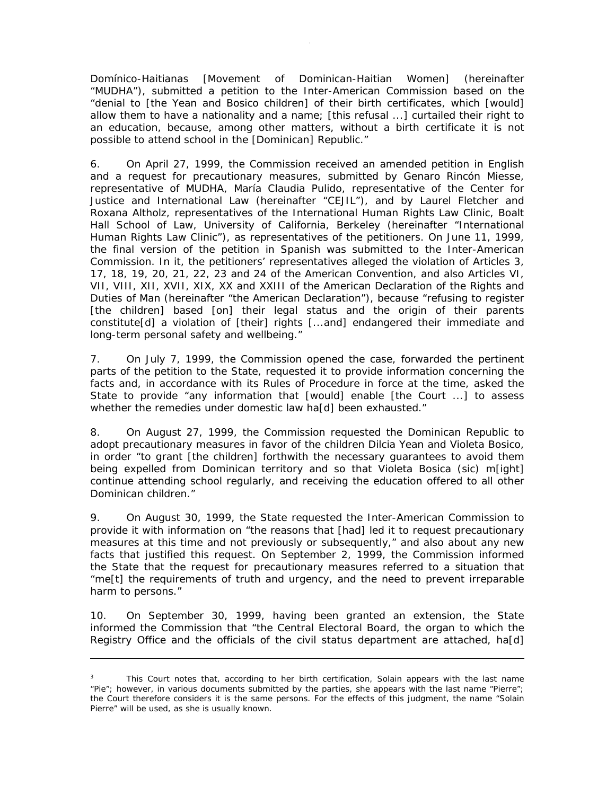*Domínico-Haitianas* [Movement of Dominican-Haitian Women] (hereinafter "MUDHA"), submitted a petition to the Inter-American Commission based on the "denial to [the Yean and Bosico children] of their birth certificates, which [would] allow them to have a nationality and a name; [this refusal ...] curtailed their right to an education, because, among other matters, without a birth certificate it is not possible to attend school in the [Dominican] Republic."

6. On April 27, 1999, the Commission received an amended petition in English and a request for precautionary measures, submitted by Genaro Rincón Miesse, representative of MUDHA, María Claudia Pulido, representative of the Center for Justice and International Law (hereinafter "CEJIL"), and by Laurel Fletcher and Roxana Altholz, representatives of the International Human Rights Law Clinic, Boalt Hall School of Law, University of California, Berkeley (hereinafter "International Human Rights Law Clinic"), as representatives of the petitioners. On June 11, 1999, the final version of the petition in Spanish was submitted to the Inter-American Commission. In it, the petitioners' representatives alleged the violation of Articles 3, 17, 18, 19, 20, 21, 22, 23 and 24 of the American Convention, and also Articles VI, VII, VIII, XII, XVII, XIX, XX and XXIII of the American Declaration of the Rights and Duties of Man (hereinafter "the American Declaration"), because "refusing to register [the children] based [on] their legal status and the origin of their parents constitute[d] a violation of [their] rights [...and] endangered their immediate and long-term personal safety and wellbeing."

7. On July 7, 1999, the Commission opened the case, forwarded the pertinent parts of the petition to the State, requested it to provide information concerning the facts and, in accordance with its Rules of Procedure in force at the time, asked the State to provide "any information that [would] enable [the Court ...] to assess whether the remedies under domestic law ha[d] been exhausted."

8. On August 27, 1999, the Commission requested the Dominican Republic to adopt precautionary measures in favor of the children Dilcia Yean and Violeta Bosico, in order "to grant [the children] forthwith the necessary guarantees to avoid them being expelled from Dominican territory and so that Violeta Bosica (sic) m[ight] continue attending school regularly, and receiving the education offered to all other Dominican children."

9. On August 30, 1999, the State requested the Inter-American Commission to provide it with information on "the reasons that [had] led it to request precautionary measures at this time and not previously or subsequently," and also about any new facts that justified this request. On September 2, 1999, the Commission informed the State that the request for precautionary measures referred to a situation that "me[t] the requirements of truth and urgency, and the need to prevent irreparable harm to persons."

10. On September 30, 1999, having been granted an extension, the State informed the Commission that "the Central Electoral Board, the organ to which the Registry Office and the officials of the civil status department are attached, ha[d]

 $\overline{a}$ 

<sup>3</sup> This Court notes that, according to her birth certification, Solain appears with the last name "Pie"; however, in various documents submitted by the parties, she appears with the last name "Pierre"; the Court therefore considers it is the same persons. For the effects of this judgment, the name "Solain Pierre" will be used, as she is usually known.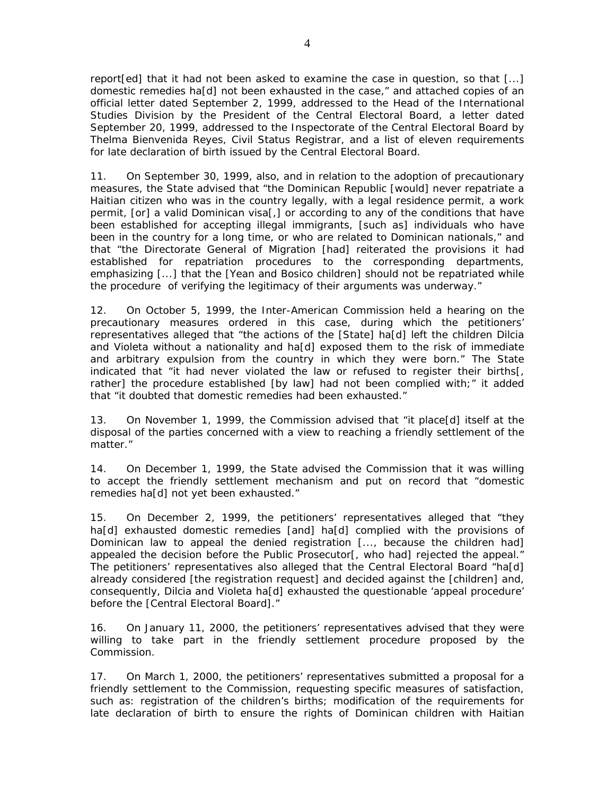report[ed] that it had not been asked to examine the case in question, so that [...] domestic remedies ha[d] not been exhausted in the case," and attached copies of an official letter dated September 2, 1999, addressed to the Head of the International Studies Division by the President of the Central Electoral Board, a letter dated September 20, 1999, addressed to the Inspectorate of the Central Electoral Board by Thelma Bienvenida Reyes, Civil Status Registrar, and a list of eleven requirements for late declaration of birth issued by the Central Electoral Board.

11. On September 30, 1999, also, and in relation to the adoption of precautionary measures, the State advised that "the Dominican Republic [would] never repatriate a Haitian citizen who was in the country legally, with a legal residence permit, a work permit, [or] a valid Dominican visa[,] or according to any of the conditions that have been established for accepting illegal immigrants, [such as] individuals who have been in the country for a long time, or who are related to Dominican nationals," and that "the Directorate General of Migration [had] reiterated the provisions it had established for repatriation procedures to the corresponding departments, emphasizing [...] that the [Yean and Bosico children] should not be repatriated while the procedure of verifying the legitimacy of their arguments was underway."

12. On October 5, 1999, the Inter-American Commission held a hearing on the precautionary measures ordered in this case, during which the petitioners' representatives alleged that "the actions of the [State] ha[d] left the children Dilcia and Violeta without a nationality and ha[d] exposed them to the risk of immediate and arbitrary expulsion from the country in which they were born." The State indicated that "it had never violated the law or refused to register their births[, rather] the procedure established [by law] had not been complied with;" it added that "it doubted that domestic remedies had been exhausted."

13. On November 1, 1999, the Commission advised that "it place[d] itself at the disposal of the parties concerned with a view to reaching a friendly settlement of the matter."

14. On December 1, 1999, the State advised the Commission that it was willing to accept the friendly settlement mechanism and put on record that "domestic remedies ha[d] not yet been exhausted."

15. On December 2, 1999, the petitioners' representatives alleged that "they ha[d] exhausted domestic remedies [and] ha[d] complied with the provisions of Dominican law to appeal the denied registration [..., because the children had] appealed the decision before the Public Prosecutor[, who had] rejected the appeal." The petitioners' representatives also alleged that the Central Electoral Board "ha[d] already considered [the registration request] and decided against the [children] and, consequently, Dilcia and Violeta ha[d] exhausted the questionable 'appeal procedure' before the [Central Electoral Board]."

16. On January 11, 2000, the petitioners' representatives advised that they were willing to take part in the friendly settlement procedure proposed by the Commission.

17. On March 1, 2000, the petitioners' representatives submitted a proposal for a friendly settlement to the Commission, requesting specific measures of satisfaction, such as: registration of the children's births; modification of the requirements for late declaration of birth to ensure the rights of Dominican children with Haitian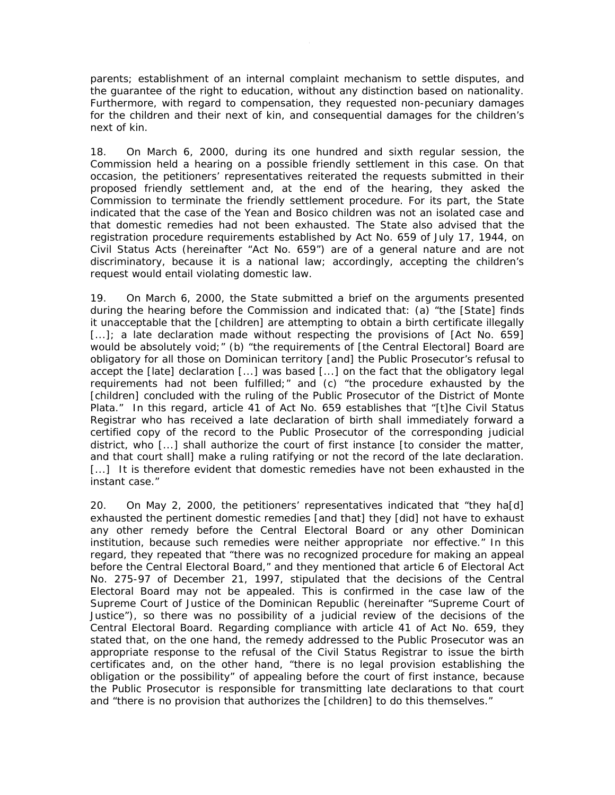parents; establishment of an internal complaint mechanism to settle disputes, and the guarantee of the right to education, without any distinction based on nationality. Furthermore, with regard to compensation, they requested non-pecuniary damages for the children and their next of kin, and consequential damages for the children's next of kin.

18. On March 6, 2000, during its one hundred and sixth regular session, the Commission held a hearing on a possible friendly settlement in this case. On that occasion, the petitioners' representatives reiterated the requests submitted in their proposed friendly settlement and, at the end of the hearing, they asked the Commission to terminate the friendly settlement procedure. For its part, the State indicated that the case of the Yean and Bosico children was not an isolated case and that domestic remedies had not been exhausted. The State also advised that the registration procedure requirements established by Act No. 659 of July 17, 1944, on Civil Status Acts (hereinafter "Act No. 659") are of a general nature and are not discriminatory, because it is a national law; accordingly, accepting the children's request would entail violating domestic law.

19. On March 6, 2000, the State submitted a brief on the arguments presented during the hearing before the Commission and indicated that: (a) "the [State] finds it unacceptable that the [children] are attempting to obtain a birth certificate illegally [...]; a late declaration made without respecting the provisions of [Act No. 659] would be absolutely void;" (b) "the requirements of [the Central Electoral] Board are obligatory for all those on Dominican territory [and] the Public Prosecutor's refusal to accept the [late] declaration [...] was based [...] on the fact that the obligatory legal requirements had not been fulfilled;" and (c) "the procedure exhausted by the [children] concluded with the ruling of the Public Prosecutor of the District of Monte Plata." In this regard, article 41 of Act No. 659 establishes that "[t]he Civil Status Registrar who has received a late declaration of birth shall immediately forward a certified copy of the record to the Public Prosecutor of the corresponding judicial district, who [...] shall authorize the court of first instance [to consider the matter, and that court shall] make a ruling ratifying or not the record of the late declaration. [...] It is therefore evident that domestic remedies have not been exhausted in the instant case."

20. On May 2, 2000, the petitioners' representatives indicated that "they ha[d] exhausted the pertinent domestic remedies [and that] they [did] not have to exhaust any other remedy before the Central Electoral Board or any other Dominican institution, because such remedies were neither appropriate nor effective." In this regard, they repeated that "there was no recognized procedure for making an appeal before the Central Electoral Board," and they mentioned that article 6 of Electoral Act No. 275-97 of December 21, 1997, stipulated that the decisions of the Central Electoral Board may not be appealed. This is confirmed in the case law of the Supreme Court of Justice of the Dominican Republic (hereinafter "Supreme Court of Justice"), so there was no possibility of a judicial review of the decisions of the Central Electoral Board. Regarding compliance with article 41 of Act No. 659, they stated that, on the one hand, the remedy addressed to the Public Prosecutor was an appropriate response to the refusal of the Civil Status Registrar to issue the birth certificates and, on the other hand, "there is no legal provision establishing the obligation or the possibility" of appealing before the court of first instance, because the Public Prosecutor is responsible for transmitting late declarations to that court and "there is no provision that authorizes the [children] to do this themselves."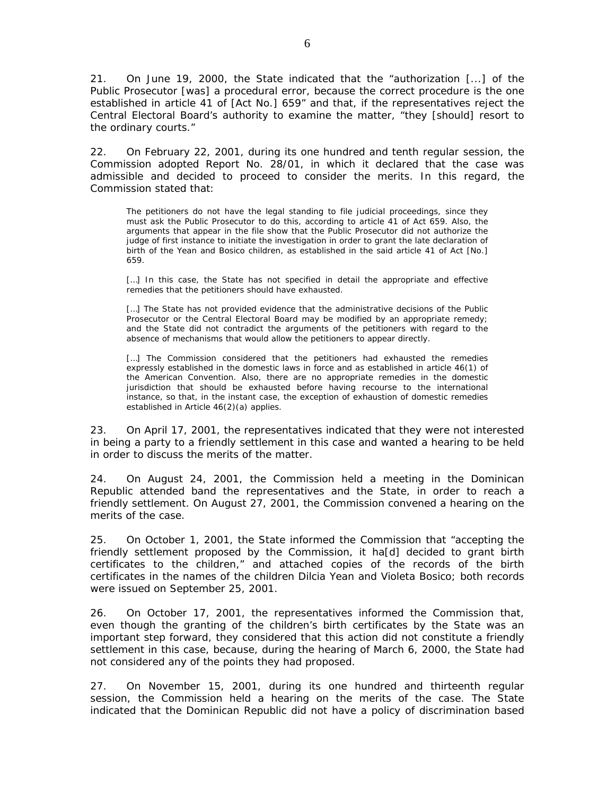21. On June 19, 2000, the State indicated that the "authorization [...] of the Public Prosecutor [was] a procedural error, because the correct procedure is the one established in article 41 of [Act No.] 659" and that, if the representatives reject the Central Electoral Board's authority to examine the matter, "they [should] resort to the ordinary courts."

22. On February 22, 2001, during its one hundred and tenth regular session, the Commission adopted Report No. 28/01, in which it declared that the case was admissible and decided to proceed to consider the merits. In this regard, the Commission stated that:

The petitioners do not have the legal standing to file judicial proceedings, since they must ask the Public Prosecutor to do this, according to article 41 of Act 659. Also, the arguments that appear in the file show that the Public Prosecutor did not authorize the judge of first instance to initiate the investigation in order to grant the late declaration of birth of the Yean and Bosico children, as established in the said article 41 of Act [No.] 659.

[...] In this case, the State has not specified in detail the appropriate and effective remedies that the petitioners should have exhausted.

[...] The State has not provided evidence that the administrative decisions of the Public Prosecutor or the Central Electoral Board may be modified by an appropriate remedy; and the State did not contradict the arguments of the petitioners with regard to the absence of mechanisms that would allow the petitioners to appear directly.

[...] The Commission considered that the petitioners had exhausted the remedies expressly established in the domestic laws in force and as established in article 46(1) of the American Convention. Also, there are no appropriate remedies in the domestic jurisdiction that should be exhausted before having recourse to the international instance, so that, in the instant case, the exception of exhaustion of domestic remedies established in Article 46(2)(a) applies.

23. On April 17, 2001, the representatives indicated that they were not interested in being a party to a friendly settlement in this case and wanted a hearing to be held in order to discuss the merits of the matter.

24. On August 24, 2001, the Commission held a meeting in the Dominican Republic attended band the representatives and the State, in order to reach a friendly settlement. On August 27, 2001, the Commission convened a hearing on the merits of the case.

25. On October 1, 2001, the State informed the Commission that "accepting the friendly settlement proposed by the Commission, it ha[d] decided to grant birth certificates to the children," and attached copies of the records of the birth certificates in the names of the children Dilcia Yean and Violeta Bosico; both records were issued on September 25, 2001.

26. On October 17, 2001, the representatives informed the Commission that, even though the granting of the children's birth certificates by the State was an important step forward, they considered that this action did not constitute a friendly settlement in this case, because, during the hearing of March 6, 2000, the State had not considered any of the points they had proposed.

27. On November 15, 2001, during its one hundred and thirteenth regular session, the Commission held a hearing on the merits of the case. The State indicated that the Dominican Republic did not have a policy of discrimination based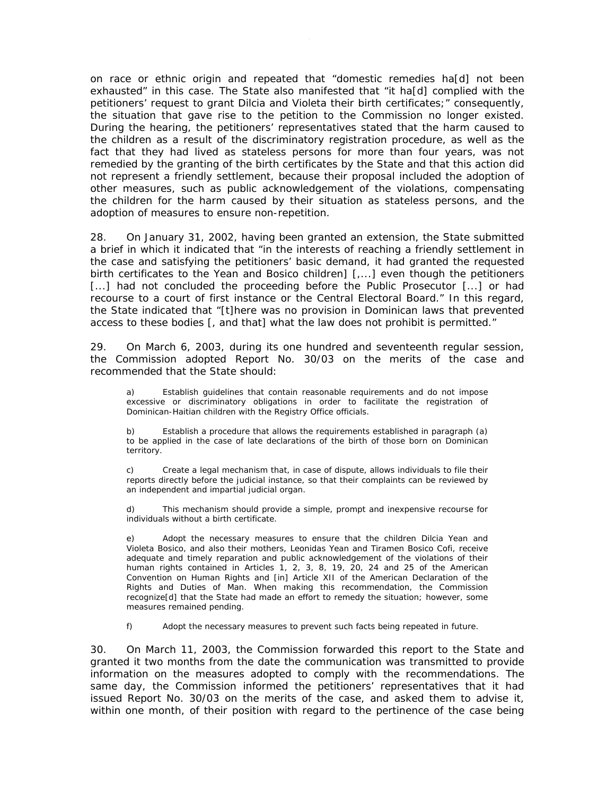on race or ethnic origin and repeated that "domestic remedies ha[d] not been exhausted" in this case. The State also manifested that "it ha[d] complied with the petitioners' request to grant Dilcia and Violeta their birth certificates;" consequently, the situation that gave rise to the petition to the Commission no longer existed. During the hearing, the petitioners' representatives stated that the harm caused to the children as a result of the discriminatory registration procedure, as well as the fact that they had lived as stateless persons for more than four years, was not remedied by the granting of the birth certificates by the State and that this action did not represent a friendly settlement, because their proposal included the adoption of other measures, such as public acknowledgement of the violations, compensating the children for the harm caused by their situation as stateless persons, and the adoption of measures to ensure non-repetition.

28. On January 31, 2002, having been granted an extension, the State submitted a brief in which it indicated that "in the interests of reaching a friendly settlement in the case and satisfying the petitioners' basic demand, it had granted the requested birth certificates to the Yean and Bosico children] [,...] even though the petitioners [...] had not concluded the proceeding before the Public Prosecutor [...] or had recourse to a court of first instance or the Central Electoral Board." In this regard, the State indicated that "[t]here was no provision in Dominican laws that prevented access to these bodies [, and that] what the law does not prohibit is permitted."

29. On March 6, 2003, during its one hundred and seventeenth regular session, the Commission adopted Report No. 30/03 on the merits of the case and recommended that the State should:

a) Establish guidelines that contain reasonable requirements and do not impose excessive or discriminatory obligations in order to facilitate the registration of Dominican-Haitian children with the Registry Office officials.

b) Establish a procedure that allows the requirements established in paragraph (a) to be applied in the case of late declarations of the birth of those born on Dominican territory.

c) Create a legal mechanism that, in case of dispute, allows individuals to file their reports directly before the judicial instance, so that their complaints can be reviewed by an independent and impartial judicial organ.

d) This mechanism should provide a simple, prompt and inexpensive recourse for individuals without a birth certificate.

e) Adopt the necessary measures to ensure that the children Dilcia Yean and Violeta Bosico, and also their mothers, Leonidas Yean and Tiramen Bosico Cofi, receive adequate and timely reparation and public acknowledgement of the violations of their human rights contained in Articles 1, 2, 3, 8, 19, 20, 24 and 25 of the American Convention on Human Rights and [in] Article XII of the American Declaration of the Rights and Duties of Man. When making this recommendation, the Commission recognize[d] that the State had made an effort to remedy the situation; however, some measures remained pending.

f) Adopt the necessary measures to prevent such facts being repeated in future.

30. On March 11, 2003, the Commission forwarded this report to the State and granted it two months from the date the communication was transmitted to provide information on the measures adopted to comply with the recommendations. The same day, the Commission informed the petitioners' representatives that it had issued Report No. 30/03 on the merits of the case, and asked them to advise it, within one month, of their position with regard to the pertinence of the case being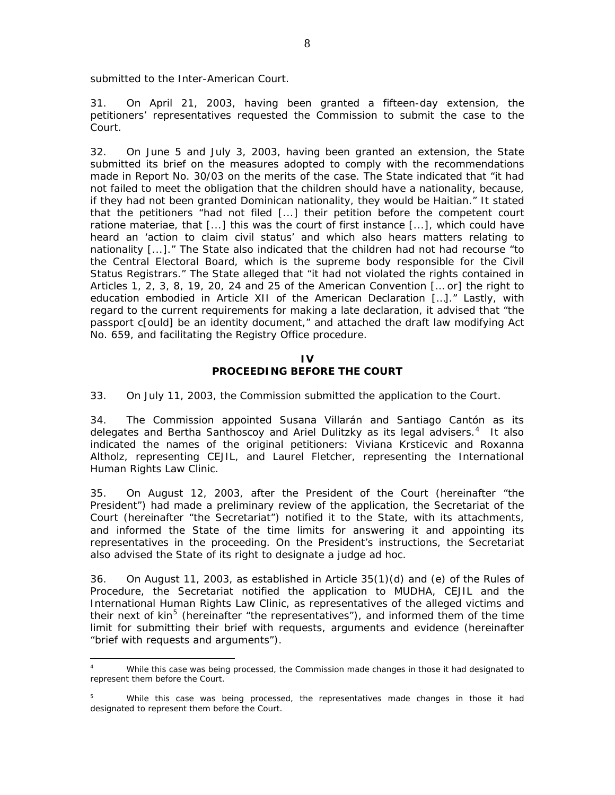submitted to the Inter-American Court.

31. On April 21, 2003, having been granted a fifteen-day extension, the petitioners' representatives requested the Commission to submit the case to the Court.

32. On June 5 and July 3, 2003, having been granted an extension, the State submitted its brief on the measures adopted to comply with the recommendations made in Report No. 30/03 on the merits of the case. The State indicated that "it had not failed to meet the obligation that the children should have a nationality, because, if they had not been granted Dominican nationality, they would be Haitian." It stated that the petitioners "had not filed [...] their petition before the competent court *ratione materiae*, that [...] this was the court of first instance [...], which could have heard an 'action to claim civil status' and which also hears matters relating to nationality [...]." The State also indicated that the children had not had recourse "to the Central Electoral Board, which is the supreme body responsible for the Civil Status Registrars." The State alleged that "it had not violated the rights contained in Articles 1, 2, 3, 8, 19, 20, 24 and 25 of the American Convention [… or] the right to education embodied in Article XII of the American Declaration […]." Lastly, with regard to the current requirements for making a late declaration, it advised that "the passport c[ould] be an identity document," and attached the draft law modifying Act No. 659, and facilitating the Registry Office procedure.

#### **IV**

#### **PROCEEDING BEFORE THE COURT**

33. On July 11, 2003, the Commission submitted the application to the Court.

34. The Commission appointed Susana Villarán and Santiago Cantón as its delegates and Bertha Santhoscoy and Ariel Dulitzky as its legal advisers.<sup>[4](#page-7-0)</sup> It also indicated the names of the original petitioners: Viviana Krsticevic and Roxanna Altholz, representing CEJIL, and Laurel Fletcher, representing the International Human Rights Law Clinic.

35. On August 12, 2003, after the President of the Court (hereinafter "the President") had made a preliminary review of the application, the Secretariat of the Court (hereinafter "the Secretariat") notified it to the State, with its attachments, and informed the State of the time limits for answering it and appointing its representatives in the proceeding. On the President's instructions, the Secretariat also advised the State of its right to designate a judge *ad hoc.*

36. On August 11, 2003, as established in Article 35(1)(d) and (e) of the Rules of Procedure, the Secretariat notified the application to MUDHA, CEJIL and the International Human Rights Law Clinic, as representatives of the alleged victims and their next of  $kin<sup>5</sup>$  $kin<sup>5</sup>$  $kin<sup>5</sup>$  (hereinafter "the representatives"), and informed them of the time limit for submitting their brief with requests, arguments and evidence (hereinafter "brief with requests and arguments").

<span id="page-7-0"></span> $\frac{1}{4}$  While this case was being processed, the Commission made changes in those it had designated to represent them before the Court.

<span id="page-7-1"></span>While this case was being processed, the representatives made changes in those it had designated to represent them before the Court.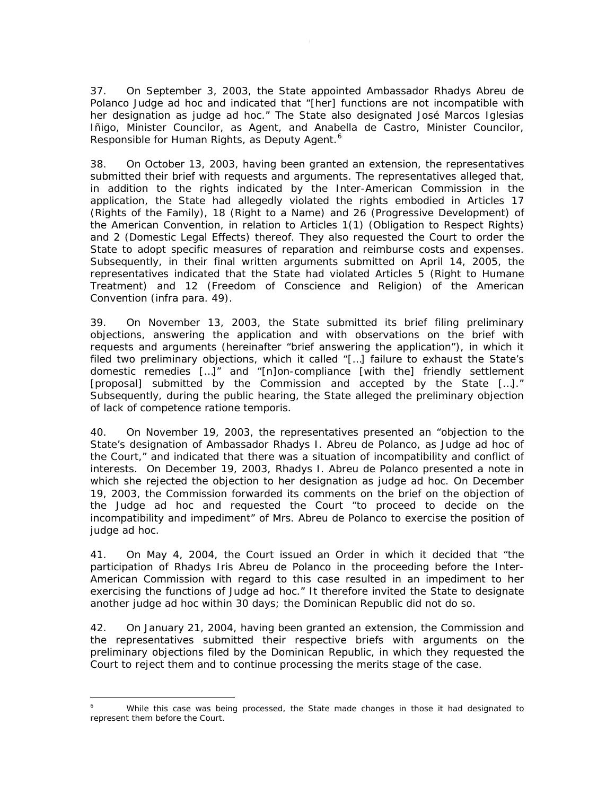37. On September 3, 2003, the State appointed Ambassador Rhadys Abreu de Polanco Judge *ad hoc* and indicated that "[her] functions are not incompatible with her designation as judge *ad hoc*." The State also designated José Marcos Iglesias Iñigo, Minister Councilor, as Agent, and Anabella de Castro, Minister Councilor, Responsible for Human Rights, as Deputy Agent.<sup>[6](#page-8-0)</sup>

9

38. On October 13, 2003, having been granted an extension, the representatives submitted their brief with requests and arguments. The representatives alleged that, in addition to the rights indicated by the Inter-American Commission in the application, the State had allegedly violated the rights embodied in Articles 17 (Rights of the Family), 18 (Right to a Name) and 26 (Progressive Development) of the American Convention, in relation to Articles 1(1) (Obligation to Respect Rights) and 2 (Domestic Legal Effects) thereof. They also requested the Court to order the State to adopt specific measures of reparation and reimburse costs and expenses. Subsequently, in their final written arguments submitted on April 14, 2005, the representatives indicated that the State had violated Articles 5 (Right to Humane Treatment) and 12 (Freedom of Conscience and Religion) of the American Convention (*infra* para. 49).

39. On November 13, 2003, the State submitted its brief filing preliminary objections, answering the application and with observations on the brief with requests and arguments (hereinafter "brief answering the application"), in which it filed two preliminary objections, which it called "[…] failure to exhaust the State's domestic remedies […]" and "[n]on-compliance [with the] friendly settlement [proposal] submitted by the Commission and accepted by the State […]." Subsequently, during the public hearing, the State alleged the preliminary objection of lack of competence ratione *temporis*.

40. On November 19, 2003, the representatives presented an "objection to the State's designation of Ambassador Rhadys I. Abreu de Polanco, as Judge *ad hoc* of the Court," and indicated that there was a situation of incompatibility and conflict of interests. On December 19, 2003, Rhadys I. Abreu de Polanco presented a note in which she rejected the objection to her designation as judge *ad hoc*. On December 19, 2003, the Commission forwarded its comments on the brief on the objection of the Judge *ad hoc* and requested the Court "to proceed to decide on the incompatibility and impediment" of Mrs. Abreu de Polanco to exercise the position of judge *ad hoc*.

41. On May 4, 2004, the Court issued an Order in which it decided that "the participation of Rhadys Iris Abreu de Polanco in the proceeding before the Inter-American Commission with regard to this case resulted in an impediment to her exercising the functions of Judge *ad hoc.*" It therefore invited the State to designate another judge *ad hoc* within 30 days; the Dominican Republic did not do so.

42. On January 21, 2004, having been granted an extension, the Commission and the representatives submitted their respective briefs with arguments on the preliminary objections filed by the Dominican Republic, in which they requested the Court to reject them and to continue processing the merits stage of the case.

<span id="page-8-0"></span> $\overline{a}$ 6 While this case was being processed, the State made changes in those it had designated to represent them before the Court.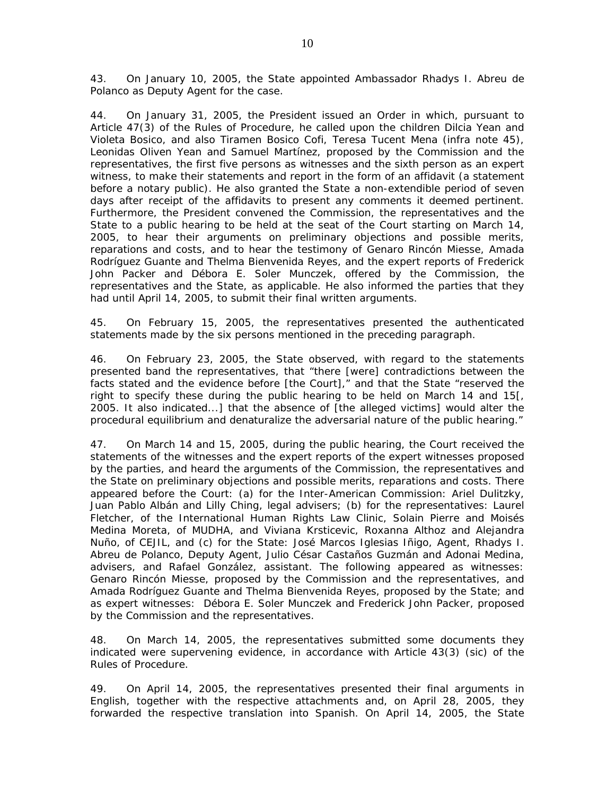43. On January 10, 2005, the State appointed Ambassador Rhadys I. Abreu de Polanco as Deputy Agent for the case.

44. On January 31, 2005, the President issued an Order in which, pursuant to Article 47(3) of the Rules of Procedure, he called upon the children Dilcia Yean and Violeta Bosico, and also Tiramen Bosico Cofi, Teresa Tucent Mena (*infra* note 45), Leonidas Oliven Yean and Samuel Martínez, proposed by the Commission and the representatives, the first five persons as witnesses and the sixth person as an expert witness, to make their statements and report in the form of an affidavit (a statement before a notary public). He also granted the State a non-extendible period of seven days after receipt of the affidavits to present any comments it deemed pertinent. Furthermore, the President convened the Commission, the representatives and the State to a public hearing to be held at the seat of the Court starting on March 14, 2005, to hear their arguments on preliminary objections and possible merits, reparations and costs, and to hear the testimony of Genaro Rincón Miesse, Amada Rodríguez Guante and Thelma Bienvenida Reyes, and the expert reports of Frederick John Packer and Débora E. Soler Munczek, offered by the Commission, the representatives and the State, as applicable. He also informed the parties that they had until April 14, 2005, to submit their final written arguments.

45. On February 15, 2005, the representatives presented the authenticated statements made by the six persons mentioned in the preceding paragraph.

46. On February 23, 2005, the State observed, with regard to the statements presented band the representatives, that "there [were] contradictions between the facts stated and the evidence before [the Court]," and that the State "reserved the right to specify these during the public hearing to be held on March 14 and 15[, 2005. It also indicated...] that the absence of [the alleged victims] would alter the procedural equilibrium and denaturalize the adversarial nature of the public hearing."

47. On March 14 and 15, 2005, during the public hearing, the Court received the statements of the witnesses and the expert reports of the expert witnesses proposed by the parties, and heard the arguments of the Commission, the representatives and the State on preliminary objections and possible merits, reparations and costs. There appeared before the Court: (a) for the Inter-American Commission: Ariel Dulitzky, Juan Pablo Albán and Lilly Ching, legal advisers; (b) for the representatives: Laurel Fletcher, of the International Human Rights Law Clinic, Solain Pierre and Moisés Medina Moreta, of MUDHA, and Viviana Krsticevic, Roxanna Althoz and Alejandra Nuño, of CEJIL, and (c) for the State: José Marcos Iglesias Iñigo, Agent, Rhadys I. Abreu de Polanco, Deputy Agent, Julio César Castaños Guzmán and Adonai Medina, advisers, and Rafael González, assistant. The following appeared as witnesses: Genaro Rincón Miesse, proposed by the Commission and the representatives, and Amada Rodríguez Guante and Thelma Bienvenida Reyes, proposed by the State; and as expert witnesses: Débora E. Soler Munczek and Frederick John Packer, proposed by the Commission and the representatives.

48. On March 14, 2005, the representatives submitted some documents they indicated were supervening evidence, in accordance with Article 43(3) (sic) of the Rules of Procedure.

49. On April 14, 2005, the representatives presented their final arguments in English, together with the respective attachments and, on April 28, 2005, they forwarded the respective translation into Spanish. On April 14, 2005, the State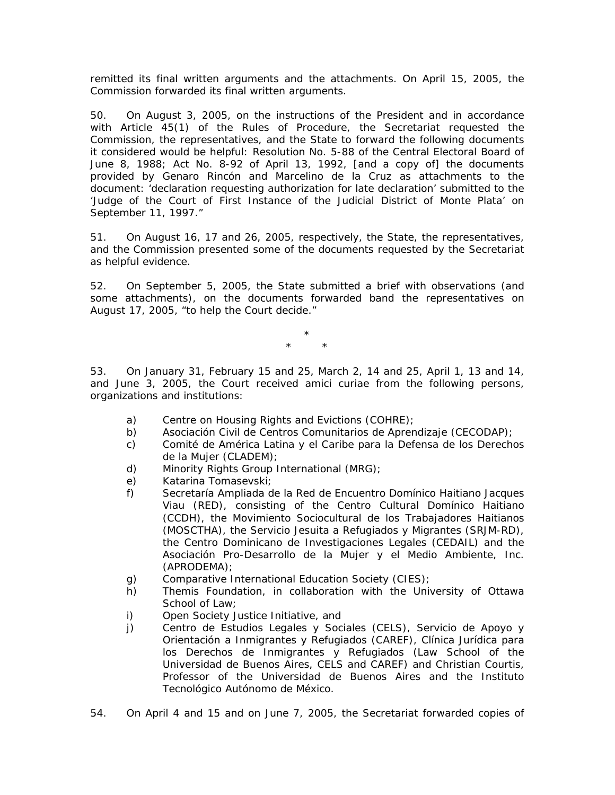remitted its final written arguments and the attachments. On April 15, 2005, the Commission forwarded its final written arguments.

50. On August 3, 2005, on the instructions of the President and in accordance with Article 45(1) of the Rules of Procedure, the Secretariat requested the Commission, the representatives, and the State to forward the following documents it considered would be helpful: Resolution No. 5-88 of the Central Electoral Board of June 8, 1988; Act No. 8-92 of April 13, 1992, [and a copy of] the documents provided by Genaro Rincón and Marcelino de la Cruz as attachments to the document: 'declaration requesting authorization for late declaration' submitted to the 'Judge of the Court of First Instance of the Judicial District of Monte Plata' on September 11, 1997."

51. On August 16, 17 and 26, 2005, respectively, the State, the representatives, and the Commission presented some of the documents requested by the Secretariat as helpful evidence.

52. On September 5, 2005, the State submitted a brief with observations (and some attachments), on the documents forwarded band the representatives on August 17, 2005, "to help the Court decide."

> \* \* \*

53. On January 31, February 15 and 25, March 2, 14 and 25, April 1, 13 and 14, and June 3, 2005, the Court received *amici curiae* from the following persons, organizations and institutions:

- a) Centre on Housing Rights and Evictions (COHRE);
- b) *Asociación Civil de Centros Comunitarios de Aprendizaje* (CECODAP);
- c) *Comité de América Latina y el Caribe para la Defensa de los Derechos de la Mujer* (CLADEM);
- d) Minority Rights Group International (MRG);
- e) Katarina Tomasevski;
- f) *Secretaría Ampliada de la Red de Encuentro Domínico Haitiano Jacques Viau* (RED), consisting of the *Centro Cultural Domínico Haitiano* (CCDH), the *Movimiento Sociocultural de los Trabajadores Haitianos* (MOSCTHA), the *Servicio Jesuita a Refugiados y Migrantes* (SRJM-RD), the *Centro Dominicano de Investigaciones Legales* (CEDAIL) and the *Asociación Pro-Desarrollo de la Mujer y el Medio Ambiente, Inc.* (APRODEMA);
- g) Comparative International Education Society (CIES);
- h) Themis Foundation, in collaboration with the University of Ottawa School of Law;
- i) Open Society Justice Initiative, and
- j) *Centro de Estudios Legales y Sociales* (CELS), *Servicio de Apoyo y Orientación a Inmigrantes y Refugiados* (CAREF), *Clínica Jurídica para los Derechos de Inmigrantes y Refugiados (*Law School of the Universidad de Buenos Aires*,* CELS and CAREF) and Christian Courtis, Professor of the Universidad de Buenos Aires and the Instituto Tecnológico Autónomo de México.
- 54. On April 4 and 15 and on June 7, 2005, the Secretariat forwarded copies of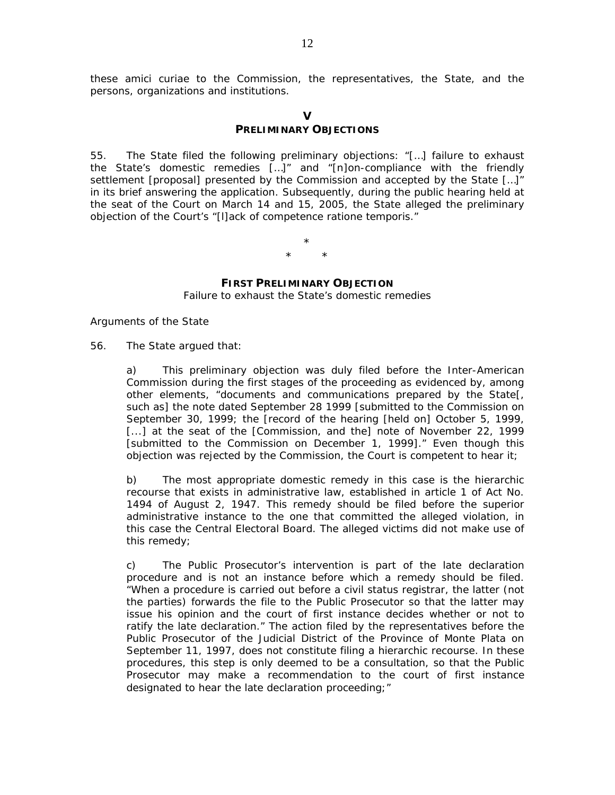these *amici curiae* to the Commission, the representatives, the State, and the persons, organizations and institutions.

#### $\mathbf{v}$

## **PRELIMINARY OBJECTIONS**

55. The State filed the following preliminary objections: "[…] failure to exhaust the State's domestic remedies […]" and "[n]on-compliance with the friendly settlement [proposal] presented by the Commission and accepted by the State [...]" in its brief answering the application. Subsequently, during the public hearing held at the seat of the Court on March 14 and 15, 2005, the State alleged the preliminary objection of the Court's "[l]ack of competence *ratione temporis."* 

> \* \* \*

#### **FIRST PRELIMINARY OBJECTION**

*Failure to exhaust the State's domestic remedies*

#### *Arguments of the State*

56. The State argued that:

a) This preliminary objection was duly filed before the Inter-American Commission during the first stages of the proceeding as evidenced by, among other elements, "documents and communications prepared by the State[, such as] the note dated September 28 1999 [submitted to the Commission on September 30, 1999; the [record of the hearing [held on] October 5, 1999, [...] at the seat of the [Commission, and the] note of November 22, 1999 [submitted to the Commission on December 1, 1999]." Even though this objection was rejected by the Commission, the Court is competent to hear it;

b) The most appropriate domestic remedy in this case is the hierarchic recourse that exists in administrative law, established in article 1 of Act No. 1494 of August 2, 1947. This remedy should be filed before the superior administrative instance to the one that committed the alleged violation, in this case the Central Electoral Board. The alleged victims did not make use of this remedy;

c) The Public Prosecutor's intervention is part of the late declaration procedure and is not an instance before which a remedy should be filed. "When a procedure is carried out before a civil status registrar, the latter (not the parties) forwards the file to the Public Prosecutor so that the latter may issue his opinion and the court of first instance decides whether or not to ratify the late declaration." The action filed by the representatives before the Public Prosecutor of the Judicial District of the Province of Monte Plata on September 11, 1997, does not constitute filing a hierarchic recourse. In these procedures, this step is only deemed to be a consultation, so that the Public Prosecutor may make a recommendation to the court of first instance designated to hear the late declaration proceeding;"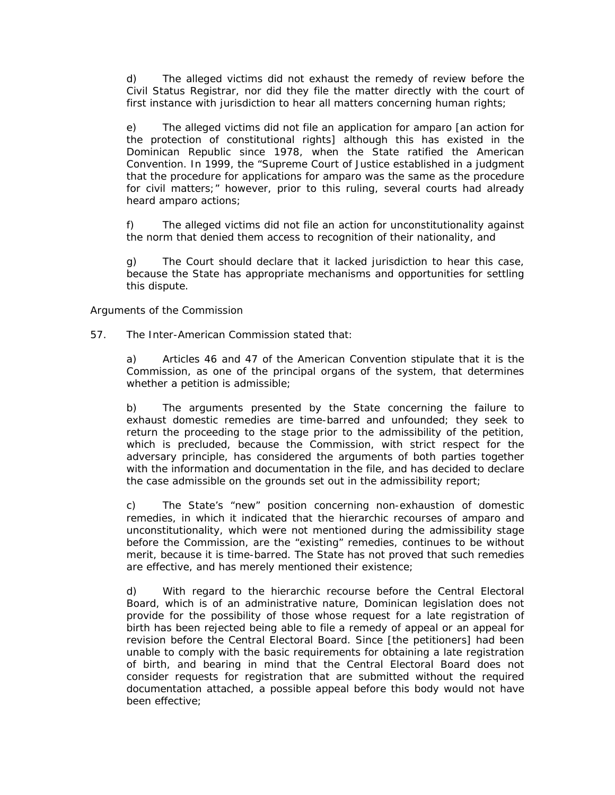d) The alleged victims did not exhaust the remedy of review before the Civil Status Registrar, nor did they file the matter directly with the court of first instance with jurisdiction to hear all matters concerning human rights;

e) The alleged victims did not file an application for amparo [an action for the protection of constitutional rights] although this has existed in the Dominican Republic since 1978, when the State ratified the American Convention. In 1999, the "Supreme Court of Justice established in a judgment that the procedure for applications for amparo was the same as the procedure for civil matters;" however, prior to this ruling, several courts had already heard amparo actions;

f) The alleged victims did not file an action for unconstitutionality against the norm that denied them access to recognition of their nationality, and

g) The Court should declare that it lacked jurisdiction to hear this case, because the State has appropriate mechanisms and opportunities for settling this dispute.

#### *Arguments of the Commission*

57. The Inter-American Commission stated that:

a) Articles 46 and 47 of the American Convention stipulate that it is the Commission, as one of the principal organs of the system, that determines whether a petition is admissible;

b) The arguments presented by the State concerning the failure to exhaust domestic remedies are time-barred and unfounded; they seek to return the proceeding to the stage prior to the admissibility of the petition, which is precluded, because the Commission, with strict respect for the adversary principle, has considered the arguments of both parties together with the information and documentation in the file, and has decided to declare the case admissible on the grounds set out in the admissibility report;

c) The State's "new" position concerning non-exhaustion of domestic remedies, in which it indicated that the hierarchic recourses of amparo and unconstitutionality, which were not mentioned during the admissibility stage before the Commission, are the "existing" remedies, continues to be without merit, because it is time-barred. The State has not proved that such remedies are effective, and has merely mentioned their existence;

d) With regard to the hierarchic recourse before the Central Electoral Board, which is of an administrative nature, Dominican legislation does not provide for the possibility of those whose request for a late registration of birth has been rejected being able to file a remedy of appeal or an appeal for revision before the Central Electoral Board. Since [the petitioners] had been unable to comply with the basic requirements for obtaining a late registration of birth, and bearing in mind that the Central Electoral Board does not consider requests for registration that are submitted without the required documentation attached, a possible appeal before this body would not have been effective;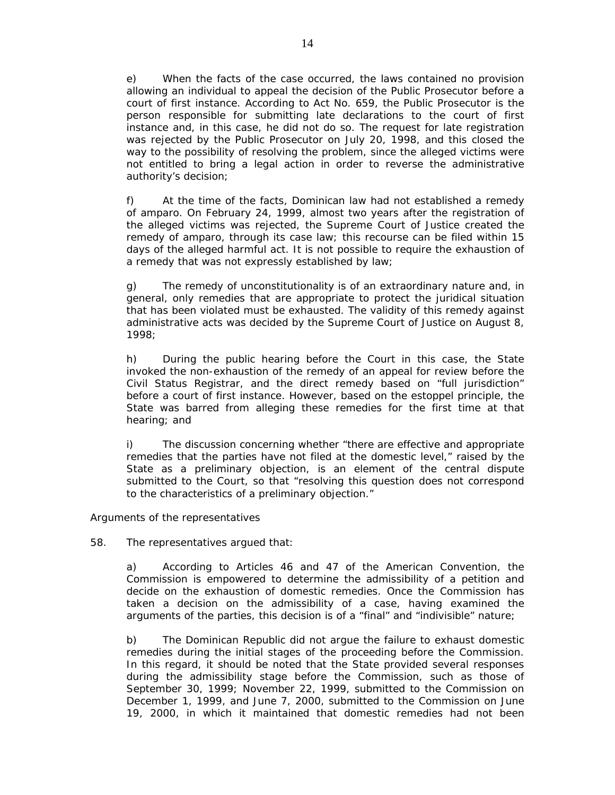e) When the facts of the case occurred, the laws contained no provision allowing an individual to appeal the decision of the Public Prosecutor before a court of first instance. According to Act No. 659, the Public Prosecutor is the person responsible for submitting late declarations to the court of first instance and, in this case, he did not do so. The request for late registration was rejected by the Public Prosecutor on July 20, 1998, and this closed the way to the possibility of resolving the problem, since the alleged victims were not entitled to bring a legal action in order to reverse the administrative authority's decision;

f) At the time of the facts, Dominican law had not established a remedy of amparo. On February 24, 1999, almost two years after the registration of the alleged victims was rejected, the Supreme Court of Justice created the remedy of amparo, through its case law; this recourse can be filed within 15 days of the alleged harmful act. It is not possible to require the exhaustion of a remedy that was not expressly established by law;

g) The remedy of unconstitutionality is of an extraordinary nature and, in general, only remedies that are appropriate to protect the juridical situation that has been violated must be exhausted. The validity of this remedy against administrative acts was decided by the Supreme Court of Justice on August 8, 1998;

h) During the public hearing before the Court in this case, the State invoked the non-exhaustion of the remedy of an appeal for review before the Civil Status Registrar, and the direct remedy based on "full jurisdiction" before a court of first instance. However, based on the *estoppel* principle, the State was barred from alleging these remedies for the first time at that hearing; and

i) The discussion concerning whether "there are effective and appropriate remedies that the parties have not filed at the domestic level," raised by the State as a preliminary objection, is an element of the central dispute submitted to the Court, so that "resolving this question does not correspond to the characteristics of a preliminary objection."

### *Arguments of the representatives*

58. The representatives argued that:

a) According to Articles 46 and 47 of the American Convention, the Commission is empowered to determine the admissibility of a petition and decide on the exhaustion of domestic remedies. Once the Commission has taken a decision on the admissibility of a case, having examined the arguments of the parties, this decision is of a "final" and "indivisible" nature;

b) The Dominican Republic did not argue the failure to exhaust domestic remedies during the initial stages of the proceeding before the Commission. In this regard, it should be noted that the State provided several responses during the admissibility stage before the Commission, such as those of September 30, 1999; November 22, 1999, submitted to the Commission on December 1, 1999, and June 7, 2000, submitted to the Commission on June 19, 2000, in which it maintained that domestic remedies had not been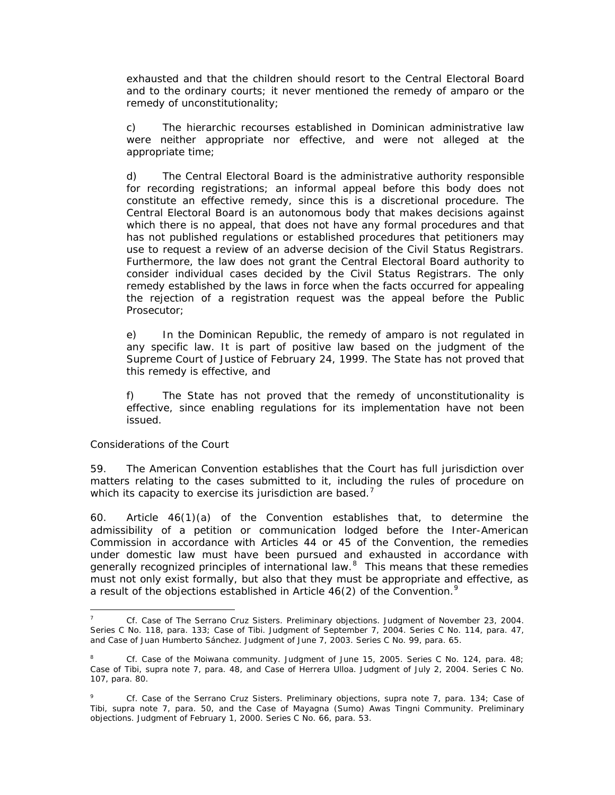exhausted and that the children should resort to the Central Electoral Board and to the ordinary courts; it never mentioned the remedy of amparo or the remedy of unconstitutionality;

c) The hierarchic recourses established in Dominican administrative law were neither appropriate nor effective, and were not alleged at the appropriate time;

d) The Central Electoral Board is the administrative authority responsible for recording registrations; an informal appeal before this body does not constitute an effective remedy, since this is a discretional procedure. The Central Electoral Board is an autonomous body that makes decisions against which there is no appeal, that does not have any formal procedures and that has not published regulations or established procedures that petitioners may use to request a review of an adverse decision of the Civil Status Registrars. Furthermore, the law does not grant the Central Electoral Board authority to consider individual cases decided by the Civil Status Registrars. The only remedy established by the laws in force when the facts occurred for appealing the rejection of a registration request was the appeal before the Public Prosecutor;

e) In the Dominican Republic, the remedy of amparo is not regulated in any specific law. It is part of positive law based on the judgment of the Supreme Court of Justice of February 24, 1999. The State has not proved that this remedy is effective, and

f) The State has not proved that the remedy of unconstitutionality is effective, since enabling regulations for its implementation have not been issued.

### *Considerations of the Court*

59. The American Convention establishes that the Court has full jurisdiction over matters relating to the cases submitted to it, including the rules of procedure on which its capacity to exercise its jurisdiction are based.<sup>[7](#page-14-0)</sup>

60. Article 46(1)(a) of the Convention establishes that, to determine the admissibility of a petition or communication lodged before the Inter-American Commission in accordance with Articles 44 or 45 of the Convention, the remedies under domestic law must have been pursued and exhausted in accordance with generally recognized principles of international law.<sup>[8](#page-14-1)</sup> This means that these remedies must not only exist formally, but also that they must be appropriate and effective, as a result of the objections established in Article  $46(2)$  of the Convention.<sup>[9](#page-14-2)</sup>

<span id="page-14-0"></span> $\overline{a}$ <sup>7</sup> *Cf. Case of The Serrano Cruz Sisters. Preliminary objections.* Judgment of November 23, 2004. Series C No. 118, para. 133; *Case of Tibi.* Judgment of September 7, 2004. Series C No. 114, para. 47, and *Case of Juan Humberto Sánchez.* Judgment of June 7, 2003. Series C No. 99, para. 65.

<span id="page-14-1"></span><sup>8</sup> *Cf. Case of the Moiwana community.* Judgment of June 15, 2005. Series C No. 124, para. 48; *Case of Tibi, supra* note 7, para. 48, and *Case of Herrera Ulloa*. Judgment of July 2, 2004. Series C No. 107, para. 80.

<span id="page-14-2"></span><sup>9</sup> *Cf. Case of the Serrano Cruz Sisters. Preliminary objections, supra* note 7, para. 134; *Case of Tibi, supra* note 7, para. 50, and *the Case of Mayagna (Sumo) Awas Tingni Community. Preliminary objections*. Judgment of February 1, 2000. Series C No. 66, para. 53.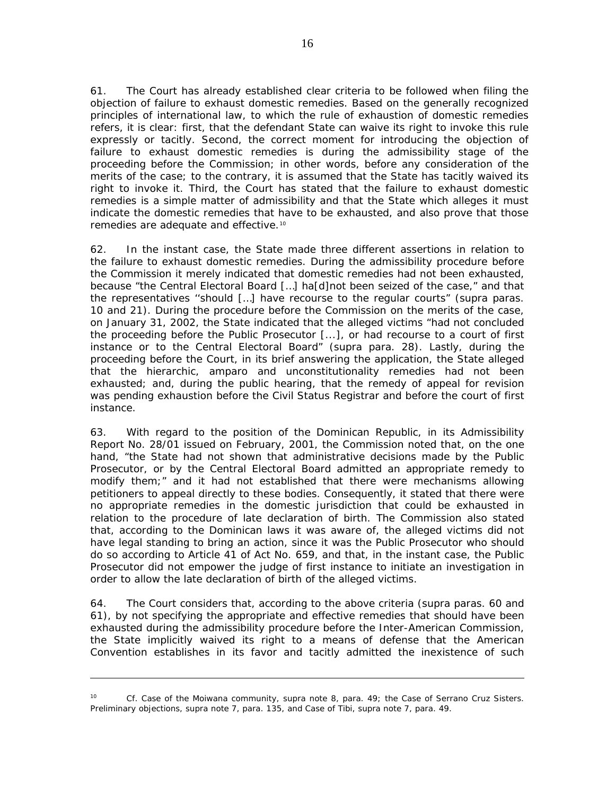61. The Court has already established clear criteria to be followed when filing the objection of failure to exhaust domestic remedies. Based on the generally recognized principles of international law, to which the rule of exhaustion of domestic remedies refers, it is clear: first, that the defendant State can waive its right to invoke this rule expressly or tacitly. Second, the correct moment for introducing the objection of failure to exhaust domestic remedies is during the admissibility stage of the proceeding before the Commission; in other words, before any consideration of the merits of the case; to the contrary, it is assumed that the State has tacitly waived its right to invoke it. Third, the Court has stated that the failure to exhaust domestic remedies is a simple matter of admissibility and that the State which alleges it must indicate the domestic remedies that have to be exhausted, and also prove that those remedies are adequate and effective.<sup>[10](#page-15-0)</sup>

62*.* In the instant case, the State made three different assertions in relation to the failure to exhaust domestic remedies. During the admissibility procedure before the Commission it merely indicated that domestic remedies had not been exhausted, because "the Central Electoral Board […] ha[d]not been seized of the case," and that the representatives ''should […] have recourse to the regular courts" (*supra* paras. 10 and 21). During the procedure before the Commission on the merits of the case, on January 31, 2002, the State indicated that the alleged victims "had not concluded the proceeding before the Public Prosecutor [...], or had recourse to a court of first instance or to the Central Electoral Board" (*supra* para. 28). Lastly, during the proceeding before the Court, in its brief answering the application, the State alleged that the hierarchic, amparo and unconstitutionality remedies had not been exhausted; and, during the public hearing, that the remedy of appeal for revision was pending exhaustion before the Civil Status Registrar and before the court of first instance.

63. With regard to the position of the Dominican Republic, in its Admissibility Report No. 28/01 issued on February, 2001, the Commission noted that, on the one hand, "the State had not shown that administrative decisions made by the Public Prosecutor, or by the Central Electoral Board admitted an appropriate remedy to modify them;" and it had not established that there were mechanisms allowing petitioners to appeal directly to these bodies. Consequently, it stated that there were no appropriate remedies in the domestic jurisdiction that could be exhausted in relation to the procedure of late declaration of birth. The Commission also stated that, according to the Dominican laws it was aware of, the alleged victims did not have legal standing to bring an action, since it was the Public Prosecutor who should do so according to Article 41 of Act No. 659, and that, in the instant case, the Public Prosecutor did not empower the judge of first instance to initiate an investigation in order to allow the late declaration of birth of the alleged victims.

64. The Court considers that, according to the above criteria (*supra* paras. 60 and 61), by not specifying the appropriate and effective remedies that should have been exhausted during the admissibility procedure before the Inter-American Commission, the State implicitly waived its right to a means of defense that the American Convention establishes in its favor and tacitly admitted the inexistence of such

 $\overline{a}$ 

<span id="page-15-0"></span><sup>10</sup> *Cf. Case of the Moiwana community*, *supra* note 8, para. 49; *the Case of Serrano Cruz Sisters*. *Preliminary objections*, *supra* note 7, para. 135, and *Case of Tibi, supra* note 7, para. 49.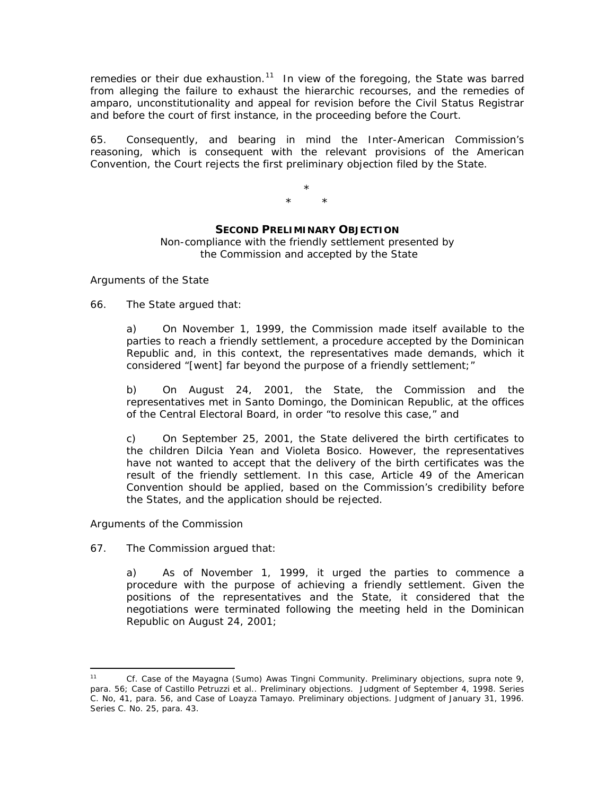remedies or their due exhaustion.<sup>[11](#page-16-0)</sup> In view of the foregoing, the State was barred from alleging the failure to exhaust the hierarchic recourses, and the remedies of amparo, unconstitutionality and appeal for revision before the Civil Status Registrar and before the court of first instance, in the proceeding before the Court.

65. Consequently, and bearing in mind the Inter-American Commission's reasoning, which is consequent with the relevant provisions of the American Convention, the Court rejects the first preliminary objection filed by the State.

> \* \* \*

#### **SECOND PRELIMINARY OBJECTION**

*Non-compliance with the friendly settlement presented by the Commission and accepted by the State* 

*Arguments of the State* 

66. The State argued that:

a) On November 1, 1999, the Commission made itself available to the parties to reach a friendly settlement, a procedure accepted by the Dominican Republic and, in this context, the representatives made demands, which it considered "[went] far beyond the purpose of a friendly settlement;"

b) On August 24, 2001, the State, the Commission and the representatives met in Santo Domingo, the Dominican Republic, at the offices of the Central Electoral Board, in order "to resolve this case," and

c) On September 25, 2001, the State delivered the birth certificates to the children Dilcia Yean and Violeta Bosico. However, the representatives have not wanted to accept that the delivery of the birth certificates was the result of the friendly settlement. In this case, Article 49 of the American Convention should be applied, based on the Commission's credibility before the States, and the application should be rejected.

*Arguments of the Commission* 

67. The Commission argued that:

a) As of November 1, 1999, it urged the parties to commence a procedure with the purpose of achieving a friendly settlement. Given the positions of the representatives and the State, it considered that the negotiations were terminated following the meeting held in the Dominican Republic on August 24, 2001;

<span id="page-16-0"></span> $\overline{a}$ <sup>11</sup> *Cf. Case of the Mayagna (Sumo) Awas Tingni Community. Preliminary objections, supra* note 9*,*  para. 56*; Case of Castillo Petruzzi et al.. Preliminary objections*. Judgment of September 4, 1998. Series C. No, 41, para. 56, and *Case of Loayza Tamayo. Preliminary objections.* Judgment of January 31, 1996. Series C. No. 25, para. 43.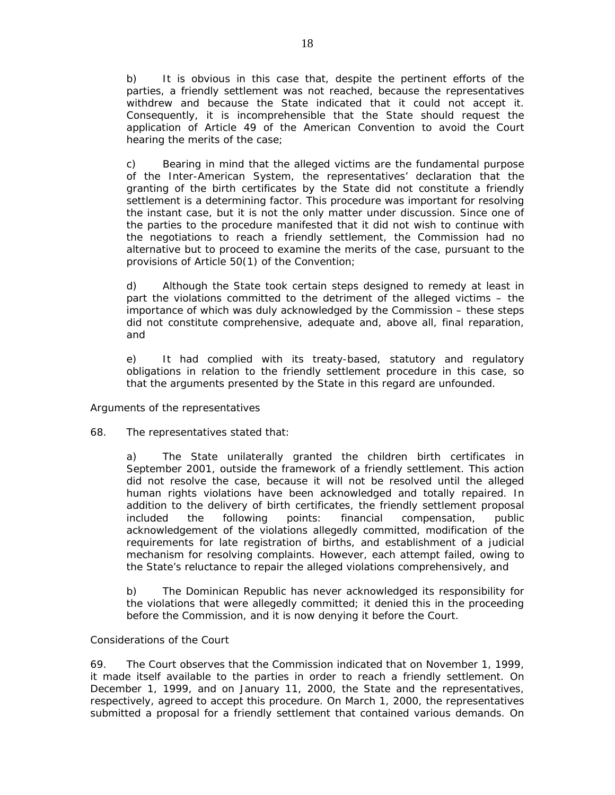b) It is obvious in this case that, despite the pertinent efforts of the parties, a friendly settlement was not reached, because the representatives withdrew and because the State indicated that it could not accept it. Consequently, it is incomprehensible that the State should request the application of Article 49 of the American Convention to avoid the Court hearing the merits of the case;

c) Bearing in mind that the alleged victims are the fundamental purpose of the Inter-American System, the representatives' declaration that the granting of the birth certificates by the State did not constitute a friendly settlement is a determining factor. This procedure was important for resolving the instant case, but it is not the only matter under discussion. Since one of the parties to the procedure manifested that it did not wish to continue with the negotiations to reach a friendly settlement, the Commission had no alternative but to proceed to examine the merits of the case, pursuant to the provisions of Article 50(1) of the Convention;

d) Although the State took certain steps designed to remedy at least in part the violations committed to the detriment of the alleged victims – the importance of which was duly acknowledged by the Commission – these steps did not constitute comprehensive, adequate and, above all, final reparation, and

e) It had complied with its treaty-based, statutory and regulatory obligations in relation to the friendly settlement procedure in this case, so that the arguments presented by the State in this regard are unfounded.

### *Arguments of the representatives*

#### 68. The representatives stated that:

a) The State unilaterally granted the children birth certificates in September 2001, outside the framework of a friendly settlement. This action did not resolve the case, because it will not be resolved until the alleged human rights violations have been acknowledged and totally repaired. In addition to the delivery of birth certificates, the friendly settlement proposal included the following points: financial compensation, public acknowledgement of the violations allegedly committed, modification of the requirements for late registration of births, and establishment of a judicial mechanism for resolving complaints. However, each attempt failed, owing to the State's reluctance to repair the alleged violations comprehensively, and

b) The Dominican Republic has never acknowledged its responsibility for the violations that were allegedly committed; it denied this in the proceeding before the Commission, and it is now denying it before the Court.

#### *Considerations of the Court*

69. The Court observes that the Commission indicated that on November 1, 1999, it made itself available to the parties in order to reach a friendly settlement. On December 1, 1999, and on January 11, 2000, the State and the representatives, respectively, agreed to accept this procedure. On March 1, 2000, the representatives submitted a proposal for a friendly settlement that contained various demands. On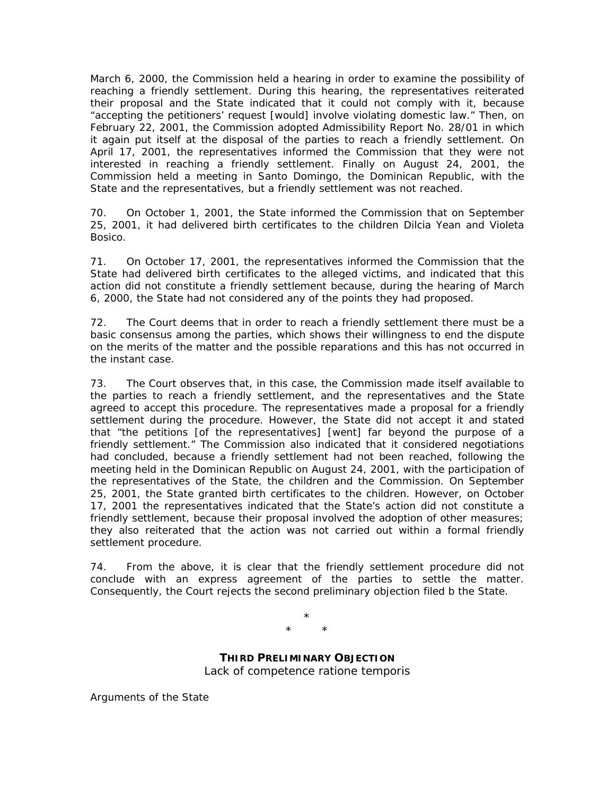March 6, 2000, the Commission held a hearing in order to examine the possibility of reaching a friendly settlement. During this hearing, the representatives reiterated their proposal and the State indicated that it could not comply with it, because "accepting the petitioners' request [would] involve violating domestic law." Then, on February 22, 2001, the Commission adopted Admissibility Report No. 28/01 in which it again put itself at the disposal of the parties to reach a friendly settlement. On April 17, 2001, the representatives informed the Commission that they were not interested in reaching a friendly settlement. Finally on August 24, 2001, the Commission held a meeting in Santo Domingo, the Dominican Republic, with the State and the representatives, but a friendly settlement was not reached.

70. On October 1, 2001, the State informed the Commission that on September 25, 2001, it had delivered birth certificates to the children Dilcia Yean and Violeta Bosico.

71. On October 17, 2001, the representatives informed the Commission that the State had delivered birth certificates to the alleged victims, and indicated that this action did not constitute a friendly settlement because, during the hearing of March 6, 2000, the State had not considered any of the points they had proposed.

72. The Court deems that in order to reach a friendly settlement there must be a basic consensus among the parties, which shows their willingness to end the dispute on the merits of the matter and the possible reparations and this has not occurred in the instant case.

73. The Court observes that, in this case, the Commission made itself available to the parties to reach a friendly settlement, and the representatives and the State agreed to accept this procedure. The representatives made a proposal for a friendly settlement during the procedure. However, the State did not accept it and stated that "the petitions [of the representatives] [went] far beyond the purpose of a friendly settlement." The Commission also indicated that it considered negotiations had concluded, because a friendly settlement had not been reached, following the meeting held in the Dominican Republic on August 24, 2001, with the participation of the representatives of the State, the children and the Commission. On September 25, 2001, the State granted birth certificates to the children. However, on October 17, 2001 the representatives indicated that the State's action did not constitute a friendly settlement, because their proposal involved the adoption of other measures; they also reiterated that the action was not carried out within a formal friendly settlement procedure.

74. From the above, it is clear that the friendly settlement procedure did not conclude with an express agreement of the parties to settle the matter. Consequently, the Court rejects the second preliminary objection filed b the State.

> \* \* \*

**THIRD PRELIMINARY OBJECTION** *Lack of competence ratione temporis* 

*Arguments of the State*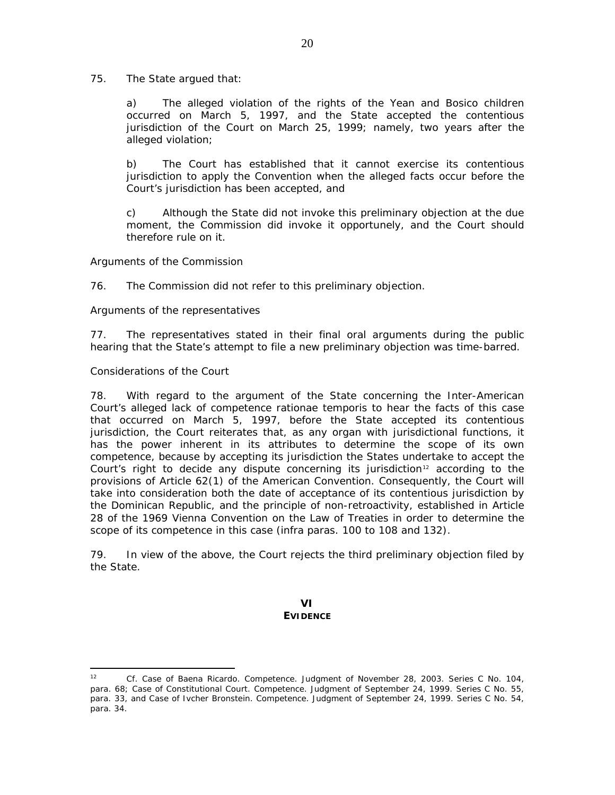75. The State argued that:

a) The alleged violation of the rights of the Yean and Bosico children occurred on March 5, 1997, and the State accepted the contentious jurisdiction of the Court on March 25, 1999; namely, two years after the alleged violation;

b) The Court has established that it cannot exercise its contentious jurisdiction to apply the Convention when the alleged facts occur before the Court's jurisdiction has been accepted, and

c) Although the State did not invoke this preliminary objection at the due moment, the Commission did invoke it opportunely, and the Court should therefore rule on it.

#### *Arguments of the Commission*

76. The Commission did not refer to this preliminary objection.

### *Arguments of the representatives*

77. The representatives stated in their final oral arguments during the public hearing that the State's attempt to file a new preliminary objection was time-barred.

#### *Considerations of the Court*

78. With regard to the argument of the State concerning the Inter-American Court's alleged lack of competence *rationae temporis* to hear the facts of this case that occurred on March 5, 1997, before the State accepted its contentious jurisdiction, the Court reiterates that, as any organ with jurisdictional functions, it has the power inherent in its attributes to determine the scope of its own competence, because by accepting its jurisdiction the States undertake to accept the Court's right to decide any dispute concerning its jurisdiction<sup>[12](#page-19-0)</sup> according to the provisions of Article 62(1) of the American Convention. Consequently, the Court will take into consideration both the date of acceptance of its contentious jurisdiction by the Dominican Republic, and the principle of non-retroactivity, established in Article 28 of the 1969 Vienna Convention on the Law of Treaties in order to determine the scope of its competence in this case (*infra* paras. 100 to 108 and 132).

79. In view of the above, the Court rejects the third preliminary objection filed by the State.

#### **VI EVIDENCE**

<span id="page-19-0"></span> $12<sup>12</sup>$ <sup>12</sup> *Cf. Case of Baena Ricardo. Competence*. Judgment of November 28, 2003. Series C No. 104, para. 68; *Case of Constitutional Court. Competence*. Judgment of September 24, 1999. Series C No. 55, para. 33, and *Case of Ivcher Bronstein. Competence*. Judgment of September 24, 1999. Series C No. 54, para. 34.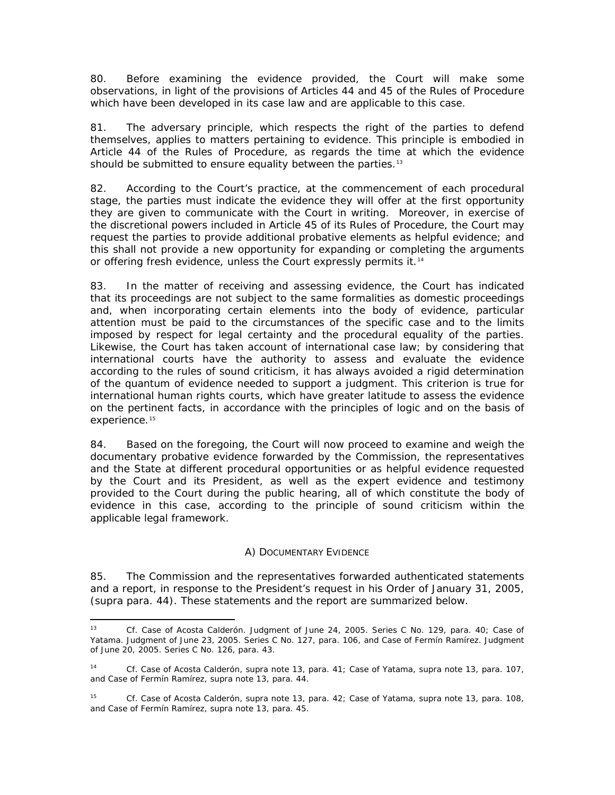80. Before examining the evidence provided, the Court will make some observations, in light of the provisions of Articles 44 and 45 of the Rules of Procedure which have been developed in its case law and are applicable to this case.

81. The adversary principle, which respects the right of the parties to defend themselves, applies to matters pertaining to evidence. This principle is embodied in Article 44 of the Rules of Procedure, as regards the time at which the evidence should be submitted to ensure equality between the parties.<sup>[13](#page-20-0)</sup>

82. According to the Court's practice, at the commencement of each procedural stage, the parties must indicate the evidence they will offer at the first opportunity they are given to communicate with the Court in writing. Moreover, in exercise of the discretional powers included in Article 45 of its Rules of Procedure, the Court may request the parties to provide additional probative elements as helpful evidence; and this shall not provide a new opportunity for expanding or completing the arguments or offering fresh evidence, unless the Court expressly permits it.<sup>[14](#page-20-1)</sup>

83. In the matter of receiving and assessing evidence, the Court has indicated that its proceedings are not subject to the same formalities as domestic proceedings and, when incorporating certain elements into the body of evidence, particular attention must be paid to the circumstances of the specific case and to the limits imposed by respect for legal certainty and the procedural equality of the parties. Likewise, the Court has taken account of international case law; by considering that international courts have the authority to assess and evaluate the evidence according to the rules of sound criticism, it has always avoided a rigid determination of the *quantum* of evidence needed to support a judgment. This criterion is true for international human rights courts, which have greater latitude to assess the evidence on the pertinent facts, in accordance with the principles of logic and on the basis of experience.<sup>[15](#page-20-2)</sup>

84. Based on the foregoing, the Court will now proceed to examine and weigh the documentary probative evidence forwarded by the Commission, the representatives and the State at different procedural opportunities or as helpful evidence requested by the Court and its President, as well as the expert evidence and testimony provided to the Court during the public hearing, all of which constitute the body of evidence in this case, according to the principle of sound criticism within the applicable legal framework.

### *A) DOCUMENTARY EVIDENCE*

85. The Commission and the representatives forwarded authenticated statements and a report, in response to the President's request in his Order of January 31, 2005, (*supra* para. 44). These statements and the report are summarized below.

<span id="page-20-0"></span> $13<sup>13</sup>$ <sup>13</sup> *Cf. Case of Acosta Calderón.* Judgment of June 24, 2005. Series C No. 129, para. 40; *Case of Yatama*. Judgment of June 23, 2005. Series C No. 127, para. 106, and *Case of Fermín Ramírez.* Judgment of June 20, 2005. Series C No. 126*,* para. 43.

<span id="page-20-1"></span><sup>14</sup> *Cf. Case of Acosta Calderón, supra* note 13, para. 41; *Case of Yatama*, *supra* note 13, para. 107, and *Case of Fermín Ramírez, supra* note 13*,* para. 44.

<span id="page-20-2"></span><sup>15</sup> *Cf. Case of Acosta Calderón, supra* note 13, para. 42; *Case of Yatama*, *supra* note 13, para. 108, and *Case of Fermín Ramírez, supra* note 13*,* para. 45.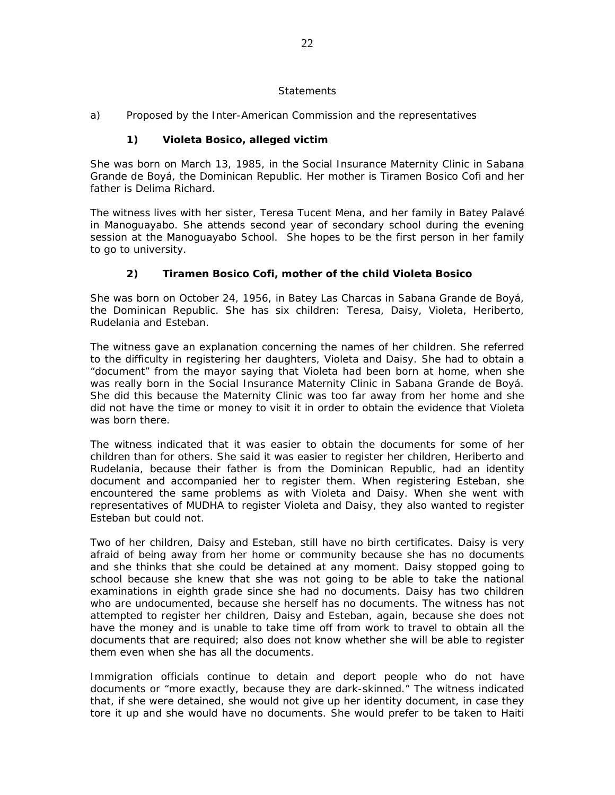### *Statements*

### *a) Proposed by the Inter-American Commission and the representatives*

## **1) Violeta Bosico, alleged victim**

She was born on March 13, 1985, in the Social Insurance Maternity Clinic in Sabana Grande de Boyá, the Dominican Republic. Her mother is Tiramen Bosico Cofi and her father is Delima Richard.

The witness lives with her sister, Teresa Tucent Mena, and her family in Batey Palavé in Manoguayabo. She attends second year of secondary school during the evening session at the Manoguayabo School. She hopes to be the first person in her family to go to university.

## **2) Tiramen Bosico Cofi, mother of the child Violeta Bosico**

She was born on October 24, 1956, in Batey Las Charcas in Sabana Grande de Boyá, the Dominican Republic. She has six children: Teresa, Daisy, Violeta, Heriberto, Rudelania and Esteban.

The witness gave an explanation concerning the names of her children. She referred to the difficulty in registering her daughters, Violeta and Daisy. She had to obtain a "document" from the mayor saying that Violeta had been born at home, when she was really born in the Social Insurance Maternity Clinic in Sabana Grande de Boyá. She did this because the Maternity Clinic was too far away from her home and she did not have the time or money to visit it in order to obtain the evidence that Violeta was born there.

The witness indicated that it was easier to obtain the documents for some of her children than for others. She said it was easier to register her children, Heriberto and Rudelania, because their father is from the Dominican Republic, had an identity document and accompanied her to register them. When registering Esteban, she encountered the same problems as with Violeta and Daisy. When she went with representatives of MUDHA to register Violeta and Daisy, they also wanted to register Esteban but could not.

Two of her children, Daisy and Esteban, still have no birth certificates. Daisy is very afraid of being away from her home or community because she has no documents and she thinks that she could be detained at any moment. Daisy stopped going to school because she knew that she was not going to be able to take the national examinations in eighth grade since she had no documents. Daisy has two children who are undocumented, because she herself has no documents. The witness has not attempted to register her children, Daisy and Esteban, again, because she does not have the money and is unable to take time off from work to travel to obtain all the documents that are required; also does not know whether she will be able to register them even when she has all the documents.

Immigration officials continue to detain and deport people who do not have documents or "more exactly, because they are dark-skinned." The witness indicated that, if she were detained, she would not give up her identity document, in case they tore it up and she would have no documents. She would prefer to be taken to Haiti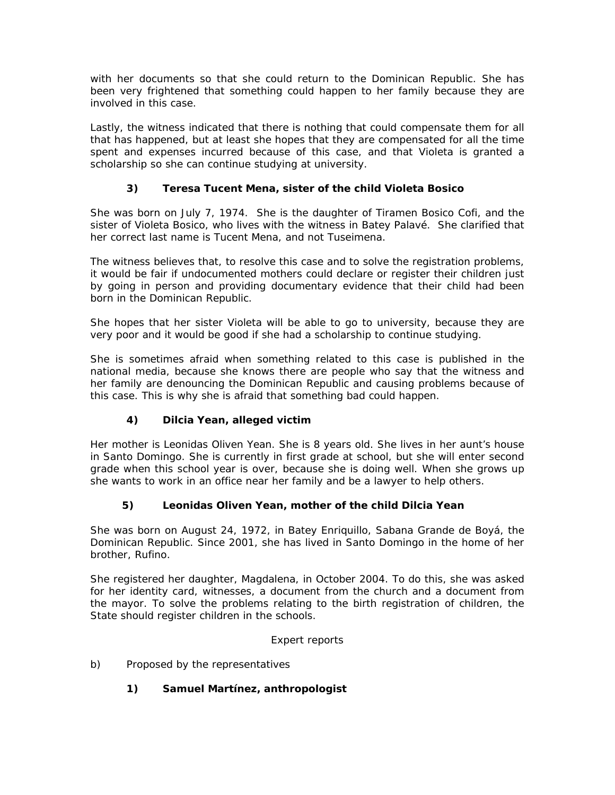with her documents so that she could return to the Dominican Republic. She has been very frightened that something could happen to her family because they are involved in this case.

Lastly, the witness indicated that there is nothing that could compensate them for all that has happened, but at least she hopes that they are compensated for all the time spent and expenses incurred because of this case, and that Violeta is granted a scholarship so she can continue studying at university.

# **3) Teresa Tucent Mena, sister of the child Violeta Bosico**

She was born on July 7, 1974. She is the daughter of Tiramen Bosico Cofi, and the sister of Violeta Bosico, who lives with the witness in Batey Palavé. She clarified that her correct last name is Tucent Mena, and not Tuseimena.

The witness believes that, to resolve this case and to solve the registration problems, it would be fair if undocumented mothers could declare or register their children just by going in person and providing documentary evidence that their child had been born in the Dominican Republic.

She hopes that her sister Violeta will be able to go to university, because they are very poor and it would be good if she had a scholarship to continue studying.

She is sometimes afraid when something related to this case is published in the national media, because she knows there are people who say that the witness and her family are denouncing the Dominican Republic and causing problems because of this case. This is why she is afraid that something bad could happen.

## **4) Dilcia Yean, alleged victim**

Her mother is Leonidas Oliven Yean. She is 8 years old. She lives in her aunt's house in Santo Domingo. She is currently in first grade at school, but she will enter second grade when this school year is over, because she is doing well. When she grows up she wants to work in an office near her family and be a lawyer to help others.

## **5) Leonidas Oliven Yean, mother of the child Dilcia Yean**

She was born on August 24, 1972, in Batey Enriquillo, Sabana Grande de Boyá, the Dominican Republic. Since 2001, she has lived in Santo Domingo in the home of her brother, Rufino.

She registered her daughter, Magdalena, in October 2004. To do this, she was asked for her identity card, witnesses, a document from the church and a document from the mayor. To solve the problems relating to the birth registration of children, the State should register children in the schools.

## *Expert reports*

- *b) Proposed by the representatives* 
	- **1) Samuel Martínez, anthropologist**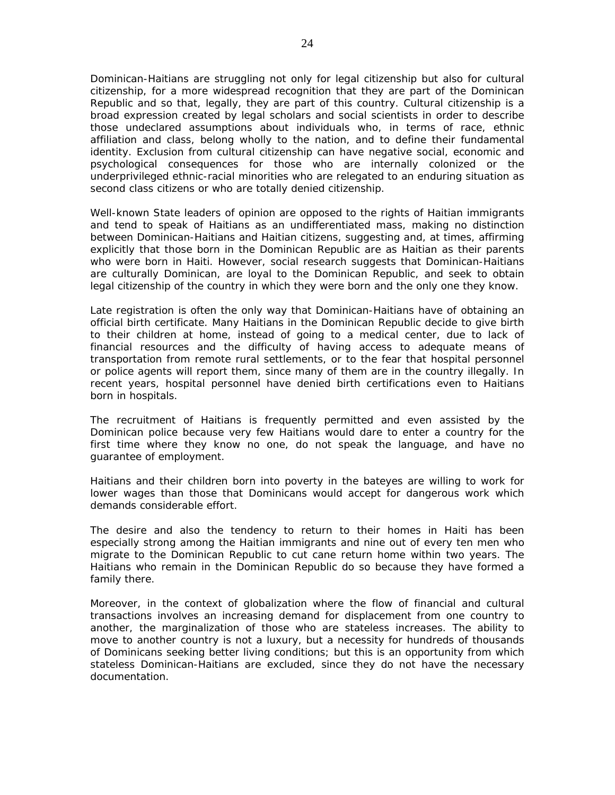Dominican-Haitians are struggling not only for legal citizenship but also for cultural citizenship, for a more widespread recognition that they are part of the Dominican Republic and so that, legally, they are part of this country. Cultural citizenship is a broad expression created by legal scholars and social scientists in order to describe those undeclared assumptions about individuals who, in terms of race, ethnic affiliation and class, belong wholly to the nation, and to define their fundamental identity. Exclusion from cultural citizenship can have negative social, economic and psychological consequences for those who are internally colonized or the underprivileged ethnic-racial minorities who are relegated to an enduring situation as second class citizens or who are totally denied citizenship.

Well-known State leaders of opinion are opposed to the rights of Haitian immigrants and tend to speak of Haitians as an undifferentiated mass, making no distinction between Dominican-Haitians and Haitian citizens, suggesting and, at times, affirming explicitly that those born in the Dominican Republic are as Haitian as their parents who were born in Haiti. However, social research suggests that Dominican-Haitians are culturally Dominican, are loyal to the Dominican Republic, and seek to obtain legal citizenship of the country in which they were born and the only one they know.

Late registration is often the only way that Dominican-Haitians have of obtaining an official birth certificate. Many Haitians in the Dominican Republic decide to give birth to their children at home, instead of going to a medical center, due to lack of financial resources and the difficulty of having access to adequate means of transportation from remote rural settlements, or to the fear that hospital personnel or police agents will report them, since many of them are in the country illegally. In recent years, hospital personnel have denied birth certifications even to Haitians born in hospitals.

The recruitment of Haitians is frequently permitted and even assisted by the Dominican police because very few Haitians would dare to enter a country for the first time where they know no one, do not speak the language, and have no guarantee of employment.

Haitians and their children born into poverty in the bateyes are willing to work for lower wages than those that Dominicans would accept for dangerous work which demands considerable effort.

The desire and also the tendency to return to their homes in Haiti has been especially strong among the Haitian immigrants and nine out of every ten men who migrate to the Dominican Republic to cut cane return home within two years. The Haitians who remain in the Dominican Republic do so because they have formed a family there.

Moreover, in the context of globalization where the flow of financial and cultural transactions involves an increasing demand for displacement from one country to another, the marginalization of those who are stateless increases. The ability to move to another country is not a luxury, but a necessity for hundreds of thousands of Dominicans seeking better living conditions; but this is an opportunity from which stateless Dominican-Haitians are excluded, since they do not have the necessary documentation.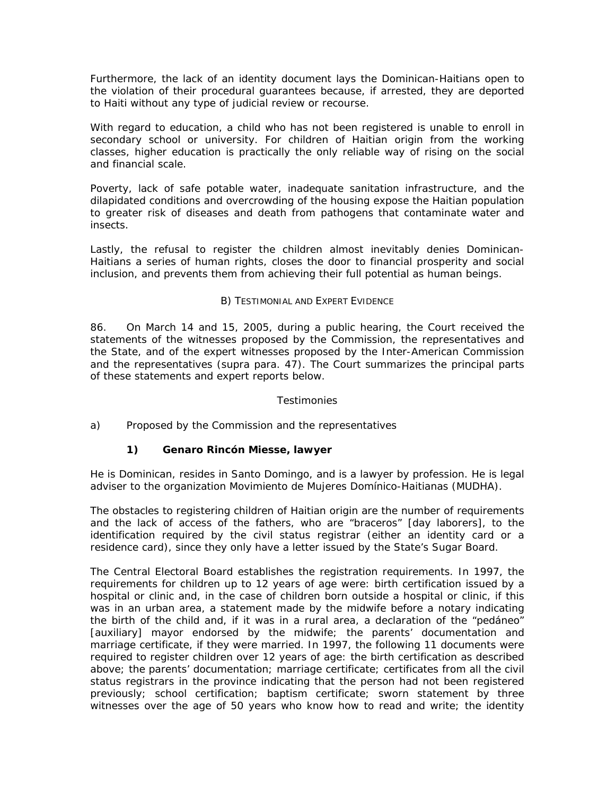Furthermore, the lack of an identity document lays the Dominican-Haitians open to the violation of their procedural guarantees because, if arrested, they are deported to Haiti without any type of judicial review or recourse.

With regard to education, a child who has not been registered is unable to enroll in secondary school or university. For children of Haitian origin from the working classes, higher education is practically the only reliable way of rising on the social and financial scale.

Poverty, lack of safe potable water, inadequate sanitation infrastructure, and the dilapidated conditions and overcrowding of the housing expose the Haitian population to greater risk of diseases and death from pathogens that contaminate water and insects.

Lastly, the refusal to register the children almost inevitably denies Dominican-Haitians a series of human rights, closes the door to financial prosperity and social inclusion, and prevents them from achieving their full potential as human beings.

## *B) TESTIMONIAL AND EXPERT EVIDENCE*

86. On March 14 and 15, 2005, during a public hearing, the Court received the statements of the witnesses proposed by the Commission, the representatives and the State, and of the expert witnesses proposed by the Inter-American Commission and the representatives (*supra* para. 47). The Court summarizes the principal parts of these statements and expert reports below.

### *Testimonies*

### *a) Proposed by the Commission and the representatives*

### **1) Genaro Rincón Miesse, lawyer**

He is Dominican, resides in Santo Domingo, and is a lawyer by profession. He is legal adviser to the organization *Movimiento de Mujeres Domínico-Haitianas* (MUDHA).

The obstacles to registering children of Haitian origin are the number of requirements and the lack of access of the fathers, who are "*braceros*" [day laborers], to the identification required by the civil status registrar (either an identity card or a residence card), since they only have a letter issued by the State's Sugar Board.

The Central Electoral Board establishes the registration requirements. In 1997, the requirements for children up to 12 years of age were: birth certification issued by a hospital or clinic and, in the case of children born outside a hospital or clinic, if this was in an urban area, a statement made by the midwife before a notary indicating the birth of the child and, if it was in a rural area, a declaration of the "*pedáneo*" [auxiliary] mayor endorsed by the midwife; the parents' documentation and marriage certificate, if they were married. In 1997, the following 11 documents were required to register children over 12 years of age: the birth certification as described above; the parents' documentation; marriage certificate; certificates from all the civil status registrars in the province indicating that the person had not been registered previously; school certification; baptism certificate; sworn statement by three witnesses over the age of 50 years who know how to read and write; the identity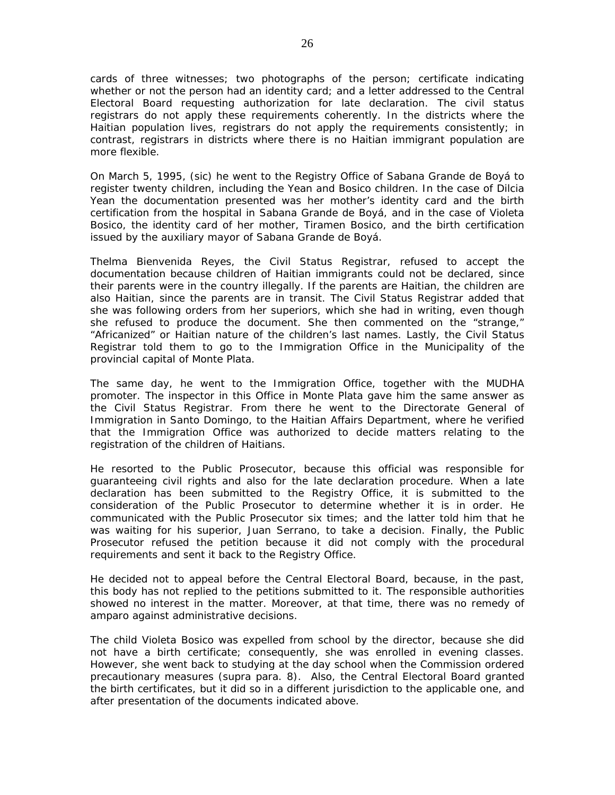cards of three witnesses; two photographs of the person; certificate indicating whether or not the person had an identity card; and a letter addressed to the Central Electoral Board requesting authorization for late declaration. The civil status registrars do not apply these requirements coherently. In the districts where the Haitian population lives, registrars do not apply the requirements consistently; in contrast, registrars in districts where there is no Haitian immigrant population are more flexible.

On March 5, 1995, (sic) he went to the Registry Office of Sabana Grande de Boyá to register twenty children, including the Yean and Bosico children. In the case of Dilcia Yean the documentation presented was her mother's identity card and the birth certification from the hospital in Sabana Grande de Boyá, and in the case of Violeta Bosico, the identity card of her mother, Tiramen Bosico, and the birth certification issued by the auxiliary mayor of Sabana Grande de Boyá.

Thelma Bienvenida Reyes, the Civil Status Registrar, refused to accept the documentation because children of Haitian immigrants could not be declared, since their parents were in the country illegally. If the parents are Haitian, the children are also Haitian, since the parents are in transit. The Civil Status Registrar added that she was following orders from her superiors, which she had in writing, even though she refused to produce the document. She then commented on the "strange," "Africanized" or Haitian nature of the children's last names. Lastly, the Civil Status Registrar told them to go to the Immigration Office in the Municipality of the provincial capital of Monte Plata.

The same day, he went to the Immigration Office, together with the MUDHA promoter. The inspector in this Office in Monte Plata gave him the same answer as the Civil Status Registrar. From there he went to the Directorate General of Immigration in Santo Domingo, to the Haitian Affairs Department, where he verified that the Immigration Office was authorized to decide matters relating to the registration of the children of Haitians.

He resorted to the Public Prosecutor, because this official was responsible for guaranteeing civil rights and also for the late declaration procedure. When a late declaration has been submitted to the Registry Office, it is submitted to the consideration of the Public Prosecutor to determine whether it is in order. He communicated with the Public Prosecutor six times; and the latter told him that he was waiting for his superior, Juan Serrano, to take a decision. Finally, the Public Prosecutor refused the petition because it did not comply with the procedural requirements and sent it back to the Registry Office.

He decided not to appeal before the Central Electoral Board, because, in the past, this body has not replied to the petitions submitted to it. The responsible authorities showed no interest in the matter. Moreover, at that time, there was no remedy of amparo against administrative decisions.

The child Violeta Bosico was expelled from school by the director, because she did not have a birth certificate; consequently, she was enrolled in evening classes. However, she went back to studying at the day school when the Commission ordered precautionary measures (*supra* para. 8). Also, the Central Electoral Board granted the birth certificates, but it did so in a different jurisdiction to the applicable one, and after presentation of the documents indicated above.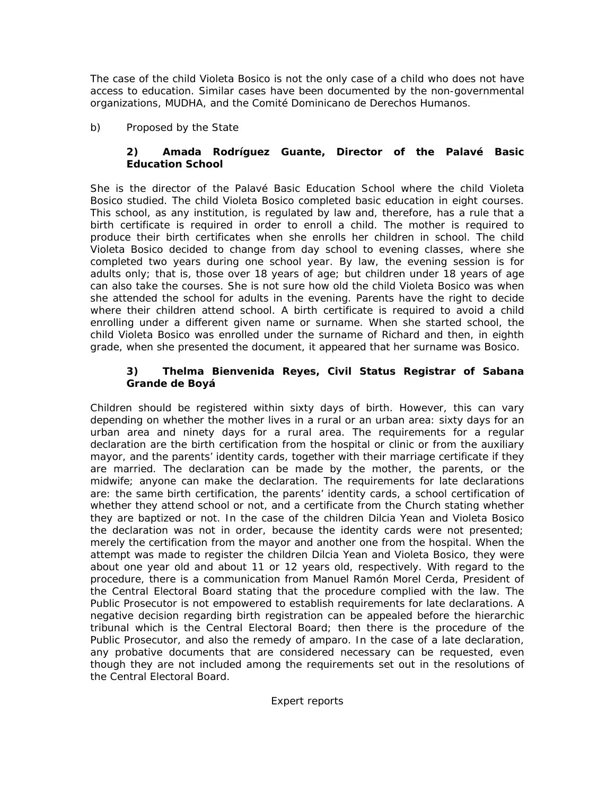The case of the child Violeta Bosico is not the only case of a child who does not have access to education. Similar cases have been documented by the non-governmental organizations, MUDHA, and the *Comité Dominicano de Derechos Humanos*.

# *b) Proposed by the State*

# **2) Amada Rodríguez Guante, Director of the Palavé Basic Education School**

She is the director of the Palavé Basic Education School where the child Violeta Bosico studied. The child Violeta Bosico completed basic education in eight courses. This school, as any institution, is regulated by law and, therefore, has a rule that a birth certificate is required in order to enroll a child. The mother is required to produce their birth certificates when she enrolls her children in school. The child Violeta Bosico decided to change from day school to evening classes, where she completed two years during one school year. By law, the evening session is for adults only; that is, those over 18 years of age; but children under 18 years of age can also take the courses. She is not sure how old the child Violeta Bosico was when she attended the school for adults in the evening. Parents have the right to decide where their children attend school. A birth certificate is required to avoid a child enrolling under a different given name or surname. When she started school, the child Violeta Bosico was enrolled under the surname of Richard and then, in eighth grade, when she presented the document, it appeared that her surname was Bosico.

## **3) Thelma Bienvenida Reyes, Civil Status Registrar of Sabana Grande de Boyá**

Children should be registered within sixty days of birth. However, this can vary depending on whether the mother lives in a rural or an urban area: sixty days for an urban area and ninety days for a rural area. The requirements for a regular declaration are the birth certification from the hospital or clinic or from the auxiliary mayor, and the parents' identity cards, together with their marriage certificate if they are married. The declaration can be made by the mother, the parents, or the midwife; anyone can make the declaration. The requirements for late declarations are: the same birth certification, the parents' identity cards, a school certification of whether they attend school or not, and a certificate from the Church stating whether they are baptized or not. In the case of the children Dilcia Yean and Violeta Bosico the declaration was not in order, because the identity cards were not presented; merely the certification from the mayor and another one from the hospital. When the attempt was made to register the children Dilcia Yean and Violeta Bosico, they were about one year old and about 11 or 12 years old, respectively. With regard to the procedure, there is a communication from Manuel Ramón Morel Cerda, President of the Central Electoral Board stating that the procedure complied with the law. The Public Prosecutor is not empowered to establish requirements for late declarations. A negative decision regarding birth registration can be appealed before the hierarchic tribunal which is the Central Electoral Board; then there is the procedure of the Public Prosecutor, and also the remedy of amparo. In the case of a late declaration, any probative documents that are considered necessary can be requested, even though they are not included among the requirements set out in the resolutions of the Central Electoral Board.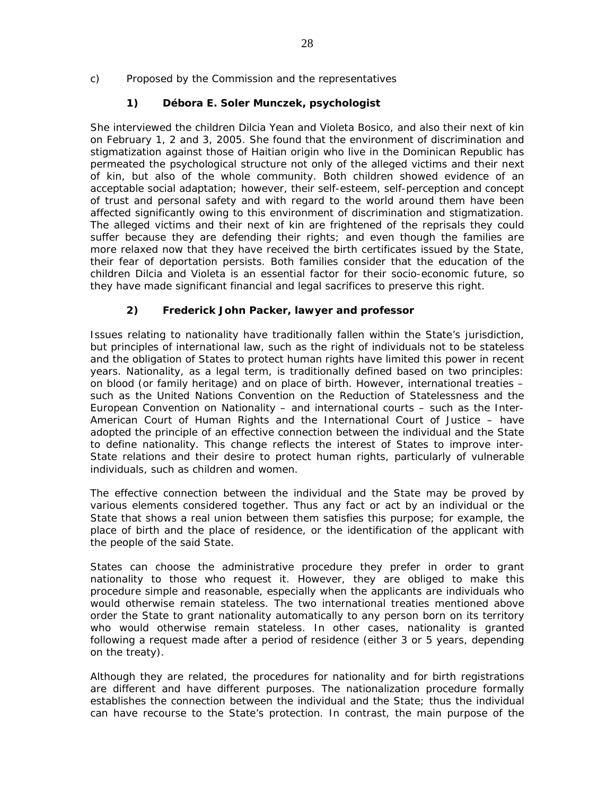## *c) Proposed by the Commission and the representatives*

## **1) Débora E. Soler Munczek, psychologist**

She interviewed the children Dilcia Yean and Violeta Bosico, and also their next of kin on February 1, 2 and 3, 2005. She found that the environment of discrimination and stigmatization against those of Haitian origin who live in the Dominican Republic has permeated the psychological structure not only of the alleged victims and their next of kin, but also of the whole community. Both children showed evidence of an acceptable social adaptation; however, their self-esteem, self-perception and concept of trust and personal safety and with regard to the world around them have been affected significantly owing to this environment of discrimination and stigmatization. The alleged victims and their next of kin are frightened of the reprisals they could suffer because they are defending their rights; and even though the families are more relaxed now that they have received the birth certificates issued by the State, their fear of deportation persists. Both families consider that the education of the children Dilcia and Violeta is an essential factor for their socio-economic future, so they have made significant financial and legal sacrifices to preserve this right.

## **2) Frederick John Packer, lawyer and professor**

Issues relating to nationality have traditionally fallen within the State's jurisdiction, but principles of international law, such as the right of individuals not to be stateless and the obligation of States to protect human rights have limited this power in recent years. Nationality, as a legal term, is traditionally defined based on two principles: on blood (or family heritage) and on place of birth. However, international treaties – such as the United Nations Convention on the Reduction of Statelessness and the European Convention on Nationality – and international courts – such as the Inter-American Court of Human Rights and the International Court of Justice – have adopted the principle of an effective connection between the individual and the State to define nationality. This change reflects the interest of States to improve inter-State relations and their desire to protect human rights, particularly of vulnerable individuals, such as children and women.

The effective connection between the individual and the State may be proved by various elements considered together. Thus any fact or act by an individual or the State that shows a real union between them satisfies this purpose; for example, the place of birth and the place of residence, or the identification of the applicant with the people of the said State.

States can choose the administrative procedure they prefer in order to grant nationality to those who request it. However, they are obliged to make this procedure simple and reasonable, especially when the applicants are individuals who would otherwise remain stateless. The two international treaties mentioned above order the State to grant nationality automatically to any person born on its territory who would otherwise remain stateless. In other cases, nationality is granted following a request made after a period of residence (either 3 or 5 years, depending on the treaty).

Although they are related, the procedures for nationality and for birth registrations are different and have different purposes. The nationalization procedure formally establishes the connection between the individual and the State; thus the individual can have recourse to the State's protection. In contrast, the main purpose of the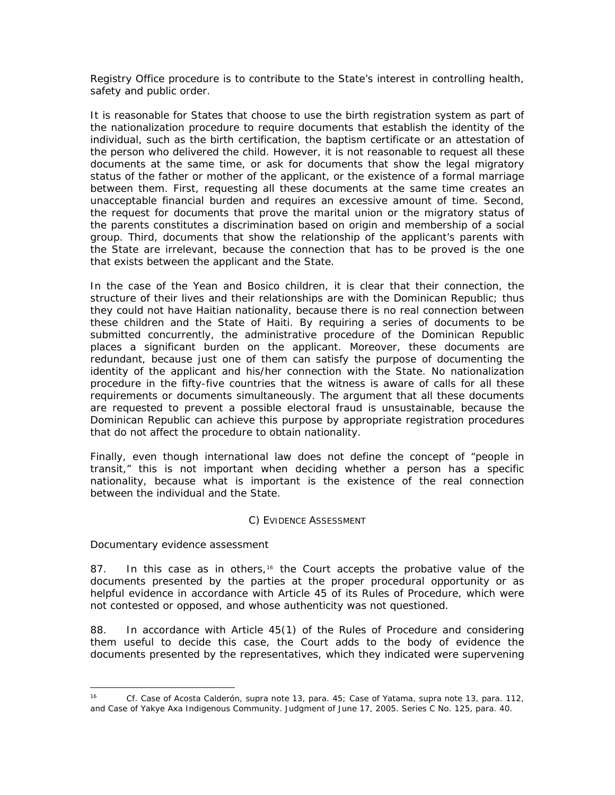Registry Office procedure is to contribute to the State's interest in controlling health, safety and public order.

It is reasonable for States that choose to use the birth registration system as part of the nationalization procedure to require documents that establish the identity of the individual, such as the birth certification, the baptism certificate or an attestation of the person who delivered the child. However, it is not reasonable to request all these documents at the same time, or ask for documents that show the legal migratory status of the father or mother of the applicant, or the existence of a formal marriage between them. First, requesting all these documents at the same time creates an unacceptable financial burden and requires an excessive amount of time. Second, the request for documents that prove the marital union or the migratory status of the parents constitutes a discrimination based on origin and membership of a social group. Third, documents that show the relationship of the applicant's parents with the State are irrelevant, because the connection that has to be proved is the one that exists between the applicant and the State.

In the case of the Yean and Bosico children, it is clear that their connection, the structure of their lives and their relationships are with the Dominican Republic; thus they could not have Haitian nationality, because there is no real connection between these children and the State of Haiti. By requiring a series of documents to be submitted concurrently, the administrative procedure of the Dominican Republic places a significant burden on the applicant. Moreover, these documents are redundant, because just one of them can satisfy the purpose of documenting the identity of the applicant and his/her connection with the State. No nationalization procedure in the fifty-five countries that the witness is aware of calls for all these requirements or documents simultaneously. The argument that all these documents are requested to prevent a possible electoral fraud is unsustainable, because the Dominican Republic can achieve this purpose by appropriate registration procedures that do not affect the procedure to obtain nationality.

Finally, even though international law does not define the concept of "people in transit," this is not important when deciding whether a person has a specific nationality, because what is important is the existence of the real connection between the individual and the State.

#### *C) EVIDENCE ASSESSMENT*

### *Documentary evidence assessment*

 $\overline{a}$ 

87. In this case as in others,<sup>[16](#page-28-0)</sup> the Court accepts the probative value of the documents presented by the parties at the proper procedural opportunity or as helpful evidence in accordance with Article 45 of its Rules of Procedure, which were not contested or opposed, and whose authenticity was not questioned.

88. In accordance with Article 45(1) of the Rules of Procedure and considering them useful to decide this case, the Court adds to the body of evidence the documents presented by the representatives, which they indicated were supervening

<span id="page-28-0"></span><sup>16</sup> *Cf. Case of Acosta Calderón*, *supra* note 13, para. 45*; Case of Yatama, supra* note 13, para. 112, and *Case of Yakye Axa Indigenous Community.* Judgment of June 17, 2005. Series C No. 125, para. 40.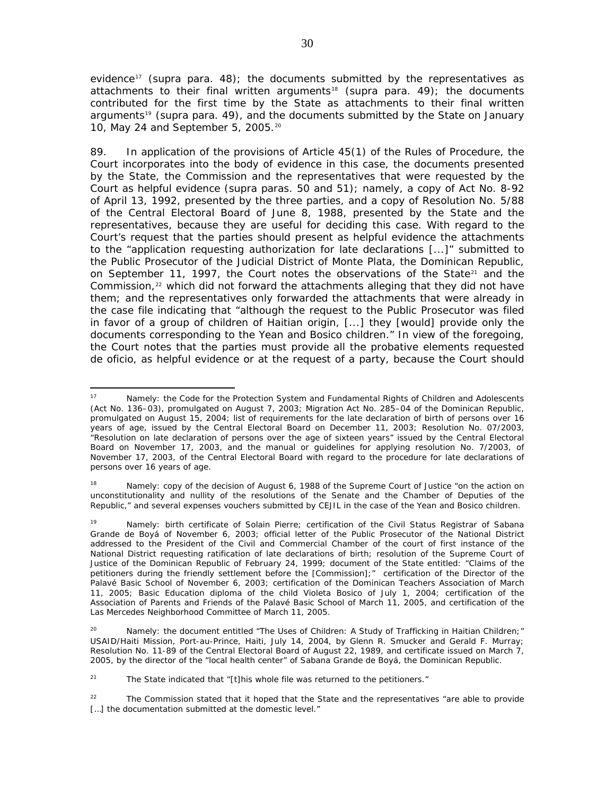evidence[17](#page-29-0) (*supra* para. 48); the documents submitted by the representatives as attachments to their final written arguments<sup>[18](#page-29-1)</sup> (*supra* para. 49); the documents contributed for the first time by the State as attachments to their final written arguments<sup>19</sup> (*supra* para. 49), and the documents submitted by the State on January 10, May 24 and September 5, 2005.[20](#page-29-3)

89. In application of the provisions of Article 45(1) of the Rules of Procedure, the Court incorporates into the body of evidence in this case, the documents presented by the State, the Commission and the representatives that were requested by the Court as helpful evidence (*supra* paras. 50 and 51); namely, a copy of Act No. 8-92 of April 13, 1992, presented by the three parties, and a copy of Resolution No. 5/88 of the Central Electoral Board of June 8, 1988, presented by the State and the representatives, because they are useful for deciding this case. With regard to the Court's request that the parties should present as helpful evidence the attachments to the "application requesting authorization for late declarations [...]" submitted to the Public Prosecutor of the Judicial District of Monte Plata, the Dominican Republic, on September 11, 1997, the Court notes the observations of the State<sup>[21](#page-29-4)</sup> and the Commission,<sup>[22](#page-29-5)</sup> which did not forward the attachments alleging that they did not have them; and the representatives only forwarded the attachments that were already in the case file indicating that "although the request to the Public Prosecutor was filed in favor of a group of children of Haitian origin, [...] they [would] provide only the documents corresponding to the Yean and Bosico children." In view of the foregoing, the Court notes that the parties must provide all the probative elements requested *de oficio*, as helpful evidence or at the request of a party, because the Court should

<span id="page-29-0"></span> $17$ Namely: the Code for the Protection System and Fundamental Rights of Children and Adolescents (Act No. 136–03), promulgated on August 7, 2003; Migration Act No. 285–04 of the Dominican Republic, promulgated on August 15, 2004; list of requirements for the late declaration of birth of persons over 16 years of age, issued by the Central Electoral Board on December 11, 2003; Resolution No. 07/2003, "Resolution on late declaration of persons over the age of sixteen years" issued by the Central Electoral Board on November 17, 2003, and the manual or guidelines for applying resolution No. 7/2003, of November 17, 2003, of the Central Electoral Board with regard to the procedure for late declarations of persons over 16 years of age.

<span id="page-29-1"></span><sup>&</sup>lt;sup>18</sup> Namely: copy of the decision of August 6, 1988 of the Supreme Court of Justice "on the action on unconstitutionality and nullity of the resolutions of the Senate and the Chamber of Deputies of the Republic," and several expenses vouchers submitted by CEJIL in the case of the Yean and Bosico children.

<span id="page-29-2"></span>Namely: birth certificate of Solain Pierre; certification of the Civil Status Registrar of Sabana Grande de Boyá of November 6, 2003; official letter of the Public Prosecutor of the National District addressed to the President of the Civil and Commercial Chamber of the court of first instance of the National District requesting ratification of late declarations of birth; resolution of the Supreme Court of Justice of the Dominican Republic of February 24, 1999; document of the State entitled: "Claims of the petitioners during the friendly settlement before the [Commission];" certification of the Director of the Palavé Basic School of November 6, 2003; certification of the Dominican Teachers Association of March 11, 2005; Basic Education diploma of the child Violeta Bosico of July 1, 2004; certification of the Association of Parents and Friends of the Palavé Basic School of March 11, 2005, and certification of the Las Mercedes Neighborhood Committee of March 11, 2005.

<span id="page-29-3"></span><sup>&</sup>lt;sup>20</sup> Namely: the document entitled "The Uses of Children: A Study of Trafficking in Haitian Children;" USAID/Haiti Mission, Port-au-Prince, Haiti, July 14, 2004*,* by Glenn R. Smucker and Gerald F. Murray; Resolution No. 11-89 of the Central Electoral Board of August 22, 1989, and certificate issued on March 7, 2005, by the director of the "local health center" of Sabana Grande de Boyá, the Dominican Republic.

<span id="page-29-4"></span><sup>&</sup>lt;sup>21</sup> The State indicated that "[t]his whole file was returned to the petitioners."

<span id="page-29-5"></span> $22$  The Commission stated that it hoped that the State and the representatives "are able to provide [...] the documentation submitted at the domestic level."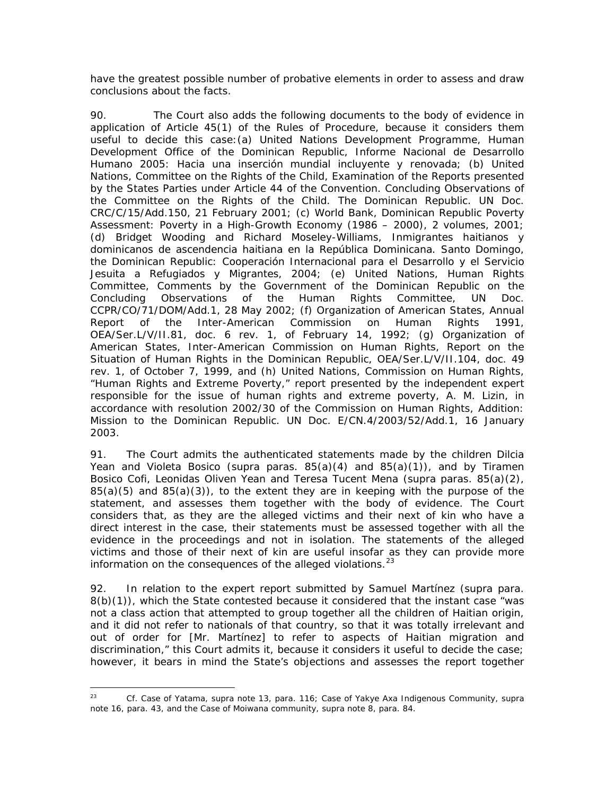have the greatest possible number of probative elements in order to assess and draw conclusions about the facts.

90. The Court also adds the following documents to the body of evidence in application of Article 45(1) of the Rules of Procedure, because it considers them useful to decide this case:(a) United Nations Development Programme, Human Development Office of the Dominican Republic, *Informe Nacional de Desarrollo Humano 2005*: *Hacia una inserción mundial incluyente y renovada*; (b) United Nations, Committee on the Rights of the Child, Examination of the Reports presented by the States Parties under Article 44 of the Convention. Concluding Observations of the Committee on the Rights of the Child. The Dominican Republic. UN Doc. CRC/C/15/Add.150, 21 February 2001; (c) World Bank, Dominican Republic Poverty Assessment: Poverty in a High-Growth Economy (1986 – 2000), 2 volumes, 2001; (d) Bridget Wooding and Richard Moseley-Williams, *Inmigrantes haitianos y dominicanos de ascendencia haitiana en la República Dominicana*. Santo Domingo, the Dominican Republic: *Cooperación Internacional para el Desarrollo y el Servicio Jesuita a Refugiados y Migrantes*, 2004; (e) United Nations, Human Rights Committee, Comments by the Government of the Dominican Republic on the Concluding Observations of the Human Rights Committee, UN Doc. CCPR/CO/71/DOM/Add.1, 28 May 2002; (f) Organization of American States, Annual Report of the Inter-American Commission on Human Rights 1991, OEA/Ser.L/V/II.81, doc. 6 rev. 1, of February 14, 1992; (g) Organization of American States, Inter-American Commission on Human Rights, Report on the Situation of Human Rights in the Dominican Republic, OEA/Ser.L/V/II.104, doc. 49 rev. 1, of October 7, 1999, and (h) United Nations, Commission on Human Rights, "Human Rights and Extreme Poverty," report presented by the independent expert responsible for the issue of human rights and extreme poverty, A. M. Lizin, in accordance with resolution 2002/30 of the Commission on Human Rights, Addition: Mission to the Dominican Republic. UN Doc. E/CN.4/2003/52/Add.1, 16 January 2003.

91. The Court admits the authenticated statements made by the children Dilcia Yean and Violeta Bosico (*supra* paras. 85(a)(4) and 85(a)(1)), and by Tiramen Bosico Cofi, Leonidas Oliven Yean and Teresa Tucent Mena (*supra* paras. 85(a)(2),  $85(a)(5)$  and  $85(a)(3)$ , to the extent they are in keeping with the purpose of the statement, and assesses them together with the body of evidence. The Court considers that, as they are the alleged victims and their next of kin who have a direct interest in the case, their statements must be assessed together with all the evidence in the proceedings and not in isolation. The statements of the alleged victims and those of their next of kin are useful insofar as they can provide more information on the consequences of the alleged violations.<sup>[23](#page-30-0)</sup>

92. In relation to the expert report submitted by Samuel Martínez (*supra* para. 8(b)(1)), which the State contested because it considered that the instant case "was not a class action that attempted to group together all the children of Haitian origin, and it did not refer to nationals of that country, so that it was totally irrelevant and out of order for [Mr. Martínez] to refer to aspects of Haitian migration and discrimination," this Court admits it, because it considers it useful to decide the case; however, it bears in mind the State's objections and assesses the report together

 $\overline{a}$ 

<span id="page-30-0"></span><sup>23</sup> *Cf. Case of Yatama, supra* note 13, para. 116; *Case of Yakye Axa Indigenous Community, supra* note 16, para. 43*,* and *the Case of Moiwana community, supra* note 8, para. 84.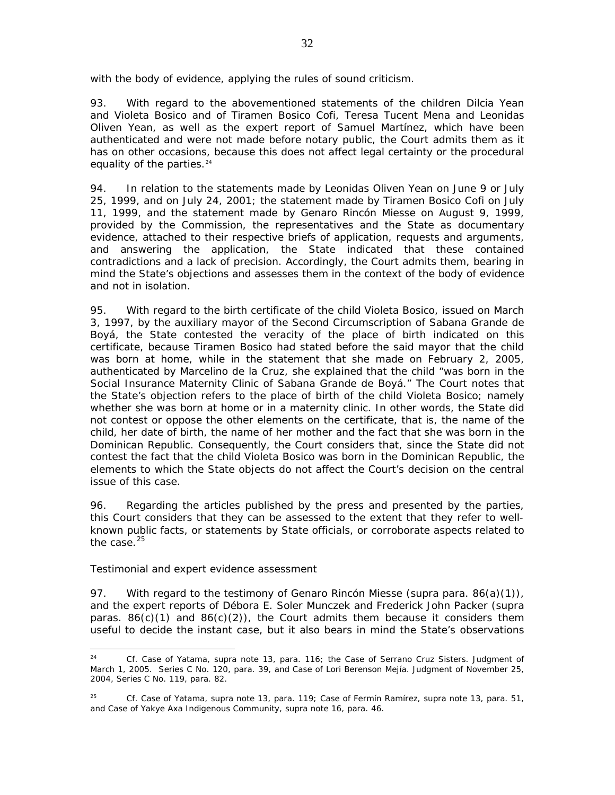with the body of evidence, applying the rules of sound criticism.

93. With regard to the abovementioned statements of the children Dilcia Yean and Violeta Bosico and of Tiramen Bosico Cofi, Teresa Tucent Mena and Leonidas Oliven Yean, as well as the expert report of Samuel Martínez, which have been authenticated and were not made before notary public, the Court admits them as it has on other occasions, because this does not affect legal certainty or the procedural equality of the parties. $24$ 

94. In relation to the statements made by Leonidas Oliven Yean on June 9 or July 25, 1999, and on July 24, 2001; the statement made by Tiramen Bosico Cofi on July 11, 1999, and the statement made by Genaro Rincón Miesse on August 9, 1999, provided by the Commission, the representatives and the State as documentary evidence, attached to their respective briefs of application, requests and arguments, and answering the application, the State indicated that these contained contradictions and a lack of precision. Accordingly, the Court admits them, bearing in mind the State's objections and assesses them in the context of the body of evidence and not in isolation.

95. With regard to the birth certificate of the child Violeta Bosico, issued on March 3, 1997, by the auxiliary mayor of the Second Circumscription of Sabana Grande de Boyá, the State contested the veracity of the place of birth indicated on this certificate, because Tiramen Bosico had stated before the said mayor that the child was born at home, while in the statement that she made on February 2, 2005, authenticated by Marcelino de la Cruz, she explained that the child "was born in the Social Insurance Maternity Clinic of Sabana Grande de Boyá." The Court notes that the State's objection refers to the place of birth of the child Violeta Bosico; namely whether she was born at home or in a maternity clinic. In other words, the State did not contest or oppose the other elements on the certificate, that is, the name of the child, her date of birth, the name of her mother and the fact that she was born in the Dominican Republic. Consequently, the Court considers that, since the State did not contest the fact that the child Violeta Bosico was born in the Dominican Republic, the elements to which the State objects do not affect the Court's decision on the central issue of this case.

96. Regarding the articles published by the press and presented by the parties, this Court considers that they can be assessed to the extent that they refer to wellknown public facts, or statements by State officials, or corroborate aspects related to the case. $25$ 

### *Testimonial and expert evidence assessment*

97. With regard to the testimony of Genaro Rincón Miesse (*supra* para. 86(a)(1)), and the expert reports of Débora E. Soler Munczek and Frederick John Packer (*supra* paras.  $86(c)(1)$  and  $86(c)(2)$ , the Court admits them because it considers them useful to decide the instant case, but it also bears in mind the State's observations

<span id="page-31-0"></span> $24$ <sup>24</sup> *Cf. Case of Yatama, supra* note 13, para. 116; *the Case of Serrano Cruz Sisters.* Judgment of March 1, 2005. Series C No. 120, para. 39, and *Case of Lori Berenson Mejía.* Judgment of November 25, 2004, Series C No. 119, para. 82.

<span id="page-31-1"></span><sup>25</sup> *Cf. Case of Yatama, supra* note 13, para. 119; *Case of Fermín Ramírez, supra* note 13, para. 51, and *Case of Yakye Axa Indigenous Community, supra* note 16, para. 46.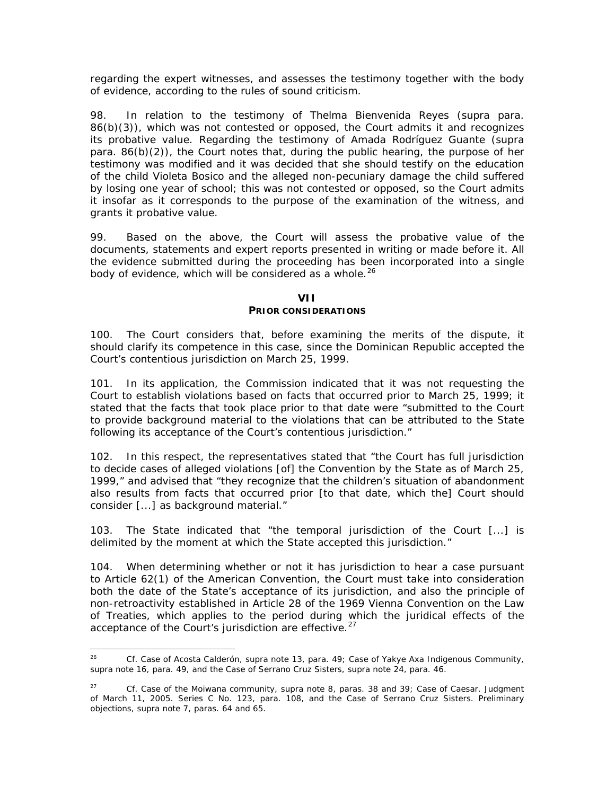regarding the expert witnesses, and assesses the testimony together with the body of evidence, according to the rules of sound criticism.

98. In relation to the testimony of Thelma Bienvenida Reyes (*supra* para. 86(b)(3)), which was not contested or opposed, the Court admits it and recognizes its probative value. Regarding the testimony of Amada Rodríguez Guante (*supra* para. 86(b)(2)), the Court notes that, during the public hearing, the purpose of her testimony was modified and it was decided that she should testify on the education of the child Violeta Bosico and the alleged non-pecuniary damage the child suffered by losing one year of school; this was not contested or opposed, so the Court admits it insofar as it corresponds to the purpose of the examination of the witness, and grants it probative value.

99. Based on the above, the Court will assess the probative value of the documents, statements and expert reports presented in writing or made before it. All the evidence submitted during the proceeding has been incorporated into a single body of evidence, which will be considered as a whole. $26$ 

#### **VII PRIOR CONSIDERATIONS**

100. The Court considers that, before examining the merits of the dispute, it should clarify its competence in this case, since the Dominican Republic accepted the Court's contentious jurisdiction on March 25, 1999.

101. In its application, the Commission indicated that it was not requesting the Court to establish violations based on facts that occurred prior to March 25, 1999; it stated that the facts that took place prior to that date were "submitted to the Court to provide background material to the violations that can be attributed to the State following its acceptance of the Court's contentious jurisdiction."

102. In this respect, the representatives stated that "the Court has full jurisdiction to decide cases of alleged violations [of] the Convention by the State as of March 25, 1999," and advised that "they recognize that the children's situation of abandonment also results from facts that occurred prior [to that date, which the] Court should consider [...] as background material."

103. The State indicated that "the temporal jurisdiction of the Court [...] is delimited by the moment at which the State accepted this jurisdiction."

104. When determining whether or not it has jurisdiction to hear a case pursuant to Article 62(1) of the American Convention, the Court must take into consideration both the date of the State's acceptance of its jurisdiction, and also the principle of non-retroactivity established in Article 28 of the 1969 Vienna Convention on the Law of Treaties, which applies to the period during which the juridical effects of the acceptance of the Court's jurisdiction are effective.<sup>[27](#page-32-1)</sup>

<span id="page-32-0"></span> $26$ <sup>26</sup> *Cf. Case of Acosta Calderón, supra* note 13, para. 49*; Case of Yakye Axa Indigenous Community, supra* note 16, para. 49, and *the Case of Serrano Cruz Sisters, supra* note 24, para. 46.

<span id="page-32-1"></span><sup>27</sup> *Cf. Case of the Moiwana community, supra* note 8, paras. 38 and 39; *Case of Caesar*. Judgment of March 11, 2005. Series C No. 123, para. 108, and *the Case of Serrano Cruz Sisters*. *Preliminary objections, supra* note 7, paras. 64 and 65.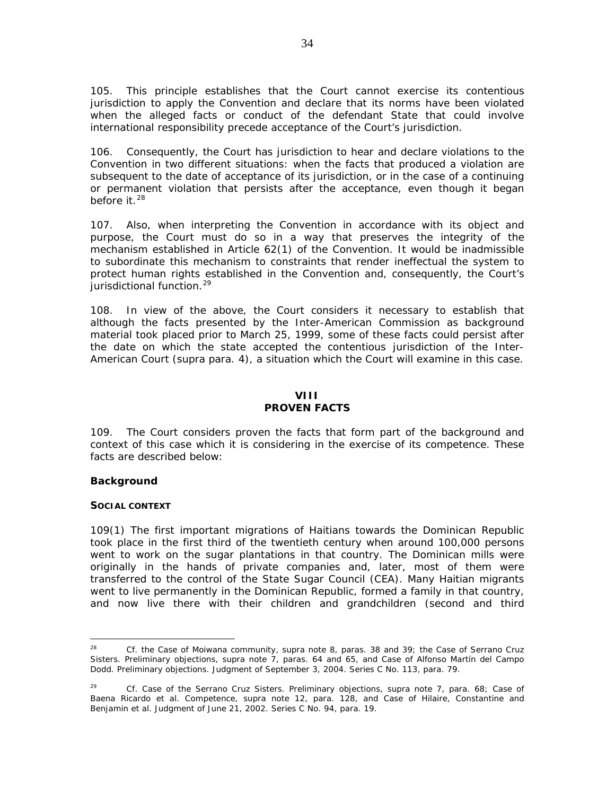105. This principle establishes that the Court cannot exercise its contentious jurisdiction to apply the Convention and declare that its norms have been violated when the alleged facts or conduct of the defendant State that could involve international responsibility precede acceptance of the Court's jurisdiction.

106. Consequently, the Court has jurisdiction to hear and declare violations to the Convention in two different situations: when the facts that produced a violation are subsequent to the date of acceptance of its jurisdiction, or in the case of a continuing or permanent violation that persists after the acceptance, even though it began before it. $^{28}$  $^{28}$  $^{28}$ 

107. Also, when interpreting the Convention in accordance with its object and purpose, the Court must do so in a way that preserves the integrity of the mechanism established in Article 62(1) of the Convention. It would be inadmissible to subordinate this mechanism to constraints that render ineffectual the system to protect human rights established in the Convention and, consequently, the Court's jurisdictional function.<sup>[29](#page-33-1)</sup>

108. In view of the above, the Court considers it necessary to establish that although the facts presented by the Inter-American Commission as background material took placed prior to March 25, 1999, some of these facts could persist after the date on which the state accepted the contentious jurisdiction of the Inter-American Court (*supra* para. 4), a situation which the Court will examine in this case.

#### **VIII PROVEN FACTS**

109. The Court considers proven the facts that form part of the background and context of this case which it is considering in the exercise of its competence. These facts are described below:

### *Background*

### *SOCIAL CONTEXT*

109(1) The first important migrations of Haitians towards the Dominican Republic took place in the first third of the twentieth century when around 100,000 persons went to work on the sugar plantations in that country. The Dominican mills were originally in the hands of private companies and, later, most of them were transferred to the control of the State Sugar Council (CEA). Many Haitian migrants went to live permanently in the Dominican Republic, formed a family in that country, and now live there with their children and grandchildren (second and third

<span id="page-33-0"></span> $28$ <sup>28</sup> *Cf. the Case of Moiwana community, supra* note 8, paras. 38 and 39; *the Case of Serrano Cruz Sisters*. *Preliminary objections*, *supra* note 7, paras. 64 and 65, and *Case of Alfonso Martín del Campo Dodd. Preliminary objections.* Judgment of September 3, 2004. Series C No. 113, para. 79.

<span id="page-33-1"></span><sup>29</sup> *Cf. Case of the Serrano Cruz Sisters*. *Preliminary objections, supra* note 7, para. 68; *Case of Baena Ricardo et al. Competence*, *supra* note 12, para. 128, and *Case of Hilaire, Constantine and Benjamin et al*. Judgment of June 21, 2002. Series C No. 94, para. 19.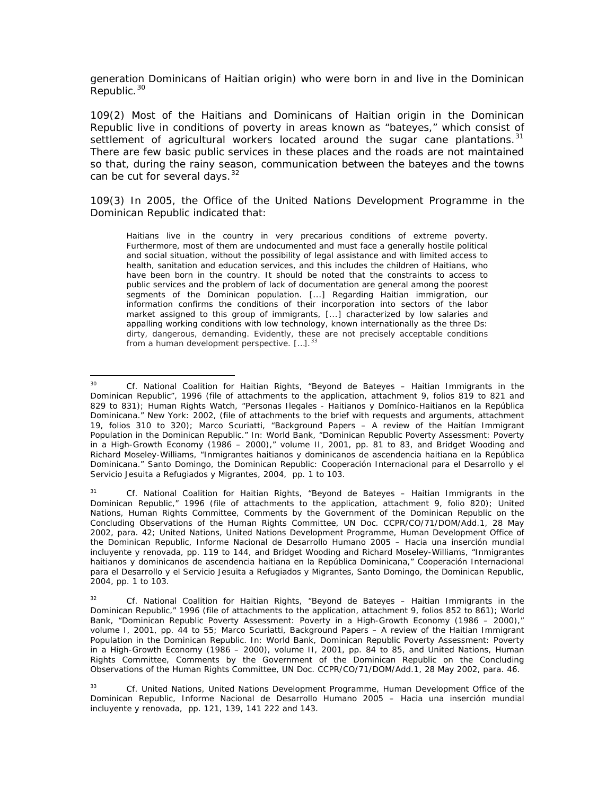generation Dominicans of Haitian origin) who were born in and live in the Dominican Republic.<sup>[30](#page-34-0)</sup>

109(2) Most of the Haitians and Dominicans of Haitian origin in the Dominican Republic live in conditions of poverty in areas known as "bateyes," which consist of settlement of agricultural workers located around the sugar cane plantations. $31$ There are few basic public services in these places and the roads are not maintained so that, during the rainy season, communication between the bateyes and the towns can be cut for several days.  $32$ 

109(3) In 2005, the Office of the United Nations Development Programme in the Dominican Republic indicated that:

Haitians live in the country in very precarious conditions of extreme poverty. Furthermore, most of them are undocumented and must face a generally hostile political and social situation, without the possibility of legal assistance and with limited access to health, sanitation and education services, and this includes the children of Haitians, who have been born in the country. It should be noted that the constraints to access to public services and the problem of lack of documentation are general among the poorest segments of the Dominican population. [...] Regarding Haitian immigration, our information confirms the conditions of their incorporation into sectors of the labor market assigned to this group of immigrants, [...] characterized by low salaries and appalling working conditions with low technology, known internationally as the three Ds: dirty, dangerous, demanding. Evidently, these are not precisely acceptable conditions from a human development perspective. [...].<sup>[33](#page-34-3)</sup>

<span id="page-34-0"></span> $\overline{a}$ <sup>30</sup> *Cf.* National Coalition for Haitian Rights, "Beyond de Bateyes – Haitian Immigrants in the Dominican Republic", 1996 (file of attachments to the application, attachment 9, folios 819 to 821 and 829 to 831); *Human Rights Watch*, "*Personas Ilegales - Haitianos y Domínico-Haitianos en la República Dominicana.*" New York: 2002, (file of attachments to the brief with requests and arguments, attachment 19, folios 310 to 320); Marco Scuriatti, "Background Papers – A review of the Haitían Immigrant Population in the Dominican Republic." In: World Bank, "Dominican Republic Poverty Assessment: Poverty in a High-Growth Economy (1986 – 2000)," volume II, 2001, pp. 81 to 83, and Bridget Wooding and Richard Moseley-Williams, "*Inmigrantes haitianos y dominicanos de ascendencia haitiana en la República Dominicana.*" Santo Domingo, the Dominican Republic: *Cooperación Internacional para el Desarrollo y el Servicio Jesuita a Refugiados y Migrantes*, 2004, pp. 1 to 103.

<span id="page-34-1"></span><sup>&</sup>lt;sup>31</sup> Cf. National Coalition for Haitian Rights, "Beyond de Bateyes – Haitian Immigrants in the Dominican Republic," 1996 (file of attachments to the application, attachment 9, folio 820); United Nations, Human Rights Committee, Comments by the Government of the Dominican Republic on the Concluding Observations of the Human Rights Committee, UN Doc. CCPR/CO/71/DOM/Add.1, 28 May 2002, para. 42; United Nations, United Nations Development Programme, Human Development Office of the Dominican Republic, *Informe Nacional de Desarrollo Humano 2005 – Hacia una inserción mundial incluyente y renovada*, pp. 119 to 144, and Bridget Wooding and Richard Moseley-Williams, "*Inmigrantes haitianos y dominicanos de ascendencia haitiana en la República Dominicana," Cooperación Internacional para el Desarrollo y el Servicio Jesuita a Refugiados y Migrantes*, Santo Domingo, the Dominican Republic, 2004, pp. 1 to 103.

<span id="page-34-2"></span><sup>32</sup> *Cf.* National Coalition for Haitian Rights, "Beyond de Bateyes – Haitian Immigrants in the Dominican Republic," 1996 (file of attachments to the application, attachment 9, folios 852 to 861); World Bank, "Dominican Republic Poverty Assessment: Poverty in a High-Growth Economy (1986 – 2000)," volume I, 2001, pp. 44 to 55; Marco Scuriatti, Background Papers – A review of the Haitian Immigrant Population in the Dominican Republic. In: World Bank, Dominican Republic Poverty Assessment: Poverty in a High-Growth Economy (1986 – 2000), volume II, 2001, pp. 84 to 85, and United Nations, Human Rights Committee, Comments by the Government of the Dominican Republic on the Concluding Observations of the Human Rights Committee, UN Doc. CCPR/CO/71/DOM/Add.1, 28 May 2002, para. 46.

<span id="page-34-3"></span><sup>33</sup> *Cf.* United Nations, United Nations Development Programme, Human Development Office of the Dominican Republic, *Informe Nacional de Desarrollo Humano 2005 – Hacia una inserción mundial incluyente y renovada*, pp. 121, 139, 141 222 and 143.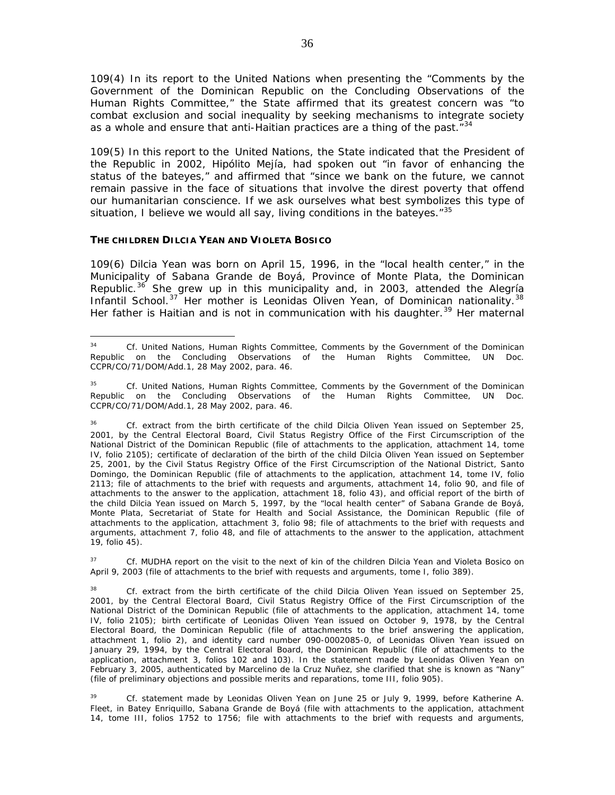109(4) In its report to the United Nations when presenting the "Comments by the Government of the Dominican Republic on the Concluding Observations of the Human Rights Committee," the State affirmed that its greatest concern was "to combat exclusion and social inequality by seeking mechanisms to integrate society as a whole and ensure that anti-Haitian practices are a thing of the past.<sup>"[34](#page-35-0)</sup>

109(5) In this report to the United Nations, the State indicated that the President of the Republic in 2002, Hipólito Mejía, had spoken out "in favor of enhancing the status of the bateyes," and affirmed that "since we bank on the future, we cannot remain passive in the face of situations that involve the direst poverty that offend our humanitarian conscience. If we ask ourselves what best symbolizes this type of situation, I believe we would all say, living conditions in the bateyes. $135$  $135$ 

#### *THE CHILDREN DILCIA YEAN AND VIOLETA BOSICO*

109(6) Dilcia Yean was born on April 15, 1996, in the "local health center," in the Municipality of Sabana Grande de Boyá, Province of Monte Plata, the Dominican Republic.<sup>[36](#page-35-2)</sup> She grew up in this municipality and, in 2003, attended the Alegría Infantil School.<sup>[37](#page-35-3)</sup> Her mother is Leonidas Oliven Yean, of Dominican nationality.<sup>[38](#page-35-4)</sup> Her father is Haitian and is not in communication with his daughter.<sup>[39](#page-35-5)</sup> Her maternal

<span id="page-35-3"></span><sup>37</sup> *Cf.* MUDHA report on the visit to the next of kin of the children Dilcia Yean and Violeta Bosico on April 9, 2003 (file of attachments to the brief with requests and arguments, tome I, folio 389).

<span id="page-35-4"></span><sup>38</sup> *Cf.* extract from the birth certificate of the child Dilcia Oliven Yean issued on September 25, 2001, by the Central Electoral Board, Civil Status Registry Office of the First Circumscription of the National District of the Dominican Republic (file of attachments to the application, attachment 14, tome IV, folio 2105); birth certificate of Leonidas Oliven Yean issued on October 9, 1978, by the Central Electoral Board, the Dominican Republic (file of attachments to the brief answering the application, attachment 1, folio 2), and identity card number 090-0002085-0, of Leonidas Oliven Yean issued on January 29, 1994, by the Central Electoral Board, the Dominican Republic (file of attachments to the application, attachment 3, folios 102 and 103). In the statement made by Leonidas Oliven Yean on February 3, 2005, authenticated by Marcelino de la Cruz Nuñez, she clarified that she is known as "Nany" (file of preliminary objections and possible merits and reparations, tome III, folio 905).

<span id="page-35-5"></span><sup>39</sup> *Cf.* statement made by Leonidas Oliven Yean on June 25 or July 9, 1999, before Katherine A. Fleet, in Batey Enriquillo, Sabana Grande de Boyá (file with attachments to the application, attachment 14, tome III, folios 1752 to 1756; file with attachments to the brief with requests and arguments,

<span id="page-35-0"></span><sup>34</sup> <sup>34</sup> *Cf.* United Nations, Human Rights Committee, Comments by the Government of the Dominican Republic on the Concluding Observations of the Human Rights Committee, UN Doc. CCPR/CO/71/DOM/Add.1, 28 May 2002, para. 46.

<span id="page-35-1"></span><sup>35</sup> *Cf.* United Nations, Human Rights Committee, Comments by the Government of the Dominican Republic on the Concluding Observations of the Human Rights Committee, UN Doc. CCPR/CO/71/DOM/Add.1, 28 May 2002, para. 46.

<span id="page-35-2"></span><sup>&</sup>lt;sup>36</sup> *Cf.* extract from the birth certificate of the child Dilcia Oliven Yean issued on September 25, 2001, by the Central Electoral Board, Civil Status Registry Office of the First Circumscription of the National District of the Dominican Republic (file of attachments to the application, attachment 14, tome IV, folio 2105); certificate of declaration of the birth of the child Dilcia Oliven Yean issued on September 25, 2001, by the Civil Status Registry Office of the First Circumscription of the National District, Santo Domingo, the Dominican Republic (file of attachments to the application, attachment 14, tome IV, folio 2113; file of attachments to the brief with requests and arguments, attachment 14, folio 90, and file of attachments to the answer to the application, attachment 18, folio 43), and official report of the birth of the child Dilcia Yean issued on March 5, 1997, by the "local health center" of Sabana Grande de Boyá, Monte Plata, Secretariat of State for Health and Social Assistance, the Dominican Republic (file of attachments to the application, attachment 3, folio 98; file of attachments to the brief with requests and arguments, attachment 7, folio 48, and file of attachments to the answer to the application, attachment 19, folio 45).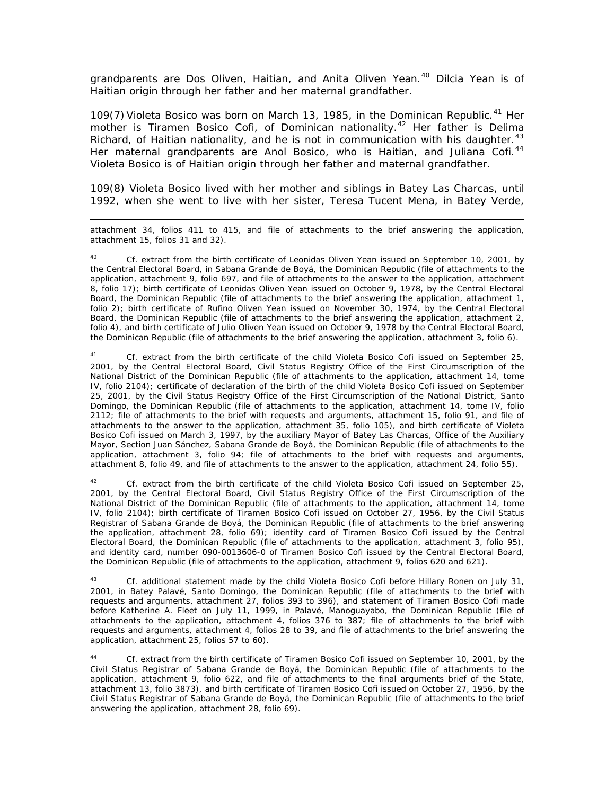grandparents are Dos Oliven, Haitian, and Anita Oliven Yean.<sup>[40](#page-36-0)</sup> Dilcia Yean is of Haitian origin through her father and her maternal grandfather.

109(7) Violeta Bosico was born on March 13, 1985, in the Dominican Republic.<sup>[41](#page-36-1)</sup> Her mother is Tiramen Bosico Cofi, of Dominican nationality.<sup>[42](#page-36-2)</sup> Her father is Delima Richard, of Haitian nationality, and he is not in communication with his daughter.<sup>[43](#page-36-3)</sup> Her maternal grandparents are Anol Bosico, who is Haitian, and Juliana Cofi.<sup>[44](#page-36-4)</sup> Violeta Bosico is of Haitian origin through her father and maternal grandfather.

109(8) Violeta Bosico lived with her mother and siblings in Batey Las Charcas, until 1992, when she went to live with her sister, Teresa Tucent Mena, in Batey Verde,

 $\overline{a}$ attachment 34, folios 411 to 415, and file of attachments to the brief answering the application, attachment 15, folios 31 and 32).

<span id="page-36-0"></span><sup>40</sup> *Cf.* extract from the birth certificate of Leonidas Oliven Yean issued on September 10, 2001, by the Central Electoral Board, in Sabana Grande de Boyá, the Dominican Republic (file of attachments to the application, attachment 9, folio 697, and file of attachments to the answer to the application, attachment 8, folio 17); birth certificate of Leonidas Oliven Yean issued on October 9, 1978, by the Central Electoral Board, the Dominican Republic (file of attachments to the brief answering the application, attachment 1, folio 2); birth certificate of Rufino Oliven Yean issued on November 30, 1974, by the Central Electoral Board, the Dominican Republic (file of attachments to the brief answering the application, attachment 2, folio 4), and birth certificate of Julio Oliven Yean issued on October 9, 1978 by the Central Electoral Board, the Dominican Republic (file of attachments to the brief answering the application, attachment 3, folio 6).

<span id="page-36-1"></span><sup>41</sup> *Cf.* extract from the birth certificate of the child Violeta Bosico Cofi issued on September 25, 2001, by the Central Electoral Board, Civil Status Registry Office of the First Circumscription of the National District of the Dominican Republic (file of attachments to the application, attachment 14, tome IV, folio 2104); certificate of declaration of the birth of the child Violeta Bosico Cofi issued on September 25, 2001, by the Civil Status Registry Office of the First Circumscription of the National District, Santo Domingo, the Dominican Republic (file of attachments to the application, attachment 14, tome IV, folio 2112; file of attachments to the brief with requests and arguments, attachment 15, folio 91, and file of attachments to the answer to the application, attachment 35, folio 105), and birth certificate of Violeta Bosico Cofi issued on March 3, 1997, by the auxiliary Mayor of Batey Las Charcas, Office of the Auxiliary Mayor, Section Juan Sánchez, Sabana Grande de Boyá, the Dominican Republic (file of attachments to the application, attachment 3, folio 94; file of attachments to the brief with requests and arguments, attachment 8, folio 49, and file of attachments to the answer to the application, attachment 24, folio 55).

<span id="page-36-2"></span><sup>42</sup> *Cf.* extract from the birth certificate of the child Violeta Bosico Cofi issued on September 25, 2001, by the Central Electoral Board, Civil Status Registry Office of the First Circumscription of the National District of the Dominican Republic (file of attachments to the application, attachment 14, tome IV, folio 2104); birth certificate of Tiramen Bosico Cofi issued on October 27, 1956, by the Civil Status Registrar of Sabana Grande de Boyá, the Dominican Republic (file of attachments to the brief answering the application, attachment 28, folio 69); identity card of Tiramen Bosico Cofi issued by the Central Electoral Board, the Dominican Republic (file of attachments to the application, attachment 3, folio 95), and identity card, number 090-0013606-0 of Tiramen Bosico Cofi issued by the Central Electoral Board, the Dominican Republic (file of attachments to the application, attachment 9, folios 620 and 621).

<span id="page-36-3"></span><sup>43</sup> *Cf.* additional statement made by the child Violeta Bosico Cofi before Hillary Ronen on July 31, 2001, in Batey Palavé, Santo Domingo, the Dominican Republic (file of attachments to the brief with requests and arguments, attachment 27, folios 393 to 396), and statement of Tiramen Bosico Cofi made before Katherine A. Fleet on July 11, 1999, in Palavé, Manoguayabo, the Dominican Republic (file of attachments to the application, attachment 4, folios 376 to 387; file of attachments to the brief with requests and arguments, attachment 4, folios 28 to 39, and file of attachments to the brief answering the application, attachment 25, folios 57 to 60).

<span id="page-36-4"></span><sup>44</sup> *Cf.* extract from the birth certificate of Tiramen Bosico Cofi issued on September 10, 2001, by the Civil Status Registrar of Sabana Grande de Boyá, the Dominican Republic (file of attachments to the application, attachment 9, folio 622, and file of attachments to the final arguments brief of the State, attachment 13, folio 3873), and birth certificate of Tiramen Bosico Cofi issued on October 27, 1956, by the Civil Status Registrar of Sabana Grande de Boyá, the Dominican Republic (file of attachments to the brief answering the application, attachment 28, folio 69).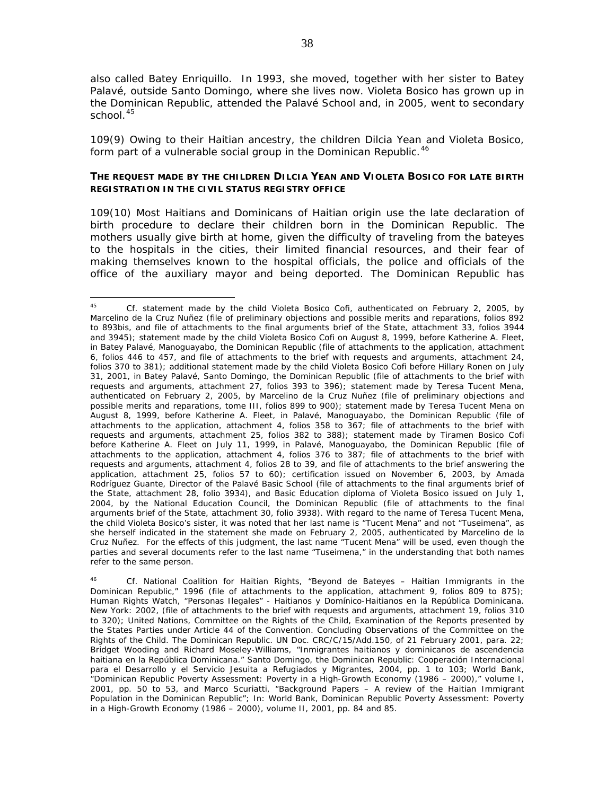also called Batey Enriquillo. In 1993, she moved, together with her sister to Batey Palavé, outside Santo Domingo, where she lives now. Violeta Bosico has grown up in the Dominican Republic, attended the Palavé School and, in 2005, went to secondary school.<sup>[45](#page-37-0)</sup>

109(9) Owing to their Haitian ancestry, the children Dilcia Yean and Violeta Bosico, form part of a vulnerable social group in the Dominican Republic.<sup>[46](#page-37-1)</sup>

## *THE REQUEST MADE BY THE CHILDREN DILCIA YEAN AND VIOLETA BOSICO FOR LATE BIRTH REGISTRATION IN THE CIVIL STATUS REGISTRY OFFICE*

109(10) Most Haitians and Dominicans of Haitian origin use the late declaration of birth procedure to declare their children born in the Dominican Republic. The mothers usually give birth at home, given the difficulty of traveling from the bateyes to the hospitals in the cities, their limited financial resources, and their fear of making themselves known to the hospital officials, the police and officials of the office of the auxiliary mayor and being deported. The Dominican Republic has

<span id="page-37-0"></span> $\overline{a}$ <sup>45</sup> *Cf.* statement made by the child Violeta Bosico Cofi, authenticated on February 2, 2005, by Marcelino de la Cruz Nuñez (file of preliminary objections and possible merits and reparations, folios 892 to 893bis, and file of attachments to the final arguments brief of the State, attachment 33, folios 3944 and 3945); statement made by the child Violeta Bosico Cofi on August 8, 1999, before Katherine A. Fleet, in Batey Palavé, Manoguayabo, the Dominican Republic (file of attachments to the application, attachment 6, folios 446 to 457, and file of attachments to the brief with requests and arguments, attachment 24, folios 370 to 381); additional statement made by the child Violeta Bosico Cofi before Hillary Ronen on July 31, 2001, in Batey Palavé, Santo Domingo, the Dominican Republic (file of attachments to the brief with requests and arguments, attachment 27, folios 393 to 396); statement made by Teresa Tucent Mena, authenticated on February 2, 2005, by Marcelino de la Cruz Nuñez (file of preliminary objections and possible merits and reparations, tome III, folios 899 to 900); statement made by Teresa Tucent Mena on August 8, 1999, before Katherine A. Fleet, in Palavé, Manoguayabo, the Dominican Republic (file of attachments to the application, attachment 4, folios 358 to 367; file of attachments to the brief with requests and arguments, attachment 25, folios 382 to 388); statement made by Tiramen Bosico Cofi before Katherine A. Fleet on July 11, 1999, in Palavé, Manoguayabo, the Dominican Republic (file of attachments to the application, attachment 4, folios 376 to 387; file of attachments to the brief with requests and arguments, attachment 4, folios 28 to 39, and file of attachments to the brief answering the application, attachment 25, folios 57 to 60); certification issued on November 6, 2003, by Amada Rodríguez Guante, Director of the Palavé Basic School (file of attachments to the final arguments brief of the State, attachment 28, folio 3934), and Basic Education diploma of Violeta Bosico issued on July 1, 2004, by the National Education Council, the Dominican Republic (file of attachments to the final arguments brief of the State, attachment 30, folio 3938). With regard to the name of Teresa Tucent Mena, the child Violeta Bosico's sister, it was noted that her last name is "Tucent Mena" and not "Tuseimena", as she herself indicated in the statement she made on February 2, 2005, authenticated by Marcelino de la Cruz Nuñez. For the effects of this judgment, the last name "Tucent Mena" will be used, even though the parties and several documents refer to the last name "Tuseimena," in the understanding that both names .<br>refer to the same person.

<span id="page-37-1"></span><sup>46</sup> *Cf.* National Coalition for Haitian Rights, "Beyond de Bateyes – Haitian Immigrants in the Dominican Republic," 1996 (file of attachments to the application, attachment 9, folios 809 to 875); Human Rights Watch*, "Personas Ilegales" - Haitianos y Domínico-Haitianos en la República Dominicana*. New York: 2002, (file of attachments to the brief with requests and arguments, attachment 19, folios 310 to 320); United Nations, Committee on the Rights of the Child, Examination of the Reports presented by the States Parties under Article 44 of the Convention. Concluding Observations of the Committee on the Rights of the Child. The Dominican Republic. UN Doc. CRC/C/15/Add.150, of 21 February 2001, para. 22; Bridget Wooding and Richard Moseley-Williams, *"Inmigrantes haitianos y dominicanos de ascendencia haitiana en la República Dominicana."* Santo Domingo, the Dominican Republic: *Cooperación Internacional para el Desarrollo y el Servicio Jesuita a Refugiados y Migrantes*, 2004, pp. 1 to 103; World Bank, "Dominican Republic Poverty Assessment: Poverty in a High-Growth Economy (1986 – 2000)," volume I, 2001, pp. 50 to 53, and Marco Scuriatti, "Background Papers – A review of the Haitian Immigrant Population in the Dominican Republic"; In: World Bank, Dominican Republic Poverty Assessment: Poverty in a High-Growth Economy (1986 – 2000), volume II, 2001, pp. 84 and 85.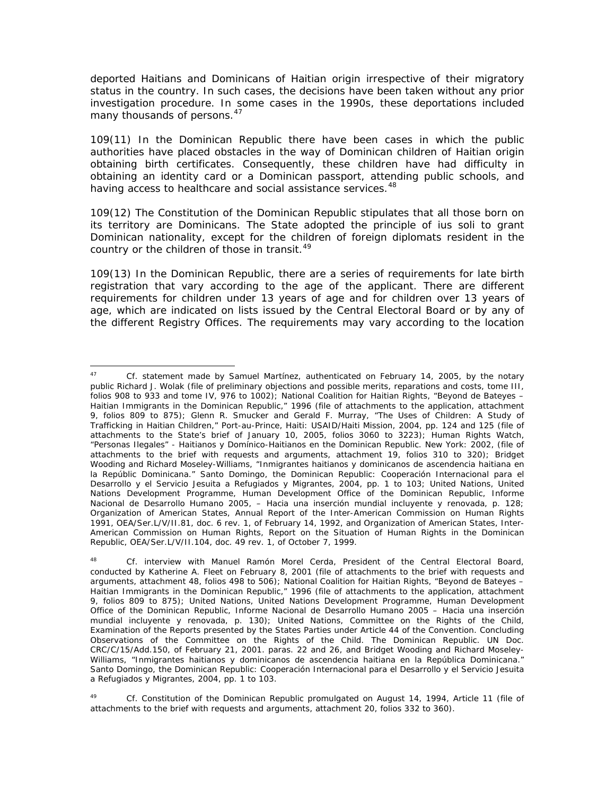deported Haitians and Dominicans of Haitian origin irrespective of their migratory status in the country. In such cases, the decisions have been taken without any prior investigation procedure. In some cases in the 1990s, these deportations included many thousands of persons.<sup>[47](#page-38-0)</sup>

109(11) In the Dominican Republic there have been cases in which the public authorities have placed obstacles in the way of Dominican children of Haitian origin obtaining birth certificates. Consequently, these children have had difficulty in obtaining an identity card or a Dominican passport, attending public schools, and having access to healthcare and social assistance services.<sup>[48](#page-38-1)</sup>

109(12) The Constitution of the Dominican Republic stipulates that all those born on its territory are Dominicans. The State adopted the principle of *ius soli* to grant Dominican nationality, except for the children of foreign diplomats resident in the country or the children of those in transit.<sup>[49](#page-38-2)</sup>

109(13) In the Dominican Republic, there are a series of requirements for late birth registration that vary according to the age of the applicant. There are different requirements for children under 13 years of age and for children over 13 years of age, which are indicated on lists issued by the Central Electoral Board or by any of the different Registry Offices. The requirements may vary according to the location

<span id="page-38-0"></span> $47$ 47 *Cf.* statement made by Samuel Martínez, authenticated on February 14, 2005, by the notary public Richard J. Wolak (file of preliminary objections and possible merits, reparations and costs, tome III, folios 908 to 933 and tome IV, 976 to 1002); National Coalition for Haitian Rights, "Beyond de Bateyes – Haitian Immigrants in the Dominican Republic," 1996 (file of attachments to the application, attachment 9, folios 809 to 875); Glenn R. Smucker and Gerald F. Murray, "The Uses of Children: A Study of Trafficking in Haitian Children," Port-au-Prince, Haiti: USAID/Haiti Mission, 2004, pp. 124 and 125 (file of attachments to the State's brief of January 10, 2005, folios 3060 to 3223); Human Rights Watch, *"Personas Ilegales" - Haitianos y Domínico-Haitianos en the Dominican Republic.* New York: 2002, (file of attachments to the brief with requests and arguments, attachment 19, folios 310 to 320); Bridget Wooding and Richard Moseley-Williams, *"Inmigrantes haitianos y dominicanos de ascendencia haitiana en la Repúblic Dominicana.*" Santo Domingo, the Dominican Republic: *Cooperación Internacional para el Desarrollo y el Servicio Jesuita a Refugiados y Migrantes*, 2004, pp. 1 to 103; United Nations, United Nations Development Programme, Human Development Office of the Dominican Republic, *Informe Nacional de Desarrollo Humano 2005, – Hacia una inserción mundial incluyente y renovada*, p. 128; Organization of American States, Annual Report of the Inter-American Commission on Human Rights 1991, OEA/Ser.L/V/II.81, doc. 6 rev. 1, of February 14, 1992, and Organization of American States, Inter-American Commission on Human Rights, Report on the Situation of Human Rights in the Dominican Republic, OEA/Ser.L/V/II.104, doc. 49 rev. 1, of October 7, 1999.

<span id="page-38-1"></span><sup>48</sup> *Cf.* interview with Manuel Ramón Morel Cerda, President of the Central Electoral Board, conducted by Katherine A. Fleet on February 8, 2001 (file of attachments to the brief with requests and arguments, attachment 48, folios 498 to 506); National Coalition for Haitian Rights, "Beyond de Bateyes – Haitian Immigrants in the Dominican Republic," 1996 (file of attachments to the application, attachment 9, folios 809 to 875); United Nations, United Nations Development Programme, Human Development Office of the Dominican Republic, *Informe Nacional de Desarrollo Humano 2005 – Hacia una inserción mundial incluyente y renovada*, p. 130); United Nations, Committee on the Rights of the Child, Examination of the Reports presented by the States Parties under Article 44 of the Convention. Concluding Observations of the Committee on the Rights of the Child. The Dominican Republic. UN Doc. CRC/C/15/Add.150, of February 21, 2001. paras. 22 and 26, and Bridget Wooding and Richard Moseley-Williams, "*Inmigrantes haitianos y dominicanos de ascendencia haitiana en la República Dominicana."*  Santo Domingo, the Dominican Republic: *Cooperación Internacional para el Desarrollo y el Servicio Jesuita a Refugiados y Migrantes*, 2004, pp. 1 to 103.

<span id="page-38-2"></span><sup>49</sup> *Cf.* Constitution of the Dominican Republic promulgated on August 14, 1994, Article 11 (file of attachments to the brief with requests and arguments, attachment 20, folios 332 to 360).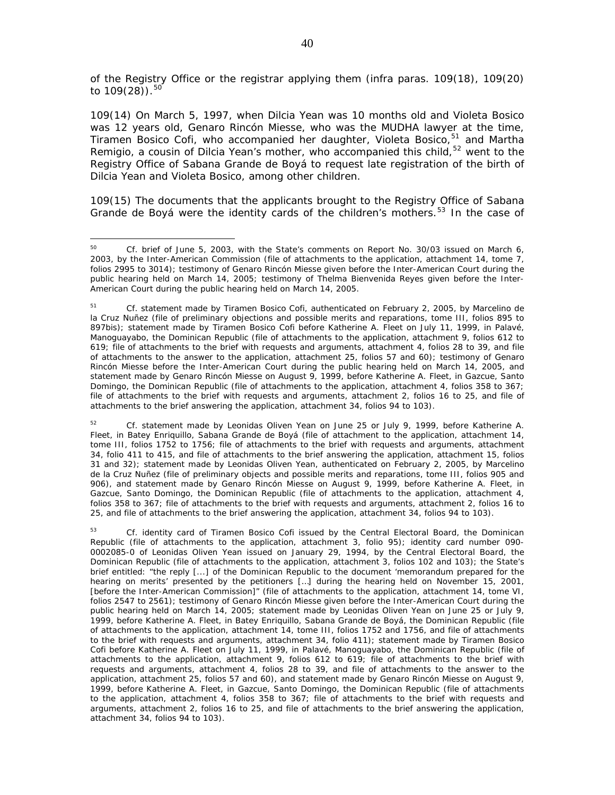of the Registry Office or the registrar applying them (*infra* paras. 109(18), 109(20) to  $109(28)$ ).  $50$ 

109(14) On March 5, 1997, when Dilcia Yean was 10 months old and Violeta Bosico was 12 years old, Genaro Rincón Miesse, who was the MUDHA lawyer at the time, Tiramen Bosico Cofi, who accompanied her daughter, Violeta Bosico,<sup>[51](#page-39-1)</sup> and Martha Remigio, a cousin of Dilcia Yean's mother, who accompanied this child,  $52$  went to the Registry Office of Sabana Grande de Boyá to request late registration of the birth of Dilcia Yean and Violeta Bosico, among other children.

109(15) The documents that the applicants brought to the Registry Office of Sabana Grande de Boyá were the identity cards of the children's mothers.<sup>[53](#page-39-3)</sup> In the case of

<span id="page-39-2"></span><sup>52</sup> *Cf*. statement made by Leonidas Oliven Yean on June 25 or July 9, 1999, before Katherine A. Fleet, in Batey Enriquillo, Sabana Grande de Boyá (file of attachment to the application, attachment 14, tome III, folios 1752 to 1756; file of attachments to the brief with requests and arguments, attachment 34, folio 411 to 415, and file of attachments to the brief answering the application, attachment 15, folios 31 and 32); statement made by Leonidas Oliven Yean, authenticated on February 2, 2005, by Marcelino de la Cruz Nuñez (file of preliminary objects and possible merits and reparations, tome III, folios 905 and 906), and statement made by Genaro Rincón Miesse on August 9, 1999, before Katherine A. Fleet, in Gazcue, Santo Domingo, the Dominican Republic (file of attachments to the application, attachment 4, folios 358 to 367; file of attachments to the brief with requests and arguments, attachment 2, folios 16 to 25, and file of attachments to the brief answering the application, attachment 34, folios 94 to 103).

<span id="page-39-3"></span><sup>53</sup> *Cf.* identity card of Tiramen Bosico Cofi issued by the Central Electoral Board, the Dominican Republic (file of attachments to the application, attachment 3, folio 95); identity card number 090- 0002085-0 of Leonidas Oliven Yean issued on January 29, 1994, by the Central Electoral Board, the Dominican Republic (file of attachments to the application, attachment 3, folios 102 and 103); the State's brief entitled: "the reply [...] of the Dominican Republic to the document 'memorandum prepared for the hearing on merits' presented by the petitioners […] during the hearing held on November 15, 2001, [before the Inter-American Commission]" (file of attachments to the application, attachment 14, tome VI, folios 2547 to 2561); testimony of Genaro Rincón Miesse given before the Inter-American Court during the public hearing held on March 14, 2005; statement made by Leonidas Oliven Yean on June 25 or July 9, 1999, before Katherine A. Fleet, in Batey Enriquillo, Sabana Grande de Boyá, the Dominican Republic (file of attachments to the application, attachment 14, tome III, folios 1752 and 1756, and file of attachments to the brief with requests and arguments, attachment 34, folio 411); statement made by Tiramen Bosico Cofi before Katherine A. Fleet on July 11, 1999, in Palavé, Manoguayabo, the Dominican Republic (file of attachments to the application, attachment 9, folios 612 to 619; file of attachments to the brief with requests and arguments, attachment 4, folios 28 to 39, and file of attachments to the answer to the application, attachment 25, folios 57 and 60), and statement made by Genaro Rincón Miesse on August 9, 1999, before Katherine A. Fleet, in Gazcue, Santo Domingo, the Dominican Republic (file of attachments to the application, attachment 4, folios 358 to 367; file of attachments to the brief with requests and arguments, attachment 2, folios 16 to 25, and file of attachments to the brief answering the application, attachment 34, folios 94 to 103).

<span id="page-39-0"></span> $50^{\circ}$ <sup>50</sup> *Cf.* brief of June 5, 2003, with the State's comments on Report No. 30/03 issued on March 6, 2003, by the Inter-American Commission (file of attachments to the application, attachment 14, tome 7, folios 2995 to 3014); testimony of Genaro Rincón Miesse given before the Inter-American Court during the public hearing held on March 14, 2005; testimony of Thelma Bienvenida Reyes given before the Inter-American Court during the public hearing held on March 14, 2005.

<span id="page-39-1"></span><sup>51</sup> *Cf.* statement made by Tiramen Bosico Cofi, authenticated on February 2, 2005, by Marcelino de la Cruz Nuñez (file of preliminary objections and possible merits and reparations, tome III, folios 895 to 897bis); statement made by Tiramen Bosico Cofi before Katherine A. Fleet on July 11, 1999, in Palavé, Manoguayabo, the Dominican Republic (file of attachments to the application, attachment 9, folios 612 to 619; file of attachments to the brief with requests and arguments, attachment 4, folios 28 to 39, and file of attachments to the answer to the application, attachment 25, folios 57 and 60); testimony of Genaro Rincón Miesse before the Inter-American Court during the public hearing held on March 14, 2005, and statement made by Genaro Rincón Miesse on August 9, 1999, before Katherine A. Fleet, in Gazcue, Santo Domingo, the Dominican Republic (file of attachments to the application, attachment 4, folios 358 to 367; file of attachments to the brief with requests and arguments, attachment 2, folios 16 to 25, and file of attachments to the brief answering the application, attachment 34, folios 94 to 103).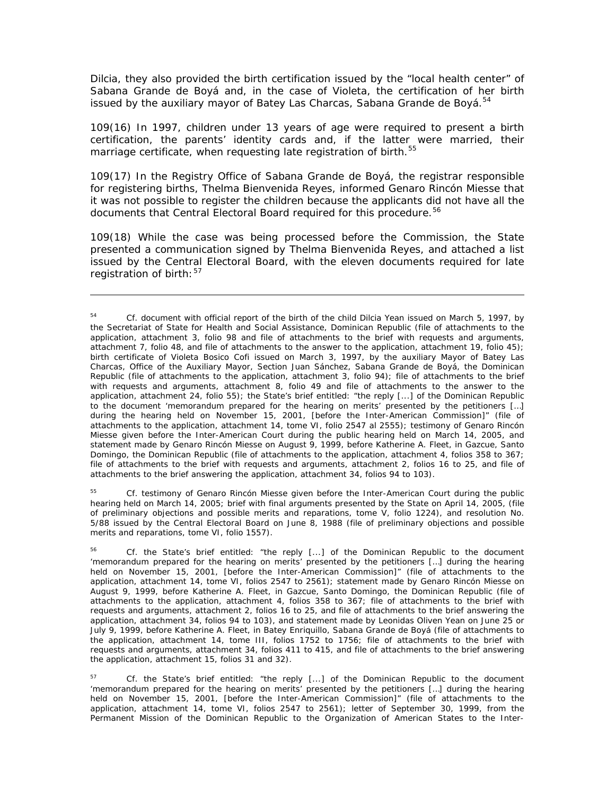Dilcia, they also provided the birth certification issued by the "local health center" of Sabana Grande de Boyá and, in the case of Violeta, the certification of her birth issued by the auxiliary mayor of Batey Las Charcas, Sabana Grande de Boyá.<sup>[54](#page-40-0)</sup>

109(16) In 1997, children under 13 years of age were required to present a birth certification, the parents' identity cards and, if the latter were married, their marriage certificate, when requesting late registration of birth.<sup>[55](#page-40-1)</sup>

109(17) In the Registry Office of Sabana Grande de Boyá, the registrar responsible for registering births, Thelma Bienvenida Reyes, informed Genaro Rincón Miesse that it was not possible to register the children because the applicants did not have all the documents that Central Electoral Board required for this procedure.<sup>[56](#page-40-2)</sup>

109(18) While the case was being processed before the Commission, the State presented a communication signed by Thelma Bienvenida Reyes, and attached a list issued by the Central Electoral Board, with the eleven documents required for late registration of birth:  $57$ 

 $\overline{a}$ 

<span id="page-40-1"></span><sup>55</sup> *Cf.* testimony of Genaro Rincón Miesse given before the Inter-American Court during the public hearing held on March 14, 2005; brief with final arguments presented by the State on April 14, 2005, (file of preliminary objections and possible merits and reparations, tome V, folio 1224), and resolution No. 5/88 issued by the Central Electoral Board on June 8, 1988 (file of preliminary objections and possible merits and reparations, tome VI, folio 1557).

<span id="page-40-2"></span><sup>56</sup> *Cf.* the State's brief entitled: "the reply [...] of the Dominican Republic to the document 'memorandum prepared for the hearing on merits' presented by the petitioners […] during the hearing held on November 15, 2001, [before the Inter-American Commission]" (file of attachments to the application, attachment 14, tome VI, folios 2547 to 2561); statement made by Genaro Rincón Miesse on August 9, 1999, before Katherine A. Fleet, in Gazcue, Santo Domingo, the Dominican Republic (file of attachments to the application, attachment 4, folios 358 to 367; file of attachments to the brief with requests and arguments, attachment 2, folios 16 to 25, and file of attachments to the brief answering the application, attachment 34, folios 94 to 103), and statement made by Leonidas Oliven Yean on June 25 or July 9, 1999, before Katherine A. Fleet, in Batey Enriquillo, Sabana Grande de Boyá (file of attachments to the application, attachment 14, tome III, folios 1752 to 1756; file of attachments to the brief with requests and arguments, attachment 34, folios 411 to 415, and file of attachments to the brief answering the application, attachment 15, folios 31 and 32).

<span id="page-40-3"></span><sup>57</sup> *Cf.* the State's brief entitled: "the reply [...] of the Dominican Republic to the document 'memorandum prepared for the hearing on merits' presented by the petitioners […] during the hearing held on November 15, 2001, [before the Inter-American Commission]" (file of attachments to the application, attachment 14, tome VI, folios 2547 to 2561); letter of September 30, 1999, from the Permanent Mission of the Dominican Republic to the Organization of American States to the Inter-

<span id="page-40-0"></span><sup>54</sup> *Cf.* document with official report of the birth of the child Dilcia Yean issued on March 5, 1997, by the Secretariat of State for Health and Social Assistance, Dominican Republic (file of attachments to the application, attachment 3, folio 98 and file of attachments to the brief with requests and arguments, attachment 7, folio 48, and file of attachments to the answer to the application, attachment 19, folio 45); birth certificate of Violeta Bosico Cofi issued on March 3, 1997, by the auxiliary Mayor of Batey Las Charcas, Office of the Auxiliary Mayor, Section Juan Sánchez, Sabana Grande de Boyá, the Dominican Republic (file of attachments to the application, attachment 3, folio 94); file of attachments to the brief with requests and arguments, attachment 8, folio 49 and file of attachments to the answer to the application, attachment 24, folio 55); the State's brief entitled: "the reply [...] of the Dominican Republic to the document 'memorandum prepared for the hearing on merits' presented by the petitioners […] during the hearing held on November 15, 2001, [before the Inter-American Commission]" (file of attachments to the application, attachment 14, tome VI, folio 2547 al 2555); testimony of Genaro Rincón Miesse given before the Inter-American Court during the public hearing held on March 14, 2005, and statement made by Genaro Rincón Miesse on August 9, 1999, before Katherine A. Fleet, in Gazcue, Santo Domingo, the Dominican Republic (file of attachments to the application, attachment 4, folios 358 to 367; file of attachments to the brief with requests and arguments, attachment 2, folios 16 to 25, and file of attachments to the brief answering the application, attachment 34, folios 94 to 103).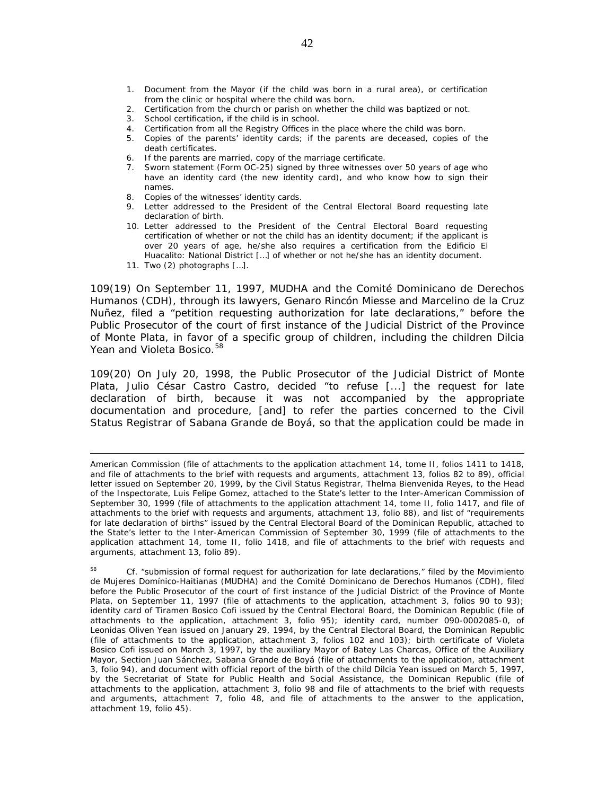- 1. Document from the Mayor (if the child was born in a rural area), or certification from the clinic or hospital where the child was born.
- 2. Certification from the church or parish on whether the child was baptized or not.
- 3. School certification, if the child is in school.
- 4. Certification from all the Registry Offices in the place where the child was born.
- 5. Copies of the parents' identity cards; if the parents are deceased, copies of the death certificates.
- 6. If the parents are married, copy of the marriage certificate.
- 7. Sworn statement (Form OC-25) signed by three witnesses over 50 years of age who have an identity card (the new identity card), and who know how to sign their names.
- 8. Copies of the witnesses' identity cards.<br>9. Letter addressed to the President of
- Letter addressed to the President of the Central Electoral Board requesting late declaration of birth.
- 10. Letter addressed to the President of the Central Electoral Board requesting certification of whether or not the child has an identity document; if the applicant is over 20 years of age, he/she also requires a certification from the Edificio El Huacalito: National District […] of whether or not he/she has an identity document.
- 11. Two (2) photographs […].

 $\overline{a}$ 

109(19) On September 11, 1997, MUDHA and the *Comité Dominicano de Derechos Humanos* (CDH), through its lawyers, Genaro Rincón Miesse and Marcelino de la Cruz Nuñez, filed a "petition requesting authorization for late declarations," before the Public Prosecutor of the court of first instance of the Judicial District of the Province of Monte Plata, in favor of a specific group of children, including the children Dilcia Yean and Violeta Bosico.<sup>[58](#page-41-0)</sup>

109(20) On July 20, 1998, the Public Prosecutor of the Judicial District of Monte Plata, Julio César Castro Castro, decided "to refuse [...] the request for late declaration of birth, because it was not accompanied by the appropriate documentation and procedure, [and] to refer the parties concerned to the Civil Status Registrar of Sabana Grande de Boyá, so that the application could be made in

American Commission (file of attachments to the application attachment 14, tome II, folios 1411 to 1418, and file of attachments to the brief with requests and arguments, attachment 13, folios 82 to 89), official letter issued on September 20, 1999, by the Civil Status Registrar, Thelma Bienvenida Reyes, to the Head of the Inspectorate, Luis Felipe Gomez, attached to the State's letter to the Inter-American Commission of September 30, 1999 (file of attachments to the application attachment 14, tome II, folio 1417, and file of attachments to the brief with requests and arguments, attachment 13, folio 88), and list of "requirements for late declaration of births" issued by the Central Electoral Board of the Dominican Republic, attached to the State's letter to the Inter-American Commission of September 30, 1999 (file of attachments to the application attachment 14, tome II, folio 1418, and file of attachments to the brief with requests and arguments, attachment 13, folio 89).

<span id="page-41-0"></span><sup>58</sup> *Cf.* "submission of formal request for authorization for late declarations," filed by the *Movimiento de Mujeres Domínico-Haitianas* (MUDHA) and the *Comité Dominicano de Derechos Humanos* (CDH), filed before the Public Prosecutor of the court of first instance of the Judicial District of the Province of Monte Plata, on September 11, 1997 (file of attachments to the application, attachment 3, folios 90 to 93); identity card of Tiramen Bosico Cofi issued by the Central Electoral Board, the Dominican Republic (file of attachments to the application, attachment 3, folio 95); identity card, number 090-0002085-0, of Leonidas Oliven Yean issued on January 29, 1994, by the Central Electoral Board, the Dominican Republic (file of attachments to the application, attachment 3, folios 102 and 103); birth certificate of Violeta Bosico Cofi issued on March 3, 1997, by the auxiliary Mayor of Batey Las Charcas, Office of the Auxiliary Mayor, Section Juan Sánchez, Sabana Grande de Boyá (file of attachments to the application, attachment 3, folio 94), and document with official report of the birth of the child Dilcia Yean issued on March 5, 1997, by the Secretariat of State for Public Health and Social Assistance, the Dominican Republic (file of attachments to the application, attachment 3, folio 98 and file of attachments to the brief with requests and arguments, attachment 7, folio 48, and file of attachments to the answer to the application, attachment 19, folio 45).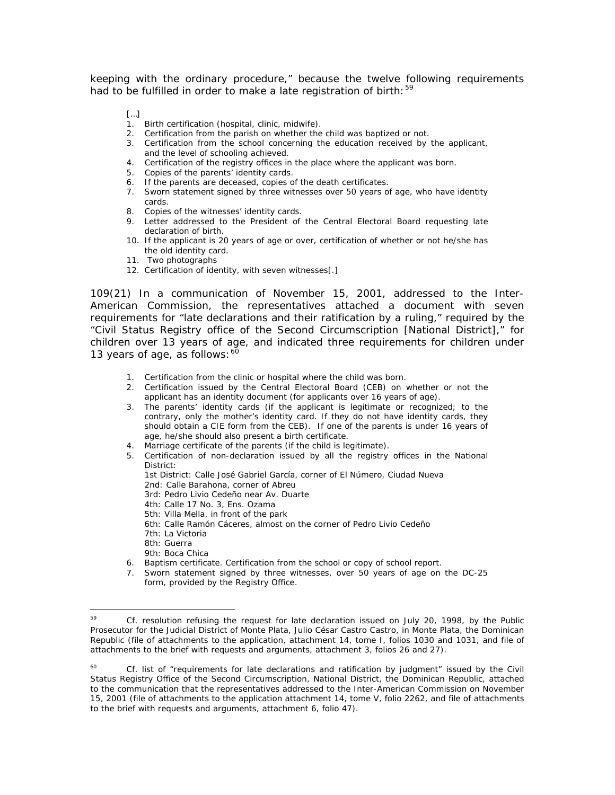keeping with the ordinary procedure," because the twelve following requirements had to be fulfilled in order to make a late registration of birth:  $59$ 

[…]

- 1. Birth certification (hospital, clinic, midwife).
- 2. Certification from the parish on whether the child was baptized or not.
- 3. Certification from the school concerning the education received by the applicant, and the level of schooling achieved.
- 4. Certification of the registry offices in the place where the applicant was born.
- 5. Copies of the parents' identity cards.
- 6. If the parents are deceased, copies of the death certificates.
- 7. Sworn statement signed by three witnesses over 50 years of age, who have identity cards.
- 8. Copies of the witnesses' identity cards.
- 9. Letter addressed to the President of the Central Electoral Board requesting late declaration of birth.
- 10. If the applicant is 20 years of age or over, certification of whether or not he/she has the old identity card.
- 11. Two photographs
- 12. Certification of identity, with seven witnesses[.]

109(21) In a communication of November 15, 2001, addressed to the Inter-American Commission, the representatives attached a document with seven requirements for "late declarations and their ratification by a ruling," required by the "Civil Status Registry office of the Second Circumscription [National District]," for children over 13 years of age, and indicated three requirements for children under 13 years of age, as follows:  $60$ 

- 1. Certification from the clinic or hospital where the child was born.
- 2. Certification issued by the Central Electoral Board (CEB) on whether or not the applicant has an identity document (for applicants over 16 years of age).
- 3. The parents' identity cards (if the applicant is legitimate or recognized; to the contrary, only the mother's identity card. If they do not have identity cards, they should obtain a CIE form from the CEB). If one of the parents is under 16 years of age, he/she should also present a birth certificate.
- 4. Marriage certificate of the parents (if the child is legitimate).
- 5. Certification of non-declaration issued by all the registry offices in the National District: 1st District: Calle José Gabriel García, corner of El Número, Ciudad Nueva 2nd: Calle Barahona, corner of Abreu 3rd: Pedro Livio Cedeño near Av. Duarte 4th: Calle 17 No. 3, Ens. Ozama 5th: Villa Mella, in front of the park 6th: Calle Ramón Cáceres, almost on the corner of Pedro Livio Cedeño 7th: La Victoria 8th: Guerra 9th: Boca Chica 6. Baptism certificate. Certification from the school or copy of school report.
- 7. Sworn statement signed by three witnesses, over 50 years of age on the DC-25 form, provided by the Registry Office.

<span id="page-42-0"></span><sup>59</sup> <sup>59</sup> *Cf.* resolution refusing the request for late declaration issued on July 20, 1998, by the Public Prosecutor for the Judicial District of Monte Plata, Julio César Castro Castro, in Monte Plata, the Dominican Republic (file of attachments to the application, attachment 14, tome I, folios 1030 and 1031, and file of attachments to the brief with requests and arguments, attachment 3, folios 26 and 27).

<span id="page-42-1"></span><sup>&</sup>lt;sup>60</sup> *Cf.* list of "requirements for late declarations and ratification by judgment" issued by the Civil Status Registry Office of the Second Circumscription, National District, the Dominican Republic, attached to the communication that the representatives addressed to the Inter-American Commission on November 15, 2001 (file of attachments to the application attachment 14, tome V, folio 2262, and file of attachments to the brief with requests and arguments, attachment 6, folio 47).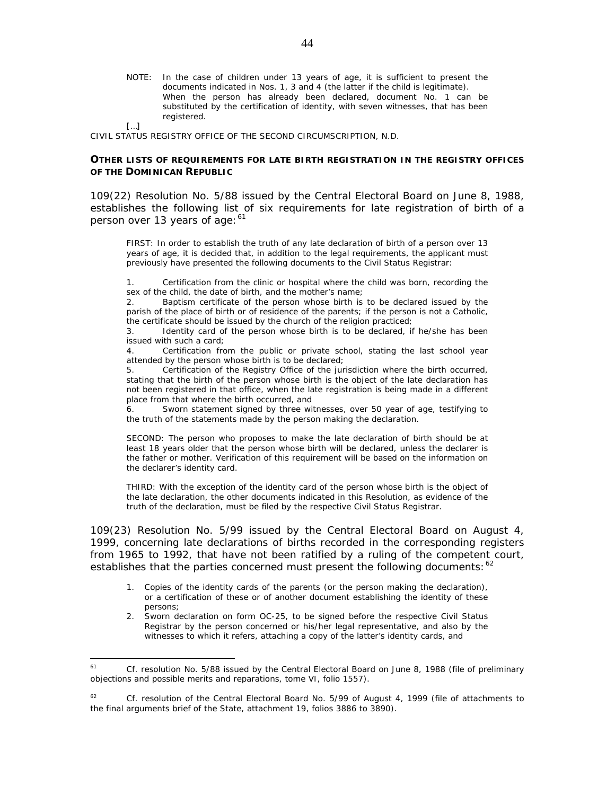NOTE: In the case of children under 13 years of age, it is sufficient to present the documents indicated in Nos. 1, 3 and 4 (the latter if the child is legitimate). When the person has already been declared, document No. 1 can be substituted by the certification of identity, with seven witnesses, that has been registered.

[…]

CIVIL STATUS REGISTRY OFFICE OF THE SECOND CIRCUMSCRIPTION, N.D.

#### *OTHER LISTS OF REQUIREMENTS FOR LATE BIRTH REGISTRATION IN THE REGISTRY OFFICES OF THE DOMINICAN REPUBLIC*

109(22) Resolution No. 5/88 issued by the Central Electoral Board on June 8, 1988, establishes the following list of six requirements for late registration of birth of a person over 13 years of age: [61](#page-43-0)

FIRST: In order to establish the truth of any late declaration of birth of a person over 13 years of age, it is decided that, in addition to the legal requirements, the applicant must previously have presented the following documents to the Civil Status Registrar:

1. Certification from the clinic or hospital where the child was born, recording the sex of the child, the date of birth, and the mother's name;

2. Baptism certificate of the person whose birth is to be declared issued by the parish of the place of birth or of residence of the parents; if the person is not a Catholic, the certificate should be issued by the church of the religion practiced;

3. Identity card of the person whose birth is to be declared, if he/she has been issued with such a card;

4. Certification from the public or private school, stating the last school year attended by the person whose birth is to be declared;

5. Certification of the Registry Office of the jurisdiction where the birth occurred, stating that the birth of the person whose birth is the object of the late declaration has not been registered in that office, when the late registration is being made in a different place from that where the birth occurred, and

6. Sworn statement signed by three witnesses, over 50 year of age, testifying to the truth of the statements made by the person making the declaration.

SECOND: The person who proposes to make the late declaration of birth should be at least 18 years older that the person whose birth will be declared, unless the declarer is the father or mother. Verification of this requirement will be based on the information on the declarer's identity card.

THIRD: With the exception of the identity card of the person whose birth is the object of the late declaration, the other documents indicated in this Resolution, as evidence of the truth of the declaration, must be filed by the respective Civil Status Registrar.

109(23) Resolution No. 5/99 issued by the Central Electoral Board on August 4, 1999, concerning late declarations of births recorded in the corresponding registers from 1965 to 1992, that have not been ratified by a ruling of the competent court, establishes that the parties concerned must present the following documents:  $62$ 

- 1. Copies of the identity cards of the parents (or the person making the declaration), or a certification of these or of another document establishing the identity of these persons;
- 2. Sworn declaration on form OC-25, to be signed before the respective Civil Status Registrar by the person concerned or his/her legal representative, and also by the witnesses to which it refers, attaching a copy of the latter's identity cards, and

<span id="page-43-0"></span><sup>61</sup> <sup>61</sup> *Cf.* resolution No. 5/88 issued by the Central Electoral Board on June 8, 1988 (file of preliminary objections and possible merits and reparations, tome VI, folio 1557).

<span id="page-43-1"></span> $62$  Cf. resolution of the Central Electoral Board No. 5/99 of August 4, 1999 (file of attachments to the final arguments brief of the State, attachment 19, folios 3886 to 3890).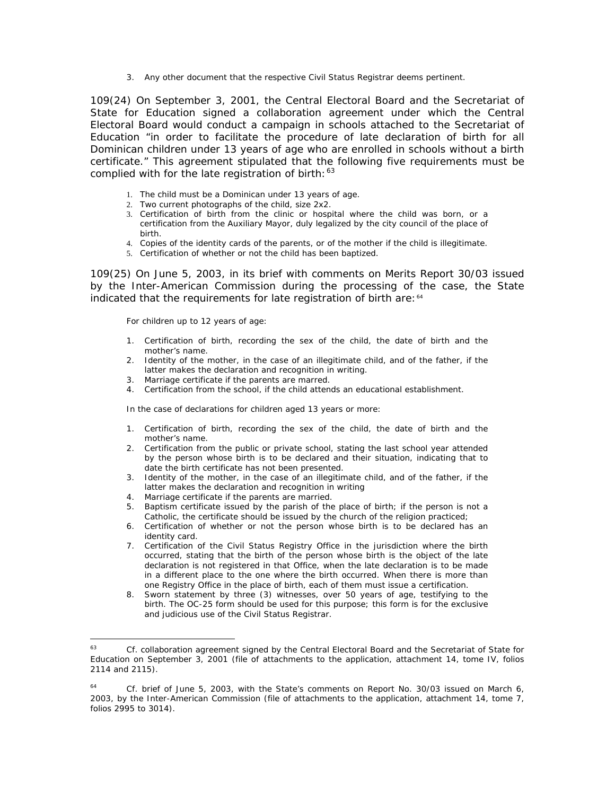3. Any other document that the respective Civil Status Registrar deems pertinent.

109(24) On September 3, 2001, the Central Electoral Board and the Secretariat of State for Education signed a collaboration agreement under which the Central Electoral Board would conduct a campaign in schools attached to the Secretariat of Education "in order to facilitate the procedure of late declaration of birth for all Dominican children under 13 years of age who are enrolled in schools without a birth certificate." This agreement stipulated that the following five requirements must be complied with for the late registration of birth:  $63$ 

- 1. The child must be a Dominican under 13 years of age.
- 2. Two current photographs of the child, size 2x2.
- 3. Certification of birth from the clinic or hospital where the child was born, or a certification from the Auxiliary Mayor, duly legalized by the city council of the place of birth.
- 4. Copies of the identity cards of the parents, or of the mother if the child is illegitimate.
- 5. Certification of whether or not the child has been baptized.

109(25) On June 5, 2003, in its brief with comments on Merits Report 30/03 issued by the Inter-American Commission during the processing of the case, the State indicated that the requirements for late registration of birth are: [64](#page-44-1)

For children up to 12 years of age:

- 1. Certification of birth, recording the sex of the child, the date of birth and the mother's name.
- 2. Identity of the mother, in the case of an illegitimate child, and of the father, if the latter makes the declaration and recognition in writing.
- 3. Marriage certificate if the parents are marred.
- 4. Certification from the school, if the child attends an educational establishment.

In the case of declarations for children aged 13 years or more:

- 1. Certification of birth, recording the sex of the child, the date of birth and the mother's name.
- 2. Certification from the public or private school, stating the last school year attended by the person whose birth is to be declared and their situation, indicating that to date the birth certificate has not been presented.
- 3. Identity of the mother, in the case of an illegitimate child, and of the father, if the latter makes the declaration and recognition in writing
- 4. Marriage certificate if the parents are married.
- 5. Baptism certificate issued by the parish of the place of birth; if the person is not a Catholic, the certificate should be issued by the church of the religion practiced;
- 6. Certification of whether or not the person whose birth is to be declared has an identity card.
- 7. Certification of the Civil Status Registry Office in the jurisdiction where the birth occurred, stating that the birth of the person whose birth is the object of the late declaration is not registered in that Office, when the late declaration is to be made in a different place to the one where the birth occurred. When there is more than one Registry Office in the place of birth, each of them must issue a certification.
- 8. Sworn statement by three (3) witnesses, over 50 years of age, testifying to the birth. The OC-25 form should be used for this purpose; this form is for the exclusive and judicious use of the Civil Status Registrar.

<span id="page-44-0"></span><sup>63</sup> <sup>63</sup> *Cf.* collaboration agreement signed by the Central Electoral Board and the Secretariat of State for Education on September 3, 2001 (file of attachments to the application, attachment 14, tome IV, folios 2114 and 2115).

<span id="page-44-1"></span><sup>64</sup> *Cf.* brief of June 5, 2003, with the State's comments on Report No. 30/03 issued on March 6, 2003, by the Inter-American Commission (file of attachments to the application, attachment 14, tome 7, folios 2995 to 3014).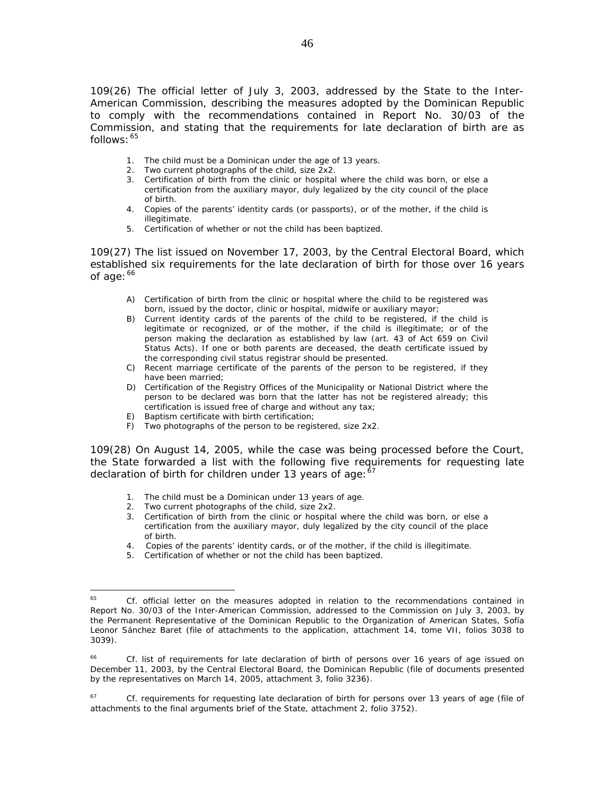109(26) The official letter of July 3, 2003, addressed by the State to the Inter-American Commission, describing the measures adopted by the Dominican Republic to comply with the recommendations contained in Report No. 30/03 of the Commission, and stating that the requirements for late declaration of birth are as follows: [65](#page-45-0)

- 1. The child must be a Dominican under the age of 13 years.
- 2. Two current photographs of the child, size 2x2.
- 3. Certification of birth from the clinic or hospital where the child was born, or else a certification from the auxiliary mayor, duly legalized by the city council of the place of birth.
- 4. Copies of the parents' identity cards (or passports), or of the mother, if the child is illegitimate.
- 5. Certification of whether or not the child has been baptized.

109(27) The list issued on November 17, 2003, by the Central Electoral Board, which established six requirements for the late declaration of birth for those over 16 years of age: [66](#page-45-1)

- A) Certification of birth from the clinic or hospital where the child to be registered was born, issued by the doctor, clinic or hospital, midwife or auxiliary mayor;
- B) Current identity cards of the parents of the child to be registered, if the child is legitimate or recognized, or of the mother, if the child is illegitimate; or of the person making the declaration as established by law (art. 43 of Act 659 on Civil Status Acts). If one or both parents are deceased, the death certificate issued by the corresponding civil status registrar should be presented.
- C) Recent marriage certificate of the parents of the person to be registered, if they have been married;
- D) Certification of the Registry Offices of the Municipality or National District where the person to be declared was born that the latter has not be registered already; this certification is issued free of charge and without any tax;
- E) Baptism certificate with birth certification;
- F) Two photographs of the person to be registered, size 2x2.

109(28) On August 14, 2005, while the case was being processed before the Court, the State forwarded a list with the following five requirements for requesting late declaration of birth for children under 13 years of age:  $67$ 

- 1. The child must be a Dominican under 13 years of age.
- 2. Two current photographs of the child, size 2x2.

 $\overline{a}$ 

- 3. Certification of birth from the clinic or hospital where the child was born, or else a certification from the auxiliary mayor, duly legalized by the city council of the place of birth.
- 4. Copies of the parents' identity cards, or of the mother, if the child is illegitimate.
- 5. Certification of whether or not the child has been baptized.

<span id="page-45-0"></span><sup>&</sup>lt;sup>65</sup> *Cf.* official letter on the measures adopted in relation to the recommendations contained in Report No. 30/03 of the Inter-American Commission, addressed to the Commission on July 3, 2003, by the Permanent Representative of the Dominican Republic to the Organization of American States, Sofía Leonor Sánchez Baret (file of attachments to the application, attachment 14, tome VII, folios 3038 to 3039).

<span id="page-45-1"></span><sup>66</sup> *Cf.* list of requirements for late declaration of birth of persons over 16 years of age issued on December 11, 2003, by the Central Electoral Board, the Dominican Republic (file of documents presented by the representatives on March 14, 2005, attachment 3, folio 3236).

<span id="page-45-2"></span><sup>&</sup>lt;sup>67</sup> *Cf.* requirements for requesting late declaration of birth for persons over 13 years of age (file of attachments to the final arguments brief of the State, attachment 2, folio 3752).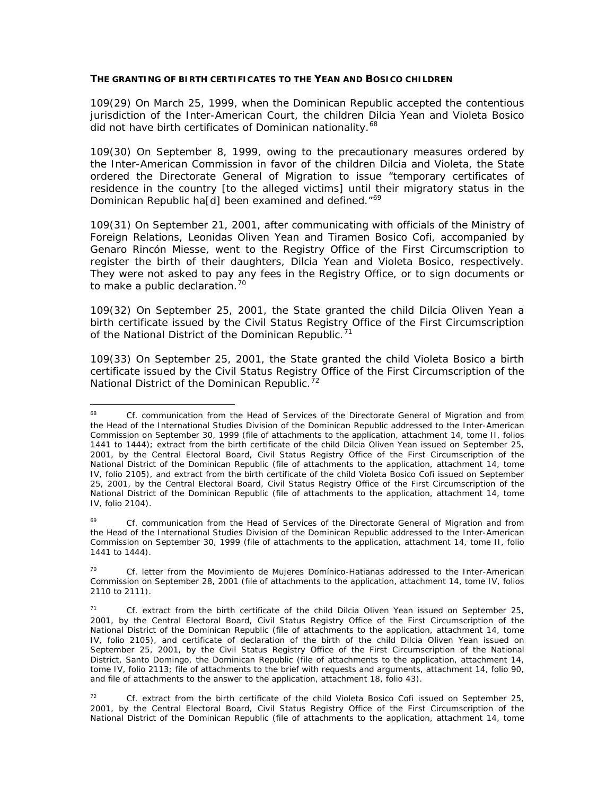## *THE GRANTING OF BIRTH CERTIFICATES TO THE YEAN AND BOSICO CHILDREN*

109(29) On March 25, 1999, when the Dominican Republic accepted the contentious jurisdiction of the Inter-American Court, the children Dilcia Yean and Violeta Bosico did not have birth certificates of Dominican nationality.<sup>[68](#page-46-0)</sup>

109(30) On September 8, 1999, owing to the precautionary measures ordered by the Inter-American Commission in favor of the children Dilcia and Violeta, the State ordered the Directorate General of Migration to issue "temporary certificates of residence in the country [to the alleged victims] until their migratory status in the Dominican Republic ha[d] been examined and defined.<sup>"[69](#page-46-1)</sup>

109(31) On September 21, 2001, after communicating with officials of the Ministry of Foreign Relations, Leonidas Oliven Yean and Tiramen Bosico Cofi, accompanied by Genaro Rincón Miesse, went to the Registry Office of the First Circumscription to register the birth of their daughters, Dilcia Yean and Violeta Bosico, respectively. They were not asked to pay any fees in the Registry Office, or to sign documents or to make a public declaration.<sup>[70](#page-46-2)</sup>

109(32) On September 25, 2001, the State granted the child Dilcia Oliven Yean a birth certificate issued by the Civil Status Registry Office of the First Circumscription of the National District of the Dominican Republic.<sup>[71](#page-46-3)</sup>

109(33) On September 25, 2001, the State granted the child Violeta Bosico a birth certificate issued by the Civil Status Registry Office of the First Circumscription of the National District of the Dominican Republic.<sup>[72](#page-46-4)</sup>

<span id="page-46-0"></span> $68$ <sup>68</sup> *Cf.* communication from the Head of Services of the Directorate General of Migration and from the Head of the International Studies Division of the Dominican Republic addressed to the Inter-American Commission on September 30, 1999 (file of attachments to the application, attachment 14, tome II, folios 1441 to 1444); extract from the birth certificate of the child Dilcia Oliven Yean issued on September 25, 2001, by the Central Electoral Board, Civil Status Registry Office of the First Circumscription of the National District of the Dominican Republic (file of attachments to the application, attachment 14, tome IV, folio 2105), and extract from the birth certificate of the child Violeta Bosico Cofi issued on September 25, 2001, by the Central Electoral Board, Civil Status Registry Office of the First Circumscription of the National District of the Dominican Republic (file of attachments to the application, attachment 14, tome IV, folio 2104).

<span id="page-46-1"></span><sup>&</sup>lt;sup>69</sup> *Cf.* communication from the Head of Services of the Directorate General of Migration and from the Head of the International Studies Division of the Dominican Republic addressed to the Inter-American Commission on September 30, 1999 (file of attachments to the application, attachment 14, tome II, folio 1441 to 1444).

<span id="page-46-2"></span><sup>70</sup> *Cf.* letter from the *Movimiento de Mujeres Domínico-Hatianas* addressed to the Inter-American Commission on September 28, 2001 (file of attachments to the application, attachment 14, tome IV, folios 2110 to 2111).

<span id="page-46-3"></span><sup>71</sup> *Cf.* extract from the birth certificate of the child Dilcia Oliven Yean issued on September 25, 2001, by the Central Electoral Board, Civil Status Registry Office of the First Circumscription of the National District of the Dominican Republic (file of attachments to the application, attachment 14, tome IV, folio 2105), and certificate of declaration of the birth of the child Dilcia Oliven Yean issued on September 25, 2001, by the Civil Status Registry Office of the First Circumscription of the National District, Santo Domingo, the Dominican Republic (file of attachments to the application, attachment 14, tome IV, folio 2113; file of attachments to the brief with requests and arguments, attachment 14, folio 90, and file of attachments to the answer to the application, attachment 18, folio 43).

<span id="page-46-4"></span><sup>72</sup> *Cf.* extract from the birth certificate of the child Violeta Bosico Cofi issued on September 25, 2001, by the Central Electoral Board, Civil Status Registry Office of the First Circumscription of the National District of the Dominican Republic (file of attachments to the application, attachment 14, tome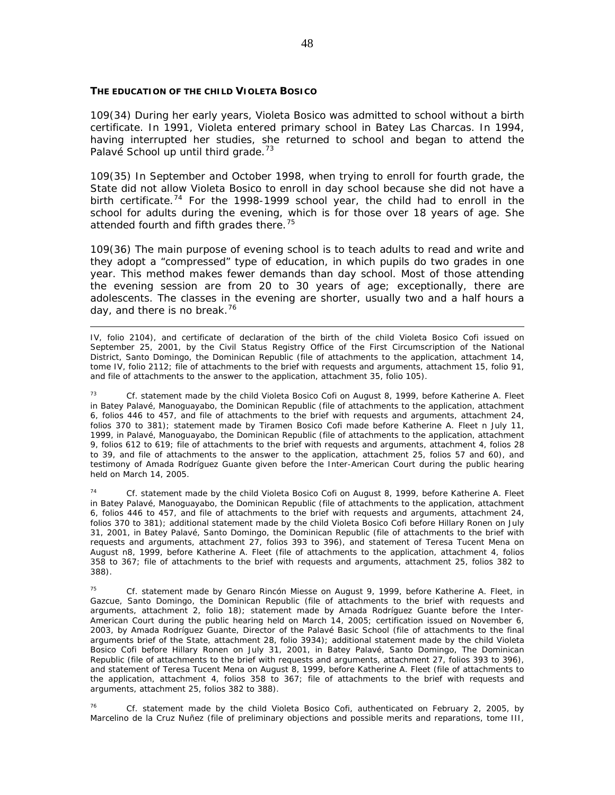#### *THE EDUCATION OF THE CHILD VIOLETA BOSICO*

 $\overline{a}$ 

109(34) During her early years, Violeta Bosico was admitted to school without a birth certificate. In 1991, Violeta entered primary school in Batey Las Charcas. In 1994, having interrupted her studies, she returned to school and began to attend the Palavé School up until third grade.<sup>[73](#page-47-0)</sup>

109(35) In September and October 1998, when trying to enroll for fourth grade, the State did not allow Violeta Bosico to enroll in day school because she did not have a birth certificate.<sup>[74](#page-47-1)</sup> For the 1998-1999 school year, the child had to enroll in the school for adults during the evening, which is for those over 18 years of age. She attended fourth and fifth grades there.<sup>[75](#page-47-2)</sup>

109(36) The main purpose of evening school is to teach adults to read and write and they adopt a "compressed" type of education, in which pupils do two grades in one year. This method makes fewer demands than day school. Most of those attending the evening session are from 20 to 30 years of age; exceptionally, there are adolescents. The classes in the evening are shorter, usually two and a half hours a day, and there is no break.<sup>[76](#page-47-3)</sup>

IV, folio 2104), and certificate of declaration of the birth of the child Violeta Bosico Cofi issued on September 25, 2001, by the Civil Status Registry Office of the First Circumscription of the National District, Santo Domingo, the Dominican Republic (file of attachments to the application, attachment 14, tome IV, folio 2112; file of attachments to the brief with requests and arguments, attachment 15, folio 91, and file of attachments to the answer to the application, attachment 35, folio 105).

<span id="page-47-0"></span><sup>73</sup> *Cf.* statement made by the child Violeta Bosico Cofi on August 8, 1999, before Katherine A. Fleet in Batey Palavé, Manoguayabo, the Dominican Republic (file of attachments to the application, attachment 6, folios 446 to 457, and file of attachments to the brief with requests and arguments, attachment 24, folios 370 to 381); statement made by Tiramen Bosico Cofi made before Katherine A. Fleet n July 11, 1999, in Palavé, Manoguayabo, the Dominican Republic (file of attachments to the application, attachment 9, folios 612 to 619; file of attachments to the brief with requests and arguments, attachment 4, folios 28 to 39, and file of attachments to the answer to the application, attachment 25, folios 57 and 60), and testimony of Amada Rodríguez Guante given before the Inter-American Court during the public hearing held on March 14, 2005.

<span id="page-47-1"></span><sup>74</sup> *Cf.* statement made by the child Violeta Bosico Cofi on August 8, 1999, before Katherine A. Fleet in Batey Palavé, Manoguayabo, the Dominican Republic (file of attachments to the application, attachment 6, folios 446 to 457, and file of attachments to the brief with requests and arguments, attachment 24, folios 370 to 381); additional statement made by the child Violeta Bosico Cofi before Hillary Ronen on July 31, 2001, in Batey Palavé, Santo Domingo, the Dominican Republic (file of attachments to the brief with requests and arguments, attachment 27, folios 393 to 396), and statement of Teresa Tucent Mena on August n8, 1999, before Katherine A. Fleet (file of attachments to the application, attachment 4, folios 358 to 367; file of attachments to the brief with requests and arguments, attachment 25, folios 382 to 388).

<span id="page-47-2"></span><sup>75</sup> *Cf.* statement made by Genaro Rincón Miesse on August 9, 1999, before Katherine A. Fleet, in Gazcue, Santo Domingo, the Dominican Republic (file of attachments to the brief with requests and arguments, attachment 2, folio 18); statement made by Amada Rodríguez Guante before the Inter-American Court during the public hearing held on March 14, 2005; certification issued on November 6, 2003, by Amada Rodríguez Guante, Director of the Palavé Basic School (file of attachments to the final arguments brief of the State, attachment 28, folio 3934); additional statement made by the child Violeta Bosico Cofi before Hillary Ronen on July 31, 2001, in Batey Palavé, Santo Domingo, The Dominican Republic (file of attachments to the brief with requests and arguments, attachment 27, folios 393 to 396), and statement of Teresa Tucent Mena on August 8, 1999, before Katherine A. Fleet (file of attachments to the application, attachment 4, folios 358 to 367; file of attachments to the brief with requests and arguments, attachment 25, folios 382 to 388).

<span id="page-47-3"></span><sup>76</sup> *Cf.* statement made by the child Violeta Bosico Cofi, authenticated on February 2, 2005, by Marcelino de la Cruz Nuñez (file of preliminary objections and possible merits and reparations, tome III,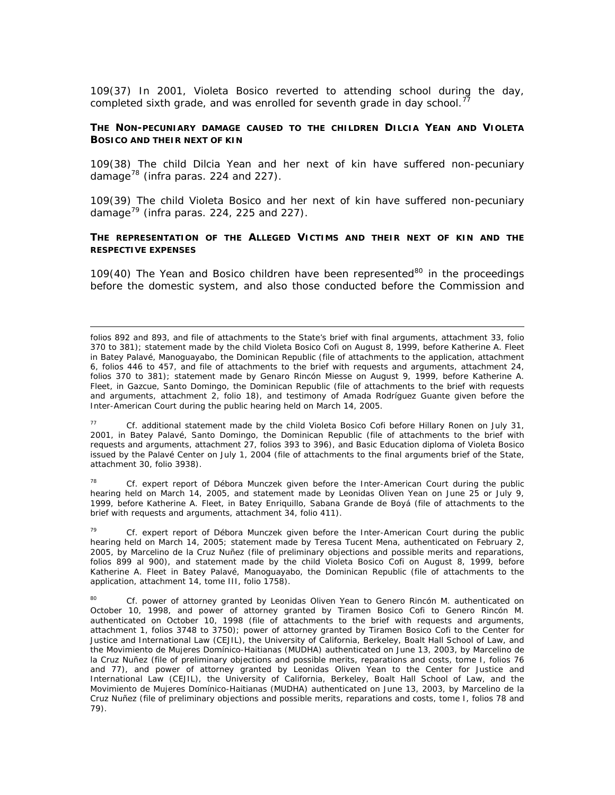109(37) In 2001, Violeta Bosico reverted to attending school during the day, completed sixth grade, and was enrolled for seventh grade in day school.<sup>7</sup>

## *THE NON-PECUNIARY DAMAGE CAUSED TO THE CHILDREN DILCIA YEAN AND VIOLETA BOSICO AND THEIR NEXT OF KIN*

109(38) The child Dilcia Yean and her next of kin have suffered non-pecuniary damage[78](#page-48-1) (*infra* paras. 224 and 227).

109(39) The child Violeta Bosico and her next of kin have suffered non-pecuniary damage[79](#page-48-2) (*infra* paras. 224, 225 and 227).

## *THE REPRESENTATION OF THE ALLEGED VICTIMS AND THEIR NEXT OF KIN AND THE RESPECTIVE EXPENSES*

109(40) The Yean and Bosico children have been represented<sup>[80](#page-48-3)</sup> in the proceedings before the domestic system, and also those conducted before the Commission and

 $\overline{a}$ 

<span id="page-48-0"></span><sup>77</sup> *Cf.* additional statement made by the child Violeta Bosico Cofi before Hillary Ronen on July 31, 2001, in Batey Palavé, Santo Domingo, the Dominican Republic (file of attachments to the brief with requests and arguments, attachment 27, folios 393 to 396), and Basic Education diploma of Violeta Bosico issued by the Palavé Center on July 1, 2004 (file of attachments to the final arguments brief of the State, attachment 30, folio 3938).

<span id="page-48-1"></span><sup>78</sup> *Cf.* expert report of Débora Munczek given before the Inter-American Court during the public hearing held on March 14, 2005, and statement made by Leonidas Oliven Yean on June 25 or July 9, 1999, before Katherine A. Fleet, in Batey Enriquillo, Sabana Grande de Boyá (file of attachments to the brief with requests and arguments, attachment 34, folio 411).

<span id="page-48-2"></span><sup>79</sup> *Cf.* expert report of Débora Munczek given before the Inter-American Court during the public hearing held on March 14, 2005; statement made by Teresa Tucent Mena, authenticated on February 2, 2005, by Marcelino de la Cruz Nuñez (file of preliminary objections and possible merits and reparations, folios 899 al 900), and statement made by the child Violeta Bosico Cofi on August 8, 1999, before Katherine A. Fleet in Batey Palavé, Manoguayabo, the Dominican Republic (file of attachments to the application, attachment 14, tome III, folio 1758).

<span id="page-48-3"></span>80 *Cf.* power of attorney granted by Leonidas Oliven Yean to Genero Rincón M. authenticated on October 10, 1998, and power of attorney granted by Tiramen Bosico Cofi to Genero Rincón M. authenticated on October 10, 1998 (file of attachments to the brief with requests and arguments, attachment 1, folios 3748 to 3750); power of attorney granted by Tiramen Bosico Cofi to the Center for Justice and International Law (CEJIL), the University of California, Berkeley, Boalt Hall School of Law, and the *Movimiento de Mujeres Domínico-Haitianas* (MUDHA) authenticated on June 13, 2003, by Marcelino de la Cruz Nuñez (file of preliminary objections and possible merits, reparations and costs, tome I, folios 76 and 77), and power of attorney granted by Leonidas Oliven Yean to the Center for Justice and International Law (CEJIL), the University of California, Berkeley, Boalt Hall School of Law, and the *Movimiento de Mujeres Domínico-Haitianas* (MUDHA) authenticated on June 13, 2003, by Marcelino de la Cruz Nuñez (file of preliminary objections and possible merits, reparations and costs, tome I, folios 78 and 79).

folios 892 and 893, and file of attachments to the State's brief with final arguments, attachment 33, folio 370 to 381); statement made by the child Violeta Bosico Cofi on August 8, 1999, before Katherine A. Fleet in Batey Palavé, Manoguayabo, the Dominican Republic (file of attachments to the application, attachment 6, folios 446 to 457, and file of attachments to the brief with requests and arguments, attachment 24, folios 370 to 381); statement made by Genaro Rincón Miesse on August 9, 1999, before Katherine A. Fleet, in Gazcue, Santo Domingo, the Dominican Republic (file of attachments to the brief with requests and arguments, attachment 2, folio 18), and testimony of Amada Rodríguez Guante given before the Inter-American Court during the public hearing held on March 14, 2005.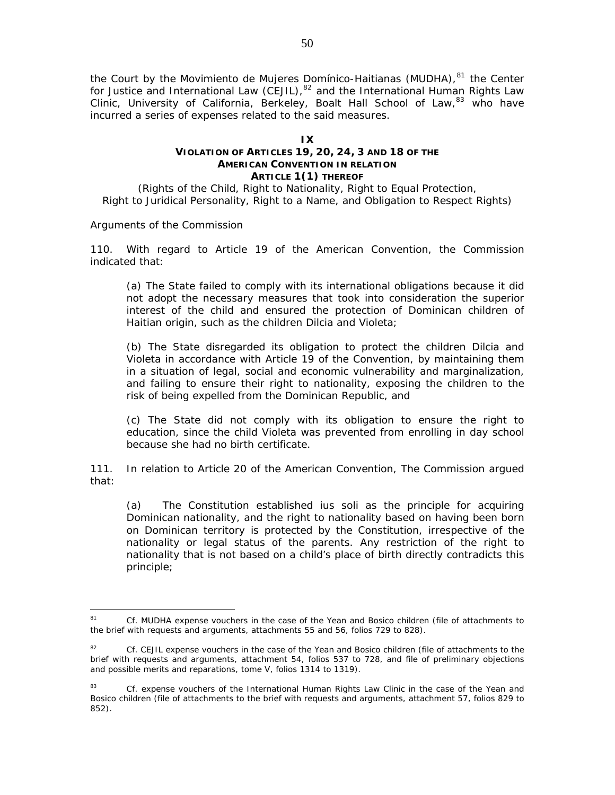the Court by the *Movimiento de Mujeres Domínico-Haitianas* (MUDHA),<sup>[81](#page-49-0)</sup> the Center for Justice and International Law (CEJIL),<sup>[82](#page-49-1)</sup> and the International Human Rights Law Clinic, University of California, Berkeley, Boalt Hall School of Law,<sup>[83](#page-49-2)</sup> who have incurred a series of expenses related to the said measures.

# **IX**

#### **VIOLATION OF ARTICLES 19, 20, 24, 3 AND 18 OF THE AMERICAN CONVENTION IN RELATION ARTICLE 1(1) THEREOF**

*(Rights of the Child, Right to Nationality, Right to Equal Protection, Right to Juridical Personality, Right to a Name, and Obligation to Respect Rights)* 

## *Arguments of the Commission*

110. With regard to Article 19 of the American Convention, the Commission indicated that:

(a) The State failed to comply with its international obligations because it did not adopt the necessary measures that took into consideration the superior interest of the child and ensured the protection of Dominican children of Haitian origin, such as the children Dilcia and Violeta;

(b) The State disregarded its obligation to protect the children Dilcia and Violeta in accordance with Article 19 of the Convention, by maintaining them in a situation of legal, social and economic vulnerability and marginalization, and failing to ensure their right to nationality, exposing the children to the risk of being expelled from the Dominican Republic, and

(c) The State did not comply with its obligation to ensure the right to education, since the child Violeta was prevented from enrolling in day school because she had no birth certificate.

111. In relation to Article 20 of the American Convention, The Commission argued that:

(a) The Constitution established *ius soli* as the principle for acquiring Dominican nationality, and the right to nationality based on having been born on Dominican territory is protected by the Constitution, irrespective of the nationality or legal status of the parents. Any restriction of the right to nationality that is not based on a child's place of birth directly contradicts this principle;

<span id="page-49-0"></span> $\overline{a}$ <sup>81</sup> *Cf.* MUDHA expense vouchers in the case of the Yean and Bosico children (file of attachments to the brief with requests and arguments, attachments 55 and 56, folios 729 to 828).

<span id="page-49-1"></span><sup>&</sup>lt;sup>82</sup> *Cf.* CEJIL expense vouchers in the case of the Yean and Bosico children (file of attachments to the brief with requests and arguments, attachment 54, folios 537 to 728, and file of preliminary objections and possible merits and reparations, tome V, folios 1314 to 1319).

<span id="page-49-2"></span><sup>83</sup> *Cf.* expense vouchers of the International Human Rights Law Clinic in the case of the Yean and Bosico children (file of attachments to the brief with requests and arguments, attachment 57, folios 829 to 852).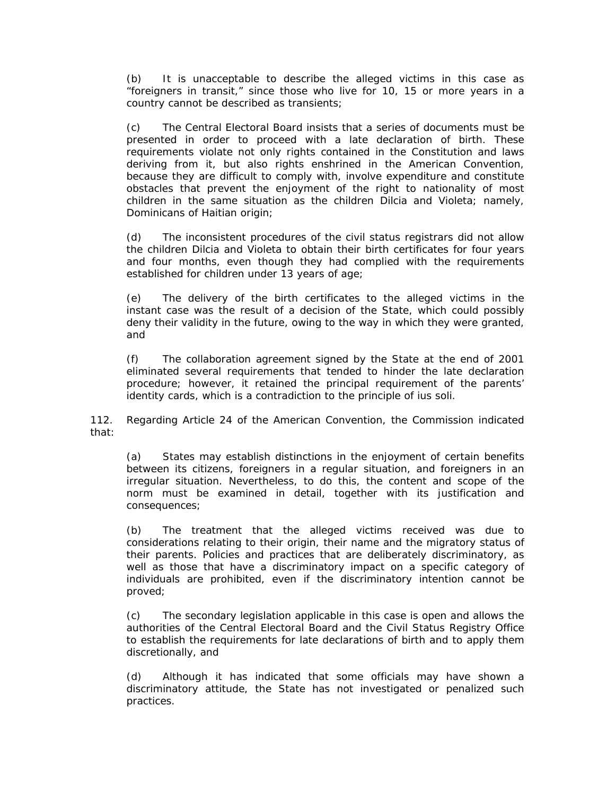(b) It is unacceptable to describe the alleged victims in this case as "foreigners in transit," since those who live for 10, 15 or more years in a country cannot be described as transients;

(c) The Central Electoral Board insists that a series of documents must be presented in order to proceed with a late declaration of birth. These requirements violate not only rights contained in the Constitution and laws deriving from it, but also rights enshrined in the American Convention, because they are difficult to comply with, involve expenditure and constitute obstacles that prevent the enjoyment of the right to nationality of most children in the same situation as the children Dilcia and Violeta; namely, Dominicans of Haitian origin;

(d) The inconsistent procedures of the civil status registrars did not allow the children Dilcia and Violeta to obtain their birth certificates for four years and four months, even though they had complied with the requirements established for children under 13 years of age;

(e) The delivery of the birth certificates to the alleged victims in the instant case was the result of a decision of the State, which could possibly deny their validity in the future, owing to the way in which they were granted, and

(f) The collaboration agreement signed by the State at the end of 2001 eliminated several requirements that tended to hinder the late declaration procedure; however, it retained the principal requirement of the parents' identity cards, which is a contradiction to the principle of *ius soli*.

112. Regarding Article 24 of the American Convention, the Commission indicated that:

(a) States may establish distinctions in the enjoyment of certain benefits between its citizens, foreigners in a regular situation, and foreigners in an irregular situation. Nevertheless, to do this, the content and scope of the norm must be examined in detail, together with its justification and consequences;

(b) The treatment that the alleged victims received was due to considerations relating to their origin, their name and the migratory status of their parents. Policies and practices that are deliberately discriminatory, as well as those that have a discriminatory impact on a specific category of individuals are prohibited, even if the discriminatory intention cannot be proved;

(c) The secondary legislation applicable in this case is open and allows the authorities of the Central Electoral Board and the Civil Status Registry Office to establish the requirements for late declarations of birth and to apply them discretionally, and

(d) Although it has indicated that some officials may have shown a discriminatory attitude, the State has not investigated or penalized such practices.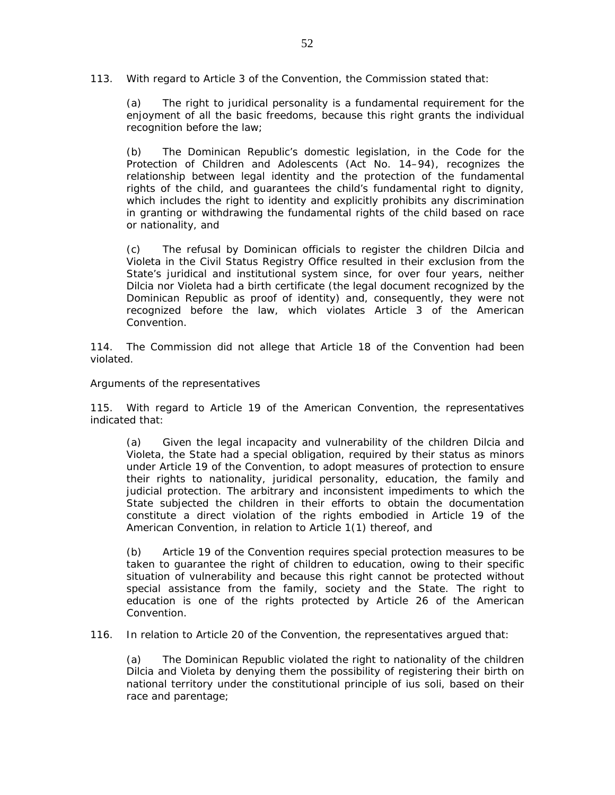113. With regard to Article 3 of the Convention, the Commission stated that:

(a) The right to juridical personality is a fundamental requirement for the enjoyment of all the basic freedoms, because this right grants the individual recognition before the law;

(b) The Dominican Republic's domestic legislation, in the Code for the Protection of Children and Adolescents (Act No. 14–94), recognizes the relationship between legal identity and the protection of the fundamental rights of the child, and guarantees the child's fundamental right to dignity, which includes the right to identity and explicitly prohibits any discrimination in granting or withdrawing the fundamental rights of the child based on race or nationality, and

(c) The refusal by Dominican officials to register the children Dilcia and Violeta in the Civil Status Registry Office resulted in their exclusion from the State's juridical and institutional system since, for over four years, neither Dilcia nor Violeta had a birth certificate (the legal document recognized by the Dominican Republic as proof of identity) and, consequently, they were not recognized before the law, which violates Article 3 of the American Convention.

114. The Commission did not allege that Article 18 of the Convention had been violated.

## *Arguments of the representatives*

115. With regard to Article 19 of the American Convention, the representatives indicated that:

(a) Given the legal incapacity and vulnerability of the children Dilcia and Violeta, the State had a special obligation, required by their status as minors under Article 19 of the Convention, to adopt measures of protection to ensure their rights to nationality, juridical personality, education, the family and judicial protection. The arbitrary and inconsistent impediments to which the State subjected the children in their efforts to obtain the documentation constitute a direct violation of the rights embodied in Article 19 of the American Convention, in relation to Article 1(1) thereof, and

(b) Article 19 of the Convention requires special protection measures to be taken to guarantee the right of children to education, owing to their specific situation of vulnerability and because this right cannot be protected without special assistance from the family, society and the State. The right to education is one of the rights protected by Article 26 of the American Convention.

116. In relation to Article 20 of the Convention, the representatives argued that:

(a) The Dominican Republic violated the right to nationality of the children Dilcia and Violeta by denying them the possibility of registering their birth on national territory under the constitutional principle of *ius soli,* based on their race and parentage;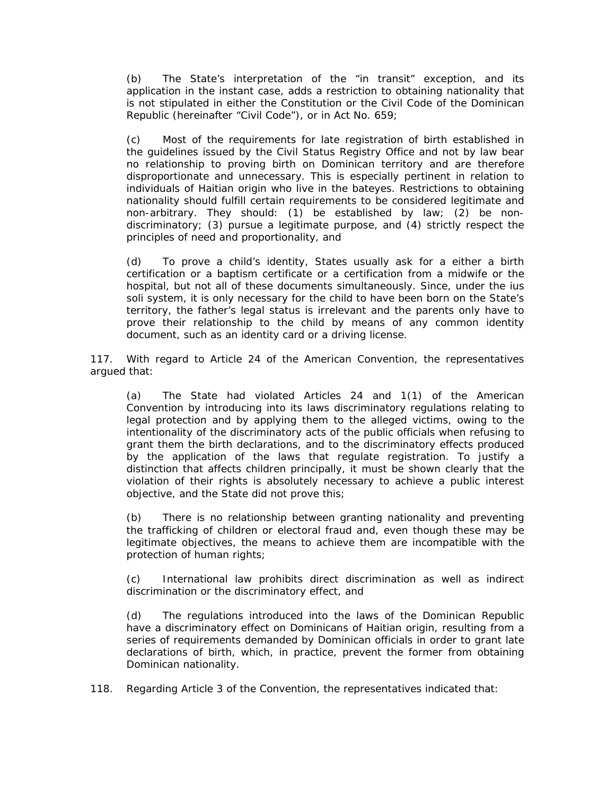(b) The State's interpretation of the "in transit" exception, and its application in the instant case, adds a restriction to obtaining nationality that is not stipulated in either the Constitution or the Civil Code of the Dominican Republic (hereinafter "Civil Code"), or in Act No. 659;

(c) Most of the requirements for late registration of birth established in the guidelines issued by the Civil Status Registry Office and not by law bear no relationship to proving birth on Dominican territory and are therefore disproportionate and unnecessary. This is especially pertinent in relation to individuals of Haitian origin who live in the bateyes. Restrictions to obtaining nationality should fulfill certain requirements to be considered legitimate and non-arbitrary. They should: (1) be established by law; (2) be nondiscriminatory; (3) pursue a legitimate purpose, and (4) strictly respect the principles of need and proportionality, and

(d) To prove a child's identity, States usually ask for a either a birth certification or a baptism certificate or a certification from a midwife or the hospital, but not all of these documents simultaneously. Since, under the *ius soli* system, it is only necessary for the child to have been born on the State's territory, the father's legal status is irrelevant and the parents only have to prove their relationship to the child by means of any common identity document, such as an identity card or a driving license.

117. With regard to Article 24 of the American Convention, the representatives argued that:

(a) The State had violated Articles 24 and 1(1) of the American Convention by introducing into its laws discriminatory regulations relating to legal protection and by applying them to the alleged victims, owing to the intentionality of the discriminatory acts of the public officials when refusing to grant them the birth declarations, and to the discriminatory effects produced by the application of the laws that regulate registration. To justify a distinction that affects children principally, it must be shown clearly that the violation of their rights is absolutely necessary to achieve a public interest objective, and the State did not prove this;

(b) There is no relationship between granting nationality and preventing the trafficking of children or electoral fraud and, even though these may be legitimate objectives, the means to achieve them are incompatible with the protection of human rights;

(c) International law prohibits direct discrimination as well as indirect discrimination or the discriminatory effect, and

(d) The regulations introduced into the laws of the Dominican Republic have a discriminatory effect on Dominicans of Haitian origin, resulting from a series of requirements demanded by Dominican officials in order to grant late declarations of birth, which, in practice, prevent the former from obtaining Dominican nationality.

118. Regarding Article 3 of the Convention, the representatives indicated that: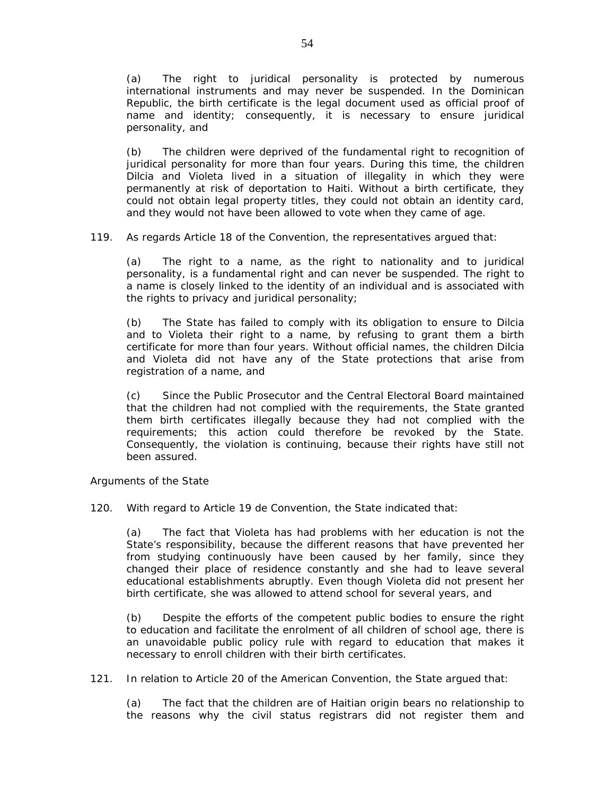(a) The right to juridical personality is protected by numerous international instruments and may never be suspended. In the Dominican Republic, the birth certificate is the legal document used as official proof of name and identity; consequently, it is necessary to ensure juridical personality, and

(b) The children were deprived of the fundamental right to recognition of juridical personality for more than four years. During this time, the children Dilcia and Violeta lived in a situation of illegality in which they were permanently at risk of deportation to Haiti. Without a birth certificate, they could not obtain legal property titles, they could not obtain an identity card, and they would not have been allowed to vote when they came of age.

119. As regards Article 18 of the Convention, the representatives argued that:

(a) The right to a name, as the right to nationality and to juridical personality, is a fundamental right and can never be suspended. The right to a name is closely linked to the identity of an individual and is associated with the rights to privacy and juridical personality;

(b) The State has failed to comply with its obligation to ensure to Dilcia and to Violeta their right to a name, by refusing to grant them a birth certificate for more than four years. Without official names, the children Dilcia and Violeta did not have any of the State protections that arise from registration of a name, and

(c) Since the Public Prosecutor and the Central Electoral Board maintained that the children had not complied with the requirements, the State granted them birth certificates illegally because they had not complied with the requirements; this action could therefore be revoked by the State. Consequently, the violation is continuing, because their rights have still not been assured.

# *Arguments of the State*

120. With regard to Article 19 de Convention, the State indicated that:

(a) The fact that Violeta has had problems with her education is not the State's responsibility, because the different reasons that have prevented her from studying continuously have been caused by her family, since they changed their place of residence constantly and she had to leave several educational establishments abruptly. Even though Violeta did not present her birth certificate, she was allowed to attend school for several years, and

(b) Despite the efforts of the competent public bodies to ensure the right to education and facilitate the enrolment of all children of school age, there is an unavoidable public policy rule with regard to education that makes it necessary to enroll children with their birth certificates.

121. In relation to Article 20 of the American Convention, the State argued that:

(a) The fact that the children are of Haitian origin bears no relationship to the reasons why the civil status registrars did not register them and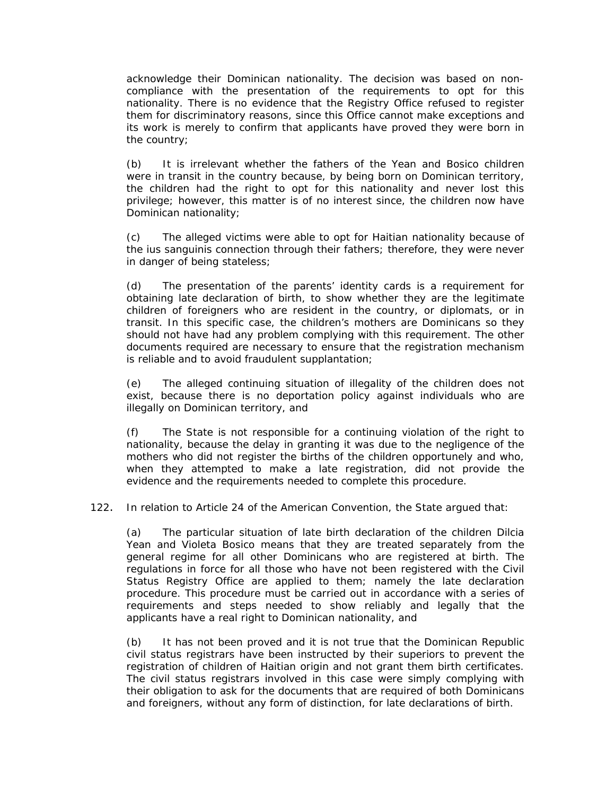acknowledge their Dominican nationality. The decision was based on noncompliance with the presentation of the requirements to opt for this nationality. There is no evidence that the Registry Office refused to register them for discriminatory reasons, since this Office cannot make exceptions and its work is merely to confirm that applicants have proved they were born in the country;

(b) It is irrelevant whether the fathers of the Yean and Bosico children were in transit in the country because, by being born on Dominican territory, the children had the right to opt for this nationality and never lost this privilege; however, this matter is of no interest since, the children now have Dominican nationality;

(c) The alleged victims were able to opt for Haitian nationality because of the *ius sanguinis* connection through their fathers; therefore, they were never in danger of being stateless;

(d) The presentation of the parents' identity cards is a requirement for obtaining late declaration of birth, to show whether they are the legitimate children of foreigners who are resident in the country, or diplomats, or in transit. In this specific case, the children's mothers are Dominicans so they should not have had any problem complying with this requirement. The other documents required are necessary to ensure that the registration mechanism is reliable and to avoid fraudulent supplantation;

(e) The alleged continuing situation of illegality of the children does not exist, because there is no deportation policy against individuals who are illegally on Dominican territory, and

(f) The State is not responsible for a continuing violation of the right to nationality, because the delay in granting it was due to the negligence of the mothers who did not register the births of the children opportunely and who, when they attempted to make a late registration, did not provide the evidence and the requirements needed to complete this procedure.

122. In relation to Article 24 of the American Convention, the State argued that:

(a) The particular situation of late birth declaration of the children Dilcia Yean and Violeta Bosico means that they are treated separately from the general regime for all other Dominicans who are registered at birth. The regulations in force for all those who have not been registered with the Civil Status Registry Office are applied to them; namely the late declaration procedure. This procedure must be carried out in accordance with a series of requirements and steps needed to show reliably and legally that the applicants have a real right to Dominican nationality, and

(b) It has not been proved and it is not true that the Dominican Republic civil status registrars have been instructed by their superiors to prevent the registration of children of Haitian origin and not grant them birth certificates. The civil status registrars involved in this case were simply complying with their obligation to ask for the documents that are required of both Dominicans and foreigners, without any form of distinction, for late declarations of birth.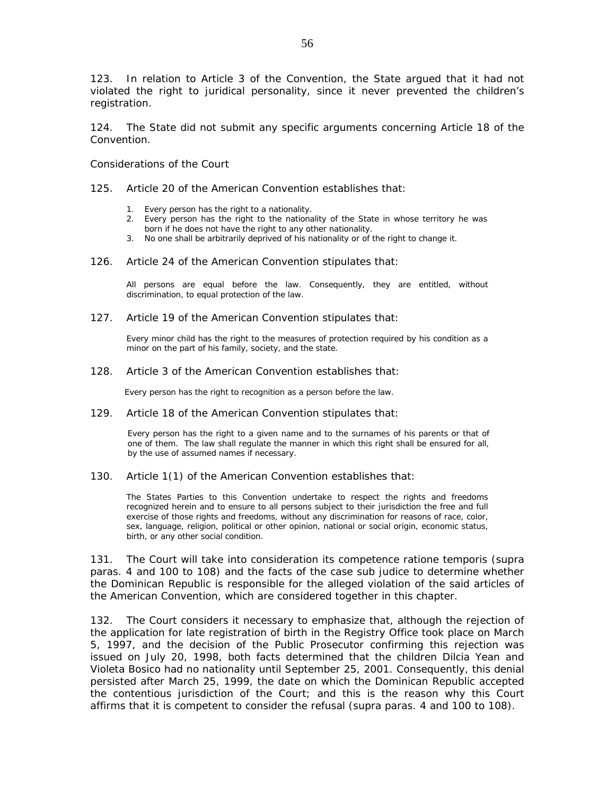123. In relation to Article 3 of the Convention, the State argued that it had not violated the right to juridical personality, since it never prevented the children's registration.

124. The State did not submit any specific arguments concerning Article 18 of the Convention.

#### *Considerations of the Court*

- 125. Article 20 of the American Convention establishes that:
	- 1. Every person has the right to a nationality.
	- 2. Every person has the right to the nationality of the State in whose territory he was born if he does not have the right to any other nationality.
	- 3. No one shall be arbitrarily deprived of his nationality or of the right to change it.

#### 126. Article 24 of the American Convention stipulates that:

All persons are equal before the law. Consequently, they are entitled, without discrimination, to equal protection of the law.

127. Article 19 of the American Convention stipulates that:

Every minor child has the right to the measures of protection required by his condition as a minor on the part of his family, society, and the state.

#### 128. Article 3 of the American Convention establishes that:

Every person has the right to recognition as a person before the law.

129. Article 18 of the American Convention stipulates that:

Every person has the right to a given name and to the surnames of his parents or that of one of them. The law shall regulate the manner in which this right shall be ensured for all, by the use of assumed names if necessary.

#### 130. Article 1(1) of the American Convention establishes that:

The States Parties to this Convention undertake to respect the rights and freedoms recognized herein and to ensure to all persons subject to their jurisdiction the free and full exercise of those rights and freedoms, without any discrimination for reasons of race, color, sex, language, religion, political or other opinion, national or social origin, economic status, birth, or any other social condition.

131. The Court will take into consideration its competence *ratione temporis* (*supra* paras. 4 and 100 to 108) and the facts of the case *sub judice* to determine whether the Dominican Republic is responsible for the alleged violation of the said articles of the American Convention, which are considered together in this chapter.

132. The Court considers it necessary to emphasize that, although the rejection of the application for late registration of birth in the Registry Office took place on March 5, 1997, and the decision of the Public Prosecutor confirming this rejection was issued on July 20, 1998, both facts determined that the children Dilcia Yean and Violeta Bosico had no nationality until September 25, 2001. Consequently, this denial persisted after March 25, 1999, the date on which the Dominican Republic accepted the contentious jurisdiction of the Court; and this is the reason why this Court affirms that it is competent to consider the refusal (*supra* paras. 4 and 100 to 108).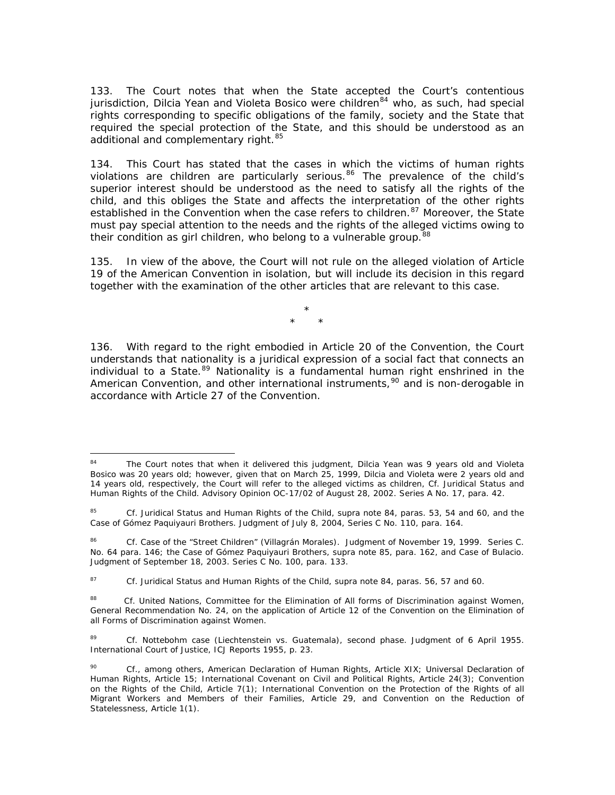133. The Court notes that when the State accepted the Court's contentious jurisdiction, Dilcia Yean and Violeta Bosico were children $84$  who, as such, had special rights corresponding to specific obligations of the family, society and the State that required the special protection of the State, and this should be understood as an additional and complementary right.<sup>[85](#page-56-1)</sup>

134. This Court has stated that the cases in which the victims of human rights violations are children are particularly serious.<sup>[86](#page-56-2)</sup> The prevalence of the child's superior interest should be understood as the need to satisfy all the rights of the child, and this obliges the State and affects the interpretation of the other rights established in the Convention when the case refers to children.<sup>[87](#page-56-3)</sup> Moreover, the State must pay special attention to the needs and the rights of the alleged victims owing to their condition as girl children, who belong to a vulnerable group.<sup>[88](#page-56-4)</sup>

135. In view of the above, the Court will not rule on the alleged violation of Article 19 of the American Convention in isolation, but will include its decision in this regard together with the examination of the other articles that are relevant to this case.

> \* \* \*

136. With regard to the right embodied in Article 20 of the Convention, the Court understands that nationality is a juridical expression of a social fact that connects an individual to a State.<sup>[89](#page-56-5)</sup> Nationality is a fundamental human right enshrined in the American Convention, and other international instruments,  $90$  and is non-derogable in accordance with Article 27 of the Convention.

<span id="page-56-3"></span><sup>87</sup> *Cf. Juridical Status and Human Rights of the Child, supra* note 84, paras. 56, 57 and 60.

<span id="page-56-0"></span><sup>84</sup> The Court notes that when it delivered this judgment, Dilcia Yean was 9 years old and Violeta Bosico was 20 years old; however, given that on March 25, 1999, Dilcia and Violeta were 2 years old and 14 years old, respectively, the Court will refer to the alleged victims as children, Cf. *Juridical Status and Human Rights of the Child.* Advisory Opinion OC-17/02 of August 28, 2002. Series A No. 17, para. 42.

<span id="page-56-1"></span><sup>85</sup> *Cf. Juridical Status and Human Rights of the Child, supra* note 84, paras. 53, 54 and 60, and *the Case of Gómez Paquiyauri Brothers.* Judgment of July 8, 2004, Series C No. 110, para. 164.

<span id="page-56-2"></span><sup>86</sup> *Cf. Case of the "Street Children" (Villagrán Morales).* Judgment of November 19, 1999. Series C. No. 64 para. 146; *the Case of Gómez Paquiyauri Brothers, supra* note 85, para. 162, and *Case of Bulacio.*  Judgment of September 18, 2003. Series C No. 100, para. 133.

<span id="page-56-4"></span>Cf. United Nations, Committee for the Elimination of All forms of Discrimination against Women, General Recommendation No. 24, on the application of Article 12 of the Convention on the Elimination of all Forms of Discrimination against Women.

<span id="page-56-5"></span><sup>89</sup> *Cf. Nottebohm case* (Liechtenstein *vs.* Guatemala), second phase. Judgment of 6 April 1955. International Court of Justice, ICJ Reports 1955, p. 23.

<span id="page-56-6"></span><sup>90</sup> *Cf.*, among others, American Declaration of Human Rights, Article XIX; Universal Declaration of Human Rights, Article 15; International Covenant on Civil and Political Rights, Article 24(3); Convention on the Rights of the Child, Article 7(1); International Convention on the Protection of the Rights of all Migrant Workers and Members of their Families, Article 29, and Convention on the Reduction of Statelessness, Article 1(1).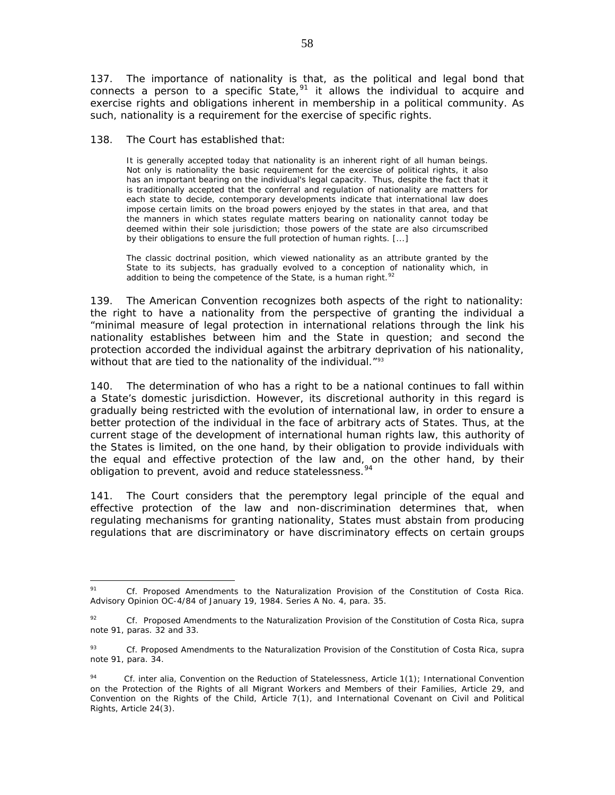137. The importance of nationality is that, as the political and legal bond that connects a person to a specific State, <sup>[91](#page-57-0)</sup> it allows the individual to acquire and exercise rights and obligations inherent in membership in a political community. As such, nationality is a requirement for the exercise of specific rights.

138. The Court has established that:

It is generally accepted today that nationality is an inherent right of all human beings. Not only is nationality the basic requirement for the exercise of political rights, it also has an important bearing on the individual's legal capacity. Thus, despite the fact that it is traditionally accepted that the conferral and regulation of nationality are matters for each state to decide, contemporary developments indicate that international law does impose certain limits on the broad powers enjoyed by the states in that area, and that the manners in which states regulate matters bearing on nationality cannot today be deemed within their sole jurisdiction; those powers of the state are also circumscribed by their obligations to ensure the full protection of human rights. [...]

The classic doctrinal position, which viewed nationality as an attribute granted by the State to its subjects, has gradually evolved to a conception of nationality which, in addition to being the competence of the State, is a human right. $92$ 

139. The American Convention recognizes both aspects of the right to nationality: the right to have a nationality from the perspective of granting the individual a "minimal measure of legal protection in international relations through the link his nationality establishes between him and the State in question; and second the protection accorded the individual against the arbitrary deprivation of his nationality, without that are tied to the nationality of the individual."<sup>[93](#page-57-2)</sup>

140. The determination of who has a right to be a national continues to fall within a State's domestic jurisdiction. However, its discretional authority in this regard is gradually being restricted with the evolution of international law, in order to ensure a better protection of the individual in the face of arbitrary acts of States. Thus, at the current stage of the development of international human rights law, this authority of the States is limited, on the one hand, by their obligation to provide individuals with the equal and effective protection of the law and, on the other hand, by their obligation to prevent, avoid and reduce statelessness.<sup>[94](#page-57-3)</sup>

141. The Court considers that the peremptory legal principle of the equal and effective protection of the law and non-discrimination determines that, when regulating mechanisms for granting nationality, States must abstain from producing regulations that are discriminatory or have discriminatory effects on certain groups

<span id="page-57-0"></span><sup>91</sup> <sup>91</sup> *Cf. Proposed Amendments to the Naturalization Provision of the Constitution of Costa Rica*. Advisory Opinion OC-4/84 of January 19, 1984. Series A No. 4, para. 35.

<span id="page-57-1"></span><sup>92</sup> *Cf. Proposed Amendments to the Naturalization Provision of the Constitution of Costa Rica, supra* note 91, paras. 32 and 33.

<span id="page-57-2"></span><sup>93</sup> *Cf. Proposed Amendments to the Naturalization Provision of the Constitution of Costa Rica, supra* note 91, para. 34.

<span id="page-57-3"></span><sup>94</sup> *Cf.* inter alia, Convention on the Reduction of Statelessness, Article 1(1); International Convention on the Protection of the Rights of all Migrant Workers and Members of their Families, Article 29, and Convention on the Rights of the Child, Article 7(1), and International Covenant on Civil and Political Rights, Article 24(3).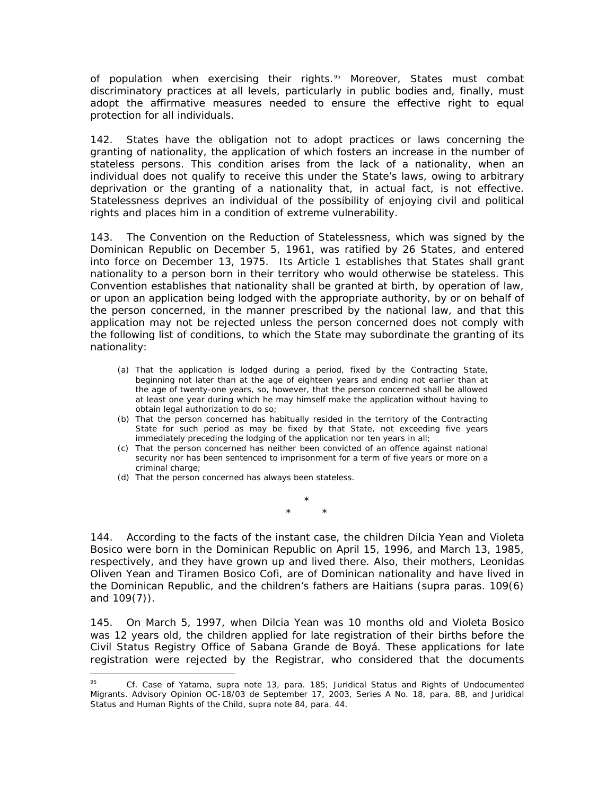of population when exercising their rights.<sup>[95](#page-58-0)</sup> Moreover, States must combat discriminatory practices at all levels, particularly in public bodies and, finally, must adopt the affirmative measures needed to ensure the effective right to equal protection for all individuals.

142. States have the obligation not to adopt practices or laws concerning the granting of nationality, the application of which fosters an increase in the number of stateless persons. This condition arises from the lack of a nationality, when an individual does not qualify to receive this under the State's laws, owing to arbitrary deprivation or the granting of a nationality that, in actual fact, is not effective. Statelessness deprives an individual of the possibility of enjoying civil and political rights and places him in a condition of extreme vulnerability.

143. The Convention on the Reduction of Statelessness, which was signed by the Dominican Republic on December 5, 1961, was ratified by 26 States, and entered into force on December 13, 1975. Its Article 1 establishes that States shall grant nationality to a person born in their territory who would otherwise be stateless. This Convention establishes that nationality shall be granted at birth, by operation of law, or upon an application being lodged with the appropriate authority, by or on behalf of the person concerned, in the manner prescribed by the national law, and that this application may not be rejected unless the person concerned does not comply with the following list of conditions, to which the State may subordinate the granting of its nationality:

- (a) That the application is lodged during a period, fixed by the Contracting State, beginning not later than at the age of eighteen years and ending not earlier than at the age of twenty-one years, so, however, that the person concerned shall be allowed at least one year during which he may himself make the application without having to obtain legal authorization to do so;
- (b) That the person concerned has habitually resided in the territory of the Contracting State for such period as may be fixed by that State, not exceeding five years immediately preceding the lodging of the application nor ten years in all;
- (c) That the person concerned has neither been convicted of an offence against national security nor has been sentenced to imprisonment for a term of five years or more on a criminal charge;
- (d) That the person concerned has always been stateless.

 $\overline{a}$ 

\* \* \*

144. According to the facts of the instant case, the children Dilcia Yean and Violeta Bosico were born in the Dominican Republic on April 15, 1996, and March 13, 1985, respectively, and they have grown up and lived there. Also, their mothers, Leonidas Oliven Yean and Tiramen Bosico Cofi, are of Dominican nationality and have lived in the Dominican Republic, and the children's fathers are Haitians (*supra* paras. 109(6) and 109(7)).

145. On March 5, 1997, when Dilcia Yean was 10 months old and Violeta Bosico was 12 years old, the children applied for late registration of their births before the Civil Status Registry Office of Sabana Grande de Boyá. These applications for late registration were rejected by the Registrar, who considered that the documents

<span id="page-58-0"></span><sup>95</sup> *Cf. Case of Yatama*, *supra* note 13, para. 185; *Juridical Status and Rights of Undocumented Migrants*. Advisory Opinion OC-18/03 de September 17, 2003, Series A No. 18, para. 88, and *Juridical Status and Human Rights of the Child, supra* note 84, para. 44.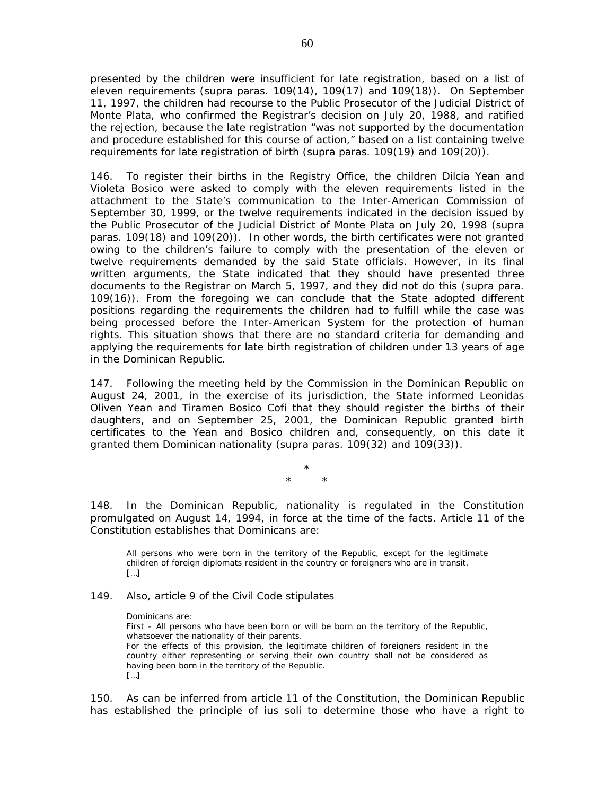presented by the children were insufficient for late registration, based on a list of eleven requirements (*supra* paras. 109(14), 109(17) and 109(18)). On September 11, 1997, the children had recourse to the Public Prosecutor of the Judicial District of Monte Plata, who confirmed the Registrar's decision on July 20, 1988, and ratified the rejection, because the late registration "was not supported by the documentation and procedure established for this course of action," based on a list containing twelve requirements for late registration of birth (*supra* paras. 109(19) and 109(20)).

146. To register their births in the Registry Office, the children Dilcia Yean and Violeta Bosico were asked to comply with the eleven requirements listed in the attachment to the State's communication to the Inter-American Commission of September 30, 1999, or the twelve requirements indicated in the decision issued by the Public Prosecutor of the Judicial District of Monte Plata on July 20, 1998 (*supra* paras. 109(18) and 109(20)). In other words, the birth certificates were not granted owing to the children's failure to comply with the presentation of the eleven or twelve requirements demanded by the said State officials. However, in its final written arguments, the State indicated that they should have presented three documents to the Registrar on March 5, 1997, and they did not do this (*supra* para. 109(16)). From the foregoing we can conclude that the State adopted different positions regarding the requirements the children had to fulfill while the case was being processed before the Inter-American System for the protection of human rights. This situation shows that there are no standard criteria for demanding and applying the requirements for late birth registration of children under 13 years of age in the Dominican Republic.

147. Following the meeting held by the Commission in the Dominican Republic on August 24, 2001, in the exercise of its jurisdiction, the State informed Leonidas Oliven Yean and Tiramen Bosico Cofi that they should register the births of their daughters, and on September 25, 2001, the Dominican Republic granted birth certificates to the Yean and Bosico children and, consequently, on this date it granted them Dominican nationality (*supra* paras. 109(32) and 109(33)).

> \* \* \*

148. In the Dominican Republic, nationality is regulated in the Constitution promulgated on August 14, 1994, in force at the time of the facts. Article 11 of the Constitution establishes that Dominicans are:

All persons who were born in the territory of the Republic, except for the legitimate children of foreign diplomats resident in the country or foreigners who are in transit. […]

## 149. Also, article 9 of the Civil Code stipulates

Dominicans are: First – All persons who have been born or will be born on the territory of the Republic, whatsoever the nationality of their parents. For the effects of this provision, the legitimate children of foreigners resident in the country either representing or serving their own country shall not be considered as having been born in the territory of the Republic. […]

150. As can be inferred from article 11 of the Constitution, the Dominican Republic has established the principle of *ius soli* to determine those who have a right to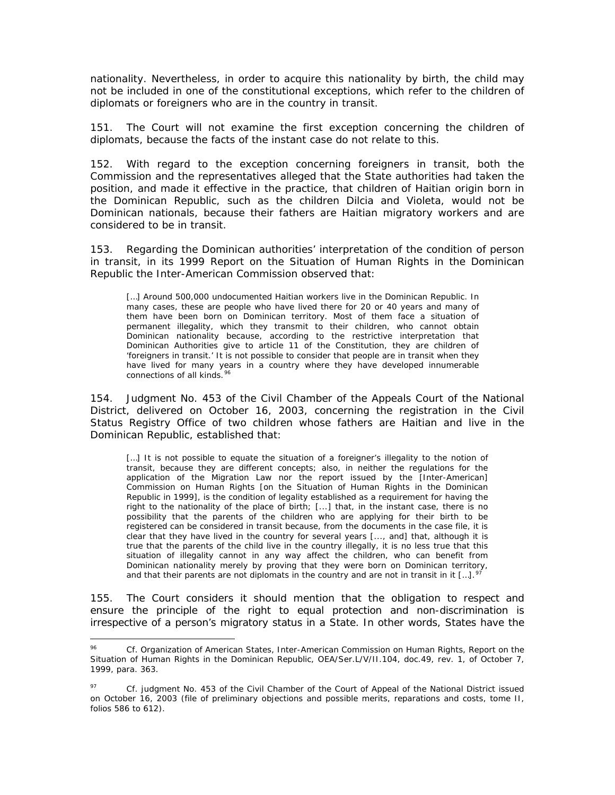nationality. Nevertheless, in order to acquire this nationality by birth, the child may not be included in one of the constitutional exceptions, which refer to the children of diplomats or foreigners who are in the country in transit.

151. The Court will not examine the first exception concerning the children of diplomats, because the facts of the instant case do not relate to this.

152. With regard to the exception concerning foreigners in transit, both the Commission and the representatives alleged that the State authorities had taken the position, and made it effective in the practice, that children of Haitian origin born in the Dominican Republic, such as the children Dilcia and Violeta, would not be Dominican nationals, because their fathers are Haitian migratory workers and are considered to be in transit.

153. Regarding the Dominican authorities' interpretation of the condition of person in transit, in its 1999 Report on the Situation of Human Rights in the Dominican Republic the Inter-American Commission observed that:

[...] Around 500,000 undocumented Haitian workers live in the Dominican Republic. In many cases, these are people who have lived there for 20 or 40 years and many of them have been born on Dominican territory. Most of them face a situation of permanent illegality, which they transmit to their children, who cannot obtain Dominican nationality because, according to the restrictive interpretation that Dominican Authorities give to article 11 of the Constitution, they are children of 'foreigners in transit.' It is not possible to consider that people are in transit when they have lived for many years in a country where they have developed innumerable connections of all kinds.<sup>[96](#page-60-0)</sup>

154. Judgment No. 453 of the Civil Chamber of the Appeals Court of the National District, delivered on October 16, 2003, concerning the registration in the Civil Status Registry Office of two children whose fathers are Haitian and live in the Dominican Republic, established that:

[...] It is not possible to equate the situation of a foreigner's illegality to the notion of transit, because they are different concepts; also, in neither the regulations for the application of the Migration Law nor the report issued by the [Inter-American] Commission on Human Rights [on the Situation of Human Rights in the Dominican Republic in 1999], is the condition of legality established as a requirement for having the right to the nationality of the place of birth; [...] that, in the instant case, there is no possibility that the parents of the children who are applying for their birth to be registered can be considered in transit because, from the documents in the case file, it is clear that they have lived in the country for several years [..., and] that, although it is true that the parents of the child live in the country illegally, it is no less true that this situation of illegality cannot in any way affect the children, who can benefit from Dominican nationality merely by proving that they were born on Dominican territory, and that their parents are not diplomats in the country and are not in transit in it [...].<sup>9</sup>

155. The Court considers it should mention that the obligation to respect and ensure the principle of the right to equal protection and non-discrimination is irrespective of a person's migratory status in a State. In other words, States have the

 $\overline{a}$ 

<span id="page-60-0"></span><sup>96</sup> *Cf.* Organization of American States, Inter-American Commission on Human Rights, Report on the Situation of Human Rights in the Dominican Republic, OEA/Ser.L/V/II.104, doc.49, rev. 1, of October 7, 1999, para. 363.

<span id="page-60-1"></span><sup>97</sup> *Cf.* judgment No. 453 of the Civil Chamber of the Court of Appeal of the National District issued on October 16, 2003 (file of preliminary objections and possible merits, reparations and costs, tome II, folios 586 to 612).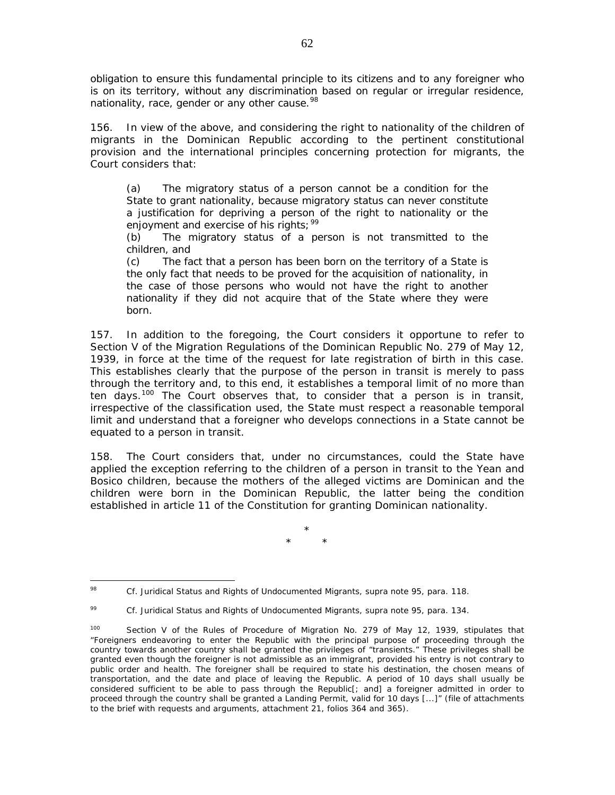obligation to ensure this fundamental principle to its citizens and to any foreigner who is on its territory, without any discrimination based on regular or irregular residence, nationality, race, gender or any other cause.<sup>[98](#page-61-0)</sup>

156. In view of the above, and considering the right to nationality of the children of migrants in the Dominican Republic according to the pertinent constitutional provision and the international principles concerning protection for migrants, the Court considers that:

(a) The migratory status of a person cannot be a condition for the State to grant nationality, because migratory status can never constitute a justification for depriving a person of the right to nationality or the enjoyment and exercise of his rights; <sup>[99](#page-61-1)</sup>

(b) The migratory status of a person is not transmitted to the children, and

(c) The fact that a person has been born on the territory of a State is the only fact that needs to be proved for the acquisition of nationality, in the case of those persons who would not have the right to another nationality if they did not acquire that of the State where they were born.

157. In addition to the foregoing, the Court considers it opportune to refer to Section V of the Migration Regulations of the Dominican Republic No. 279 of May 12, 1939, in force at the time of the request for late registration of birth in this case. This establishes clearly that the purpose of the person in transit is merely to pass through the territory and, to this end, it establishes a temporal limit of no more than ten days.<sup>[100](#page-61-2)</sup> The Court observes that, to consider that a person is in transit, irrespective of the classification used, the State must respect a reasonable temporal limit and understand that a foreigner who develops connections in a State cannot be equated to a person in transit.

158. The Court considers that, under no circumstances, could the State have applied the exception referring to the children of a person in transit to the Yean and Bosico children, because the mothers of the alleged victims are Dominican and the children were born in the Dominican Republic, the latter being the condition established in article 11 of the Constitution for granting Dominican nationality.

> \* \* \*

<span id="page-61-0"></span><sup>98</sup> <sup>98</sup> *Cf. Juridical Status and Rights of Undocumented Migrants, supra* note 95*,* para. 118.

<span id="page-61-1"></span><sup>99</sup> *Cf. Juridical Status and Rights of Undocumented Migrants, supra* note 95*,* para. 134.

<span id="page-61-2"></span><sup>100</sup> Section V of the Rules of Procedure of Migration No. 279 of May 12, 1939, stipulates that "Foreigners endeavoring to enter the Republic with the principal purpose of proceeding through the country towards another country shall be granted the privileges of "transients." These privileges shall be granted even though the foreigner is not admissible as an immigrant, provided his entry is not contrary to public order and health. The foreigner shall be required to state his destination, the chosen means of transportation, and the date and place of leaving the Republic. A period of 10 days shall usually be considered sufficient to be able to pass through the Republic<sup>[</sup>; and] a foreigner admitted in order to proceed through the country shall be granted a Landing Permit, valid for 10 days [...]" (file of attachments to the brief with requests and arguments, attachment 21, folios 364 and 365).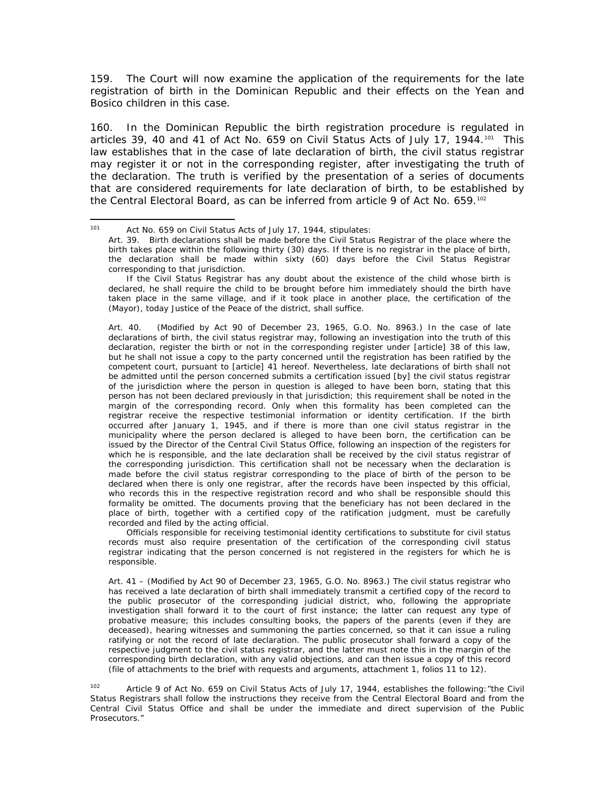159. The Court will now examine the application of the requirements for the late registration of birth in the Dominican Republic and their effects on the Yean and Bosico children in this case.

160. In the Dominican Republic the birth registration procedure is regulated in articles 39, 40 and 41 of Act No. 659 on Civil Status Acts of July 17, 1944.<sup>[101](#page-62-0)</sup> This law establishes that in the case of late declaration of birth, the civil status registrar may register it or not in the corresponding register, after investigating the truth of the declaration. The truth is verified by the presentation of a series of documents that are considered requirements for late declaration of birth, to be established by the Central Electoral Board, as can be inferred from article 9 of Act No. 659.[102](#page-62-1)

 Officials responsible for receiving testimonial identity certifications to substitute for civil status records must also require presentation of the certification of the corresponding civil status registrar indicating that the person concerned is not registered in the registers for which he is responsible.

Art. 41 – (Modified by Act 90 of December 23, 1965, G.O. No. 8963.) The civil status registrar who has received a late declaration of birth shall immediately transmit a certified copy of the record to the public prosecutor of the corresponding judicial district, who, following the appropriate investigation shall forward it to the court of first instance; the latter can request any type of probative measure; this includes consulting books, the papers of the parents (even if they are deceased), hearing witnesses and summoning the parties concerned, so that it can issue a ruling ratifying or not the record of late declaration. The public prosecutor shall forward a copy of the respective judgment to the civil status registrar, and the latter must note this in the margin of the corresponding birth declaration, with any valid objections, and can then issue a copy of this record (file of attachments to the brief with requests and arguments, attachment 1, folios 11 to 12).

<span id="page-62-1"></span>102 Article 9 of Act No. 659 on Civil Status Acts of July 17, 1944, establishes the following: "the Civil Status Registrars shall follow the instructions they receive from the Central Electoral Board and from the Central Civil Status Office and shall be under the immediate and direct supervision of the Public Prosecutors."

<span id="page-62-0"></span><sup>101</sup> Act No. 659 on Civil Status Acts of July 17, 1944, stipulates:

Art. 39. Birth declarations shall be made before the Civil Status Registrar of the place where the birth takes place within the following thirty (30) days. If there is no registrar in the place of birth, the declaration shall be made within sixty (60) days before the Civil Status Registrar corresponding to that jurisdiction.

If the Civil Status Registrar has any doubt about the existence of the child whose birth is declared, he shall require the child to be brought before him immediately should the birth have taken place in the same village, and if it took place in another place, the certification of the (Mayor), today Justice of the Peace of the district, shall suffice.

Art. 40. (Modified by Act 90 of December 23, 1965, G.O. No. 8963.) In the case of late declarations of birth, the civil status registrar may, following an investigation into the truth of this declaration, register the birth or not in the corresponding register under [article] 38 of this law, but he shall not issue a copy to the party concerned until the registration has been ratified by the competent court, pursuant to [article] 41 hereof. Nevertheless, late declarations of birth shall not be admitted until the person concerned submits a certification issued [by] the civil status registrar of the jurisdiction where the person in question is alleged to have been born, stating that this person has not been declared previously in that jurisdiction; this requirement shall be noted in the margin of the corresponding record. Only when this formality has been completed can the registrar receive the respective testimonial information or identity certification. If the birth occurred after January 1, 1945, and if there is more than one civil status registrar in the municipality where the person declared is alleged to have been born, the certification can be issued by the Director of the Central Civil Status Office, following an inspection of the registers for which he is responsible, and the late declaration shall be received by the civil status registrar of the corresponding jurisdiction. This certification shall not be necessary when the declaration is made before the civil status registrar corresponding to the place of birth of the person to be declared when there is only one registrar, after the records have been inspected by this official, who records this in the respective registration record and who shall be responsible should this formality be omitted. The documents proving that the beneficiary has not been declared in the place of birth, together with a certified copy of the ratification judgment, must be carefully recorded and filed by the acting official.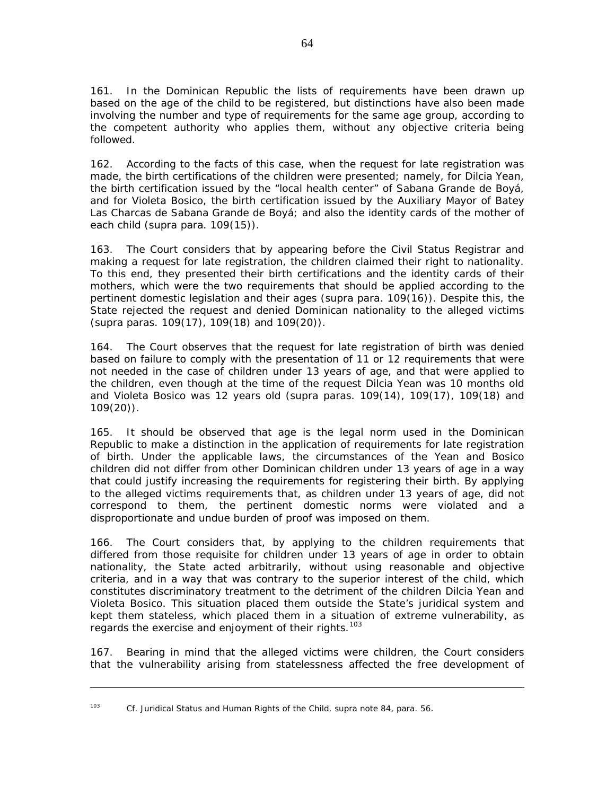161. In the Dominican Republic the lists of requirements have been drawn up based on the age of the child to be registered, but distinctions have also been made involving the number and type of requirements for the same age group, according to the competent authority who applies them, without any objective criteria being followed.

162. According to the facts of this case, when the request for late registration was made, the birth certifications of the children were presented; namely, for Dilcia Yean, the birth certification issued by the "local health center" of Sabana Grande de Boyá, and for Violeta Bosico, the birth certification issued by the Auxiliary Mayor of Batey Las Charcas de Sabana Grande de Boyá; and also the identity cards of the mother of each child (*supra* para. 109(15)).

163. The Court considers that by appearing before the Civil Status Registrar and making a request for late registration, the children claimed their right to nationality. To this end, they presented their birth certifications and the identity cards of their mothers, which were the two requirements that should be applied according to the pertinent domestic legislation and their ages (*supra* para. 109(16)). Despite this, the State rejected the request and denied Dominican nationality to the alleged victims (*supra* paras. 109(17), 109(18) and 109(20)).

164. The Court observes that the request for late registration of birth was denied based on failure to comply with the presentation of 11 or 12 requirements that were not needed in the case of children under 13 years of age, and that were applied to the children, even though at the time of the request Dilcia Yean was 10 months old and Violeta Bosico was 12 years old (*supra* paras. 109(14), 109(17), 109(18) and 109(20)).

165. It should be observed that age is the legal norm used in the Dominican Republic to make a distinction in the application of requirements for late registration of birth. Under the applicable laws, the circumstances of the Yean and Bosico children did not differ from other Dominican children under 13 years of age in a way that could justify increasing the requirements for registering their birth. By applying to the alleged victims requirements that, as children under 13 years of age, did not correspond to them, the pertinent domestic norms were violated and a disproportionate and undue burden of proof was imposed on them.

166. The Court considers that, by applying to the children requirements that differed from those requisite for children under 13 years of age in order to obtain nationality, the State acted arbitrarily, without using reasonable and objective criteria, and in a way that was contrary to the superior interest of the child, which constitutes discriminatory treatment to the detriment of the children Dilcia Yean and Violeta Bosico. This situation placed them outside the State's juridical system and kept them stateless, which placed them in a situation of extreme vulnerability, as regards the exercise and enjoyment of their rights.<sup>[103](#page-63-0)</sup>

167. Bearing in mind that the alleged victims were children, the Court considers that the vulnerability arising from statelessness affected the free development of

 $\overline{a}$ 

<span id="page-63-0"></span><sup>103</sup> *Cf. Juridical Status and Human Rights of the Child, supra* note 84, para. 56.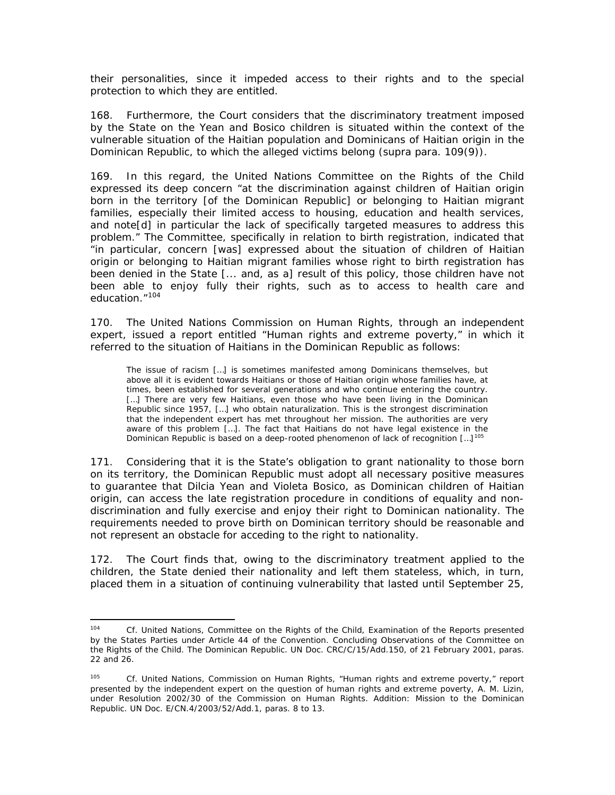their personalities, since it impeded access to their rights and to the special protection to which they are entitled.

168. Furthermore, the Court considers that the discriminatory treatment imposed by the State on the Yean and Bosico children is situated within the context of the vulnerable situation of the Haitian population and Dominicans of Haitian origin in the Dominican Republic, to which the alleged victims belong (*supra* para. 109(9)).

169. In this regard, the United Nations Committee on the Rights of the Child expressed its deep concern "at the discrimination against children of Haitian origin born in the territory [of the Dominican Republic] or belonging to Haitian migrant families, especially their limited access to housing, education and health services, and note[d] in particular the lack of specifically targeted measures to address this problem." The Committee, specifically in relation to birth registration, indicated that "in particular, concern [was] expressed about the situation of children of Haitian origin or belonging to Haitian migrant families whose right to birth registration has been denied in the State [... and, as a] result of this policy, those children have not been able to enjoy fully their rights, such as to access to health care and education."<sup>[104](#page-64-0)</sup>

170. The United Nations Commission on Human Rights, through an independent expert, issued a report entitled "Human rights and extreme poverty," in which it referred to the situation of Haitians in the Dominican Republic as follows:

The issue of racism […] is sometimes manifested among Dominicans themselves, but above all it is evident towards Haitians or those of Haitian origin whose families have, at times, been established for several generations and who continue entering the country. [...] There are very few Haitians, even those who have been living in the Dominican Republic since 1957, […] who obtain naturalization. This is the strongest discrimination that the independent expert has met throughout her mission. The authorities are very aware of this problem […]. The fact that Haitians do not have legal existence in the Dominican Republic is based on a deep-rooted phenomenon of lack of recognition [...]<sup>[105](#page-64-1)</sup>

171. Considering that it is the State's obligation to grant nationality to those born on its territory, the Dominican Republic must adopt all necessary positive measures to guarantee that Dilcia Yean and Violeta Bosico, as Dominican children of Haitian origin, can access the late registration procedure in conditions of equality and nondiscrimination and fully exercise and enjoy their right to Dominican nationality. The requirements needed to prove birth on Dominican territory should be reasonable and not represent an obstacle for acceding to the right to nationality.

172. The Court finds that, owing to the discriminatory treatment applied to the children, the State denied their nationality and left them stateless, which, in turn, placed them in a situation of continuing vulnerability that lasted until September 25,

<span id="page-64-0"></span><sup>104</sup> Cf. United Nations, Committee on the Rights of the Child, Examination of the Reports presented by the States Parties under Article 44 of the Convention. Concluding Observations of the Committee on the Rights of the Child. The Dominican Republic. UN Doc. CRC/C/15/Add.150, of 21 February 2001, paras. 22 and 26.

<span id="page-64-1"></span><sup>105</sup> *Cf.* United Nations, Commission on Human Rights, "Human rights and extreme poverty," report presented by the independent expert on the question of human rights and extreme poverty, A. M. Lizin, under Resolution 2002/30 of the Commission on Human Rights. Addition: Mission to the Dominican Republic. UN Doc. E/CN.4/2003/52/Add.1, paras. 8 to 13.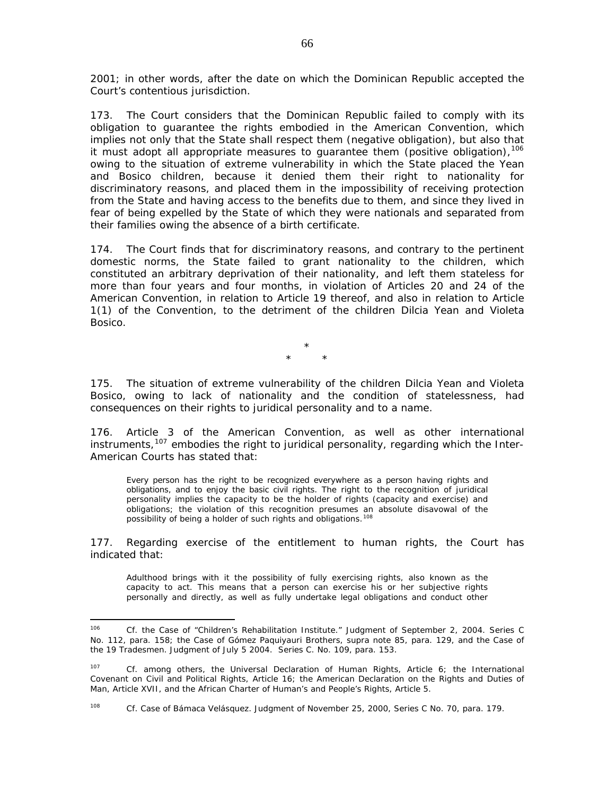2001; in other words, after the date on which the Dominican Republic accepted the Court's contentious jurisdiction.

173. The Court considers that the Dominican Republic failed to comply with its obligation to guarantee the rights embodied in the American Convention, which implies not only that the State shall respect them (negative obligation), but also that it must adopt all appropriate measures to guarantee them (positive obligation),  $106$ owing to the situation of extreme vulnerability in which the State placed the Yean and Bosico children, because it denied them their right to nationality for discriminatory reasons, and placed them in the impossibility of receiving protection from the State and having access to the benefits due to them, and since they lived in fear of being expelled by the State of which they were nationals and separated from their families owing the absence of a birth certificate.

174. The Court finds that for discriminatory reasons, and contrary to the pertinent domestic norms, the State failed to grant nationality to the children, which constituted an arbitrary deprivation of their nationality, and left them stateless for more than four years and four months, in violation of Articles 20 and 24 of the American Convention, in relation to Article 19 thereof, and also in relation to Article 1(1) of the Convention, to the detriment of the children Dilcia Yean and Violeta Bosico.

> \* \* \*

175. The situation of extreme vulnerability of the children Dilcia Yean and Violeta Bosico, owing to lack of nationality and the condition of statelessness, had consequences on their rights to juridical personality and to a name.

176. Article 3 of the American Convention, as well as other international instruments,<sup>[107](#page-65-1)</sup> embodies the right to juridical personality, regarding which the Inter-American Courts has stated that:

Every person has the right to be recognized everywhere as a person having rights and obligations, and to enjoy the basic civil rights. The right to the recognition of juridical personality implies the capacity to be the holder of rights (capacity and exercise) and obligations; the violation of this recognition presumes an absolute disavowal of the possibility of being a holder of such rights and obligations.[108](#page-65-2)

177. Regarding exercise of the entitlement to human rights, the Court has indicated that:

Adulthood brings with it the possibility of fully exercising rights, also known as the capacity to act. This means that a person can exercise his or her subjective rights personally and directly, as well as fully undertake legal obligations and conduct other

<span id="page-65-0"></span><sup>106</sup> <sup>106</sup> *Cf. the Case of "Children's Rehabilitation Institute."* Judgment of September 2, 2004. Series C No. 112, para. 158; *the Case of Gómez Paquiyauri Brothers, supra* note 85, para. 129, and the *Case of the 19 Tradesmen*. Judgment of July 5 2004. Series C. No. 109, para. 153*.* 

<span id="page-65-1"></span><sup>107</sup> *Cf.* among others, the Universal Declaration of Human Rights, Article 6; the International Covenant on Civil and Political Rights, Article 16; the American Declaration on the Rights and Duties of Man, Article XVII, and the African Charter of Human's and People's Rights, Article 5.

<span id="page-65-2"></span><sup>108</sup> <sup>108</sup> *Cf. Case of Bámaca Velásquez*. Judgment of November 25, 2000, Series C No. 70, para. 179.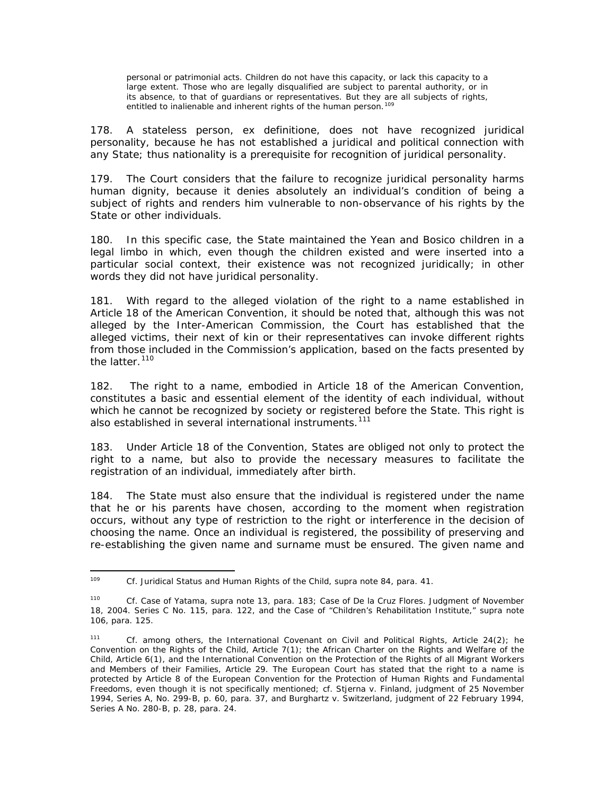personal or patrimonial acts. Children do not have this capacity, or lack this capacity to a large extent. Those who are legally disqualified are subject to parental authority, or in its absence, to that of guardians or representatives. But they are all subjects of rights, entitled to inalienable and inherent rights of the human person.<sup>[109](#page-66-0)</sup>

178. A stateless person, *ex definitione*, does not have recognized juridical personality, because he has not established a juridical and political connection with any State; thus nationality is a prerequisite for recognition of juridical personality.

179. The Court considers that the failure to recognize juridical personality harms human dignity, because it denies absolutely an individual's condition of being a subject of rights and renders him vulnerable to non-observance of his rights by the State or other individuals.

180. In this specific case, the State maintained the Yean and Bosico children in a legal limbo in which, even though the children existed and were inserted into a particular social context, their existence was not recognized juridically; in other words they did not have juridical personality.

181. With regard to the alleged violation of the right to a name established in Article 18 of the American Convention, it should be noted that, although this was not alleged by the Inter-American Commission, the Court has established that the alleged victims, their next of kin or their representatives can invoke different rights from those included in the Commission's application, based on the facts presented by the latter.<sup>[110](#page-66-1)</sup>

182. The right to a name, embodied in Article 18 of the American Convention, constitutes a basic and essential element of the identity of each individual, without which he cannot be recognized by society or registered before the State. This right is also established in several international instruments.<sup>[111](#page-66-2)</sup>

183. Under Article 18 of the Convention, States are obliged not only to protect the right to a name, but also to provide the necessary measures to facilitate the registration of an individual, immediately after birth.

184. The State must also ensure that the individual is registered under the name that he or his parents have chosen, according to the moment when registration occurs, without any type of restriction to the right or interference in the decision of choosing the name. Once an individual is registered, the possibility of preserving and re-establishing the given name and surname must be ensured. The given name and

<span id="page-66-0"></span> $\overline{a}$ <sup>109</sup> *Cf. Juridical Status and Human Rights of the Child*, *supra* note 84, para. 41.

<span id="page-66-1"></span><sup>110</sup> *Cf. Case of Yatama*, *supra* note 13, para. 183*; Case of De la Cruz Flores.* Judgment of November 18, 2004. Series C No. 115, para. 122, and *the Case of "Children's Rehabilitation Institute," supra* note 106, para. 125.

<span id="page-66-2"></span><sup>111</sup> *Cf.* among others, the International Covenant on Civil and Political Rights, Article 24(2); he Convention on the Rights of the Child, Article 7(1); the African Charter on the Rights and Welfare of the Child, Article 6(1), and the International Convention on the Protection of the Rights of all Migrant Workers and Members of their Families, Article 29. The European Court has stated that the right to a name is protected by Article 8 of the European Convention for the Protection of Human Rights and Fundamental Freedoms, even though it is not specifically mentioned; *cf. Stjerna v. Finland*, judgment of 25 November 1994, Series A, No. 299-B, p. 60, para. 37, and *Burghartz v. Switzerland*, judgment of 22 February 1994, Series A No. 280-B, p. 28, para. 24.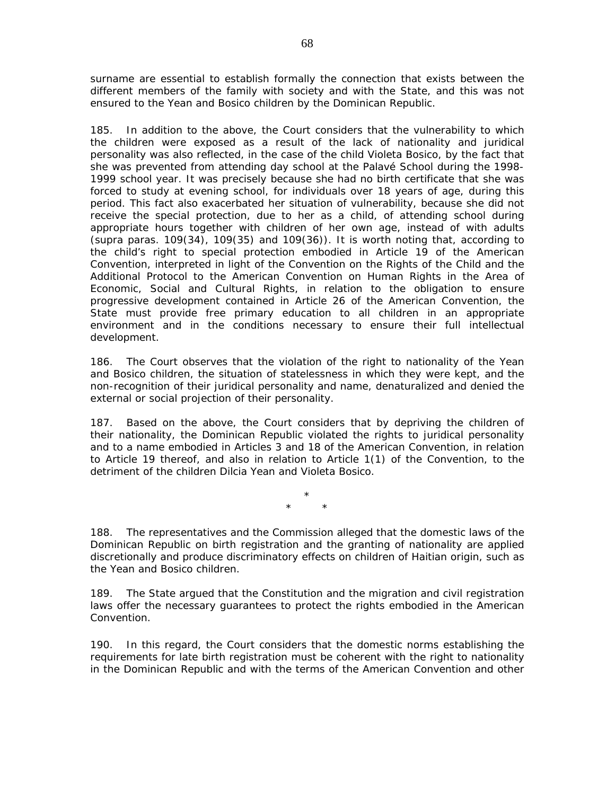surname are essential to establish formally the connection that exists between the different members of the family with society and with the State, and this was not ensured to the Yean and Bosico children by the Dominican Republic.

185. In addition to the above, the Court considers that the vulnerability to which the children were exposed as a result of the lack of nationality and juridical personality was also reflected, in the case of the child Violeta Bosico, by the fact that she was prevented from attending day school at the Palavé School during the 1998- 1999 school year. It was precisely because she had no birth certificate that she was forced to study at evening school, for individuals over 18 years of age, during this period. This fact also exacerbated her situation of vulnerability, because she did not receive the special protection, due to her as a child, of attending school during appropriate hours together with children of her own age, instead of with adults (*supra* paras. 109(34), 109(35) and 109(36)). It is worth noting that, according to the child's right to special protection embodied in Article 19 of the American Convention, interpreted in light of the Convention on the Rights of the Child and the Additional Protocol to the American Convention on Human Rights in the Area of Economic, Social and Cultural Rights, in relation to the obligation to ensure progressive development contained in Article 26 of the American Convention, the State must provide free primary education to all children in an appropriate environment and in the conditions necessary to ensure their full intellectual development.

186. The Court observes that the violation of the right to nationality of the Yean and Bosico children, the situation of statelessness in which they were kept, and the non-recognition of their juridical personality and name, denaturalized and denied the external or social projection of their personality.

187. Based on the above, the Court considers that by depriving the children of their nationality, the Dominican Republic violated the rights to juridical personality and to a name embodied in Articles 3 and 18 of the American Convention, in relation to Article 19 thereof, and also in relation to Article 1(1) of the Convention, to the detriment of the children Dilcia Yean and Violeta Bosico.

> \* \* \*

188. The representatives and the Commission alleged that the domestic laws of the Dominican Republic on birth registration and the granting of nationality are applied discretionally and produce discriminatory effects on children of Haitian origin, such as the Yean and Bosico children.

189. The State argued that the Constitution and the migration and civil registration laws offer the necessary guarantees to protect the rights embodied in the American Convention.

190. In this regard, the Court considers that the domestic norms establishing the requirements for late birth registration must be coherent with the right to nationality in the Dominican Republic and with the terms of the American Convention and other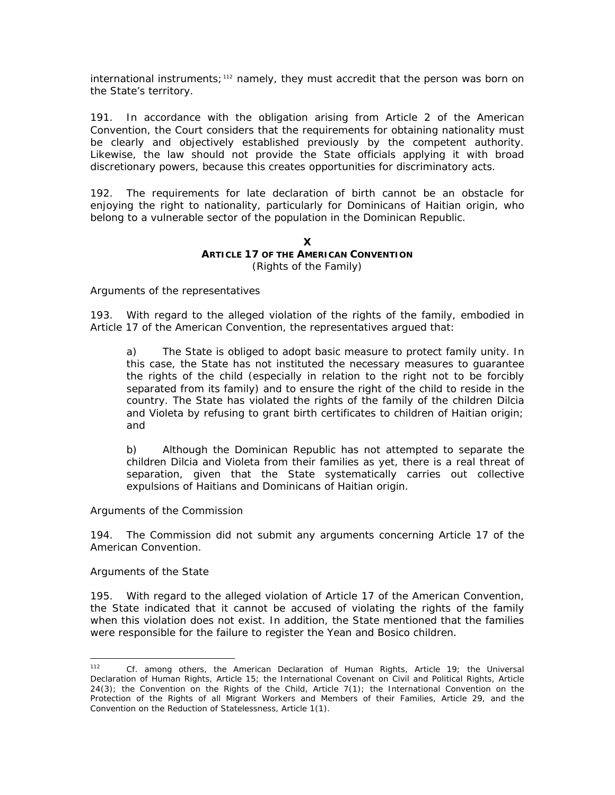international instruments;  $112$  namely, they must accredit that the person was born on the State's territory.

191. In accordance with the obligation arising from Article 2 of the American Convention, the Court considers that the requirements for obtaining nationality must be clearly and objectively established previously by the competent authority. Likewise, the law should not provide the State officials applying it with broad discretionary powers, because this creates opportunities for discriminatory acts.

192. The requirements for late declaration of birth cannot be an obstacle for enjoying the right to nationality, particularly for Dominicans of Haitian origin, who belong to a vulnerable sector of the population in the Dominican Republic.

## **X ARTICLE 17 OF THE AMERICAN CONVENTION** *(Rights of the Family)*

# *Arguments of the representatives*

193. With regard to the alleged violation of the rights of the family, embodied in Article 17 of the American Convention, the representatives argued that:

a) The State is obliged to adopt basic measure to protect family unity. In this case, the State has not instituted the necessary measures to guarantee the rights of the child (especially in relation to the right not to be forcibly separated from its family) and to ensure the right of the child to reside in the country. The State has violated the rights of the family of the children Dilcia and Violeta by refusing to grant birth certificates to children of Haitian origin; and

b) Although the Dominican Republic has not attempted to separate the children Dilcia and Violeta from their families as yet, there is a real threat of separation, given that the State systematically carries out collective expulsions of Haitians and Dominicans of Haitian origin.

## *Arguments of the Commission*

194. The Commission did not submit any arguments concerning Article 17 of the American Convention.

## *Arguments of the State*

195. With regard to the alleged violation of Article 17 of the American Convention, the State indicated that it cannot be accused of violating the rights of the family when this violation does not exist. In addition, the State mentioned that the families were responsible for the failure to register the Yean and Bosico children.

<span id="page-68-0"></span> $112$ Cf. among others, the American Declaration of Human Rights, Article 19; the Universal Declaration of Human Rights, Article 15; the International Covenant on Civil and Political Rights, Article 24(3); the Convention on the Rights of the Child, Article 7(1); the International Convention on the Protection of the Rights of all Migrant Workers and Members of their Families, Article 29, and the Convention on the Reduction of Statelessness, Article 1(1).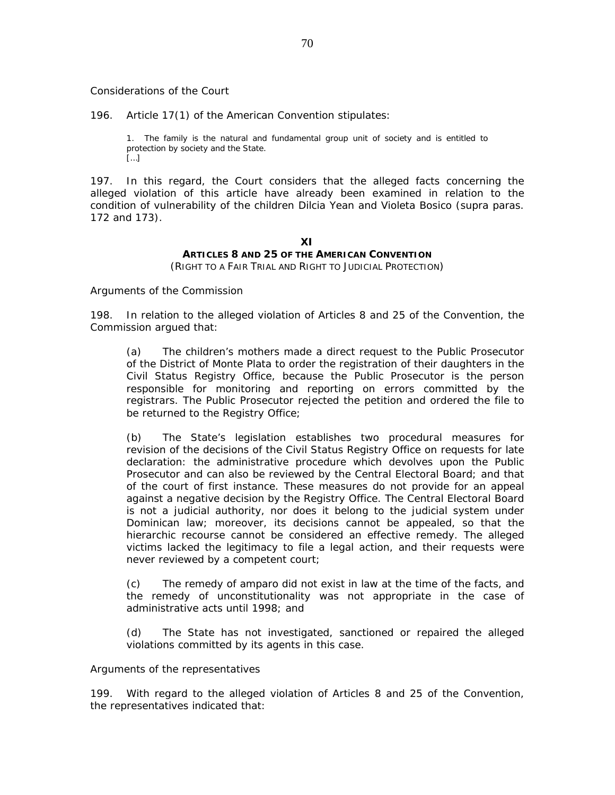*Considerations of the Court* 

196. Article 17(1) of the American Convention stipulates:

1. The family is the natural and fundamental group unit of society and is entitled to protection by society and the State. […]

197. In this regard, the Court considers that the alleged facts concerning the alleged violation of this article have already been examined in relation to the condition of vulnerability of the children Dilcia Yean and Violeta Bosico (*supra* paras. 172 and 173).

#### **XI ARTICLES 8 AND 25 OF THE AMERICAN CONVENTION** (*RIGHT TO A FAIR TRIAL AND RIGHT TO JUDICIAL PROTECTION*)

*Arguments of the Commission* 

198. In relation to the alleged violation of Articles 8 and 25 of the Convention, the Commission argued that:

(a) The children's mothers made a direct request to the Public Prosecutor of the District of Monte Plata to order the registration of their daughters in the Civil Status Registry Office, because the Public Prosecutor is the person responsible for monitoring and reporting on errors committed by the registrars. The Public Prosecutor rejected the petition and ordered the file to be returned to the Registry Office;

(b) The State's legislation establishes two procedural measures for revision of the decisions of the Civil Status Registry Office on requests for late declaration: the administrative procedure which devolves upon the Public Prosecutor and can also be reviewed by the Central Electoral Board; and that of the court of first instance. These measures do not provide for an appeal against a negative decision by the Registry Office. The Central Electoral Board is not a judicial authority, nor does it belong to the judicial system under Dominican law; moreover, its decisions cannot be appealed, so that the hierarchic recourse cannot be considered an effective remedy. The alleged victims lacked the legitimacy to file a legal action, and their requests were never reviewed by a competent court;

(c) The remedy of amparo did not exist in law at the time of the facts, and the remedy of unconstitutionality was not appropriate in the case of administrative acts until 1998; and

(d) The State has not investigated, sanctioned or repaired the alleged violations committed by its agents in this case.

#### *Arguments of the representatives*

199. With regard to the alleged violation of Articles 8 and 25 of the Convention, the representatives indicated that: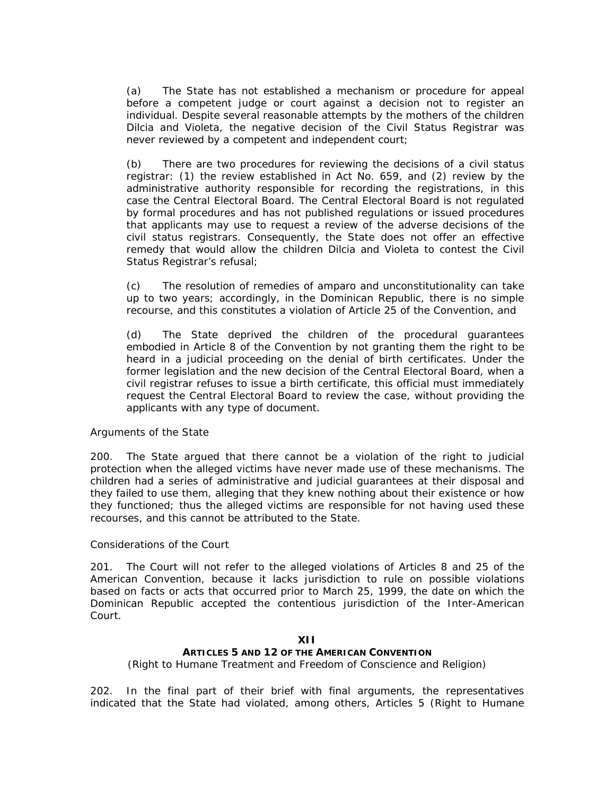(a) The State has not established a mechanism or procedure for appeal before a competent judge or court against a decision not to register an individual. Despite several reasonable attempts by the mothers of the children Dilcia and Violeta, the negative decision of the Civil Status Registrar was never reviewed by a competent and independent court;

(b) There are two procedures for reviewing the decisions of a civil status registrar: (1) the review established in Act No. 659, and (2) review by the administrative authority responsible for recording the registrations, in this case the Central Electoral Board. The Central Electoral Board is not regulated by formal procedures and has not published regulations or issued procedures that applicants may use to request a review of the adverse decisions of the civil status registrars. Consequently, the State does not offer an effective remedy that would allow the children Dilcia and Violeta to contest the Civil Status Registrar's refusal;

(c) The resolution of remedies of amparo and unconstitutionality can take up to two years; accordingly, in the Dominican Republic, there is no simple recourse, and this constitutes a violation of Article 25 of the Convention, and

(d) The State deprived the children of the procedural guarantees embodied in Article 8 of the Convention by not granting them the right to be heard in a judicial proceeding on the denial of birth certificates. Under the former legislation and the new decision of the Central Electoral Board, when a civil registrar refuses to issue a birth certificate, this official must immediately request the Central Electoral Board to review the case, without providing the applicants with any type of document.

## *Arguments of the State*

200. The State argued that there cannot be a violation of the right to judicial protection when the alleged victims have never made use of these mechanisms. The children had a series of administrative and judicial guarantees at their disposal and they failed to use them, alleging that they knew nothing about their existence or how they functioned; thus the alleged victims are responsible for not having used these recourses, and this cannot be attributed to the State.

# *Considerations of the Court*

201. The Court will not refer to the alleged violations of Articles 8 and 25 of the American Convention, because it lacks jurisdiction to rule on possible violations based on facts or acts that occurred prior to March 25, 1999, the date on which the Dominican Republic accepted the contentious jurisdiction of the Inter-American Court.

# **XII**

## **ARTICLES 5 AND 12 OF THE AMERICAN CONVENTION** *(Right to Humane Treatment and Freedom of Conscience and Religion)*

202. In the final part of their brief with final arguments, the representatives indicated that the State had violated, among others, Articles 5 (Right to Humane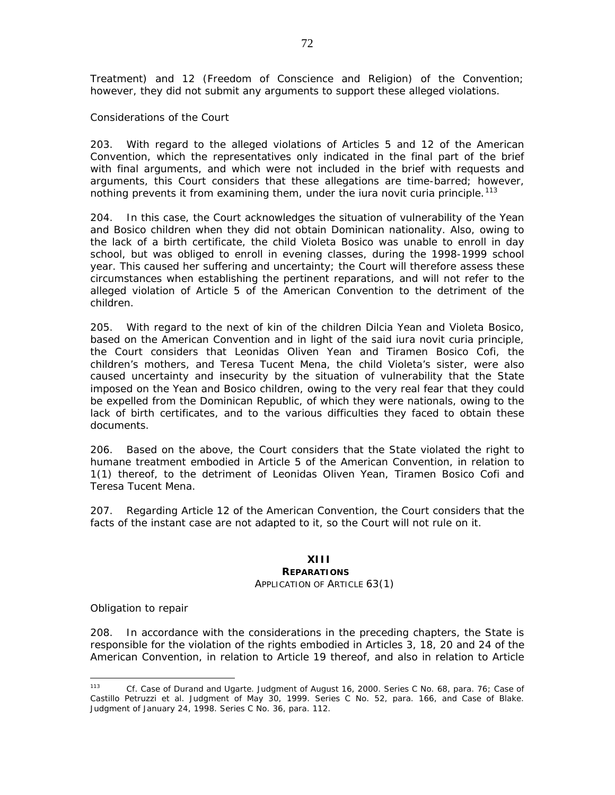Treatment) and 12 (Freedom of Conscience and Religion) of the Convention; however, they did not submit any arguments to support these alleged violations.

## *Considerations of the Court*

203. With regard to the alleged violations of Articles 5 and 12 of the American Convention, which the representatives only indicated in the final part of the brief with final arguments, and which were not included in the brief with requests and arguments, this Court considers that these allegations are time-barred; however, nothing prevents it from examining them, under the *iura novit curia* principle.<sup>[113](#page-71-0)</sup>

204. In this case, the Court acknowledges the situation of vulnerability of the Yean and Bosico children when they did not obtain Dominican nationality. Also, owing to the lack of a birth certificate, the child Violeta Bosico was unable to enroll in day school, but was obliged to enroll in evening classes, during the 1998-1999 school year. This caused her suffering and uncertainty; the Court will therefore assess these circumstances when establishing the pertinent reparations, and will not refer to the alleged violation of Article 5 of the American Convention to the detriment of the children.

205. With regard to the next of kin of the children Dilcia Yean and Violeta Bosico, based on the American Convention and in light of the said *iura novit curia* principle, the Court considers that Leonidas Oliven Yean and Tiramen Bosico Cofi, the children's mothers, and Teresa Tucent Mena, the child Violeta's sister, were also caused uncertainty and insecurity by the situation of vulnerability that the State imposed on the Yean and Bosico children, owing to the very real fear that they could be expelled from the Dominican Republic, of which they were nationals, owing to the lack of birth certificates, and to the various difficulties they faced to obtain these documents.

206. Based on the above, the Court considers that the State violated the right to humane treatment embodied in Article 5 of the American Convention, in relation to 1(1) thereof, to the detriment of Leonidas Oliven Yean, Tiramen Bosico Cofi and Teresa Tucent Mena.

207. Regarding Article 12 of the American Convention, the Court considers that the facts of the instant case are not adapted to it, so the Court will not rule on it.

# **XIII REPARATIONS**

 *APPLICATION OF ARTICLE 63(1)* 

## *Obligation to repair*

208. In accordance with the considerations in the preceding chapters, the State is responsible for the violation of the rights embodied in Articles 3, 18, 20 and 24 of the American Convention, in relation to Article 19 thereof, and also in relation to Article

<span id="page-71-0"></span> $113$ <sup>113</sup> *Cf. Case of Durand and Ugarte*. Judgment of August 16, 2000. Series C No. 68, para. 76; *Case of Castillo Petruzzi et al.* Judgment of May 30, 1999. Series C No. 52, para. 166, and *Case of Blake.*  Judgment of January 24, 1998. Series C No. 36, para. 112.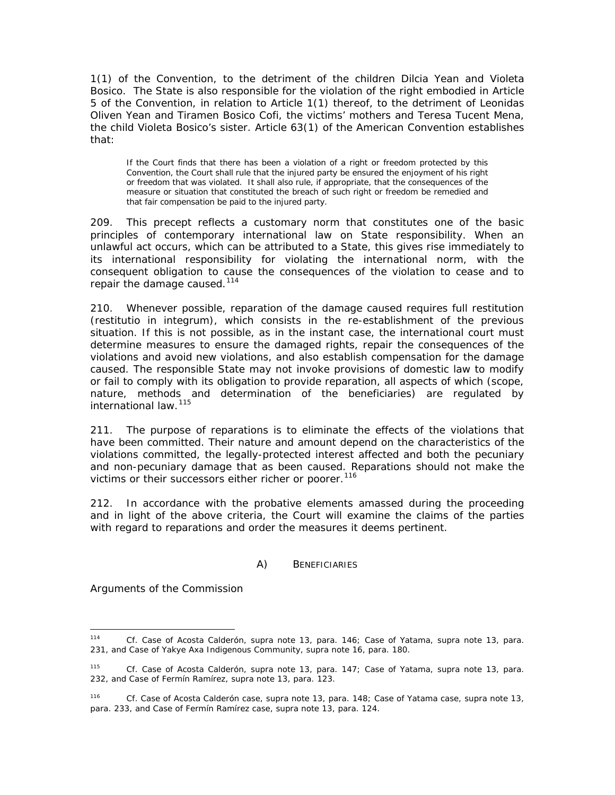1(1) of the Convention, to the detriment of the children Dilcia Yean and Violeta Bosico. The State is also responsible for the violation of the right embodied in Article 5 of the Convention, in relation to Article 1(1) thereof, to the detriment of Leonidas Oliven Yean and Tiramen Bosico Cofi, the victims' mothers and Teresa Tucent Mena, the child Violeta Bosico's sister. Article 63(1) of the American Convention establishes that:

If the Court finds that there has been a violation of a right or freedom protected by this Convention, the Court shall rule that the injured party be ensured the enjoyment of his right or freedom that was violated. It shall also rule, if appropriate, that the consequences of the measure or situation that constituted the breach of such right or freedom be remedied and that fair compensation be paid to the injured party.

209. This precept reflects a customary norm that constitutes one of the basic principles of contemporary international law on State responsibility. When an unlawful act occurs, which can be attributed to a State, this gives rise immediately to its international responsibility for violating the international norm, with the consequent obligation to cause the consequences of the violation to cease and to repair the damage caused.<sup>[114](#page-72-0)</sup>

210. Whenever possible, reparation of the damage caused requires full restitution (*restitutio in integrum*), which consists in the re-establishment of the previous situation. If this is not possible, as in the instant case, the international court must determine measures to ensure the damaged rights, repair the consequences of the violations and avoid new violations, and also establish compensation for the damage caused. The responsible State may not invoke provisions of domestic law to modify or fail to comply with its obligation to provide reparation, all aspects of which (scope, nature, methods and determination of the beneficiaries) are regulated by international law.<sup>[115](#page-72-1)</sup>

211. The purpose of reparations is to eliminate the effects of the violations that have been committed. Their nature and amount depend on the characteristics of the violations committed, the legally-protected interest affected and both the pecuniary and non-pecuniary damage that as been caused. Reparations should not make the victims or their successors either richer or poorer.<sup>[116](#page-72-2)</sup>

212. In accordance with the probative elements amassed during the proceeding and in light of the above criteria, the Court will examine the claims of the parties with regard to reparations and order the measures it deems pertinent.

## *A) BENEFICIARIES*

*Arguments of the Commission* 

<span id="page-72-0"></span><sup>114</sup> <sup>114</sup> *Cf. Case of Acosta Calderón, supra* note 13, para. 146; *Case of Yatama, supra* note 13, para. 231, and *Case of Yakye Axa Indigenous Community, supra* note 16, para. 180.

<span id="page-72-1"></span><sup>115</sup> *Cf. Case of Acosta Calderón, supra* note 13, para. 147; *Case of Yatama, supra* note 13, para. 232, and *Case of Fermín Ramírez, supra* note 13, para. 123.

<span id="page-72-2"></span><sup>116</sup> *Cf. Case of Acosta Calderón case, supra* note 13, para. 148; *Case of Yatama case, supra* note 13, para. 233, and *Case of Fermín Ramírez case, supra* note 13, para. 124.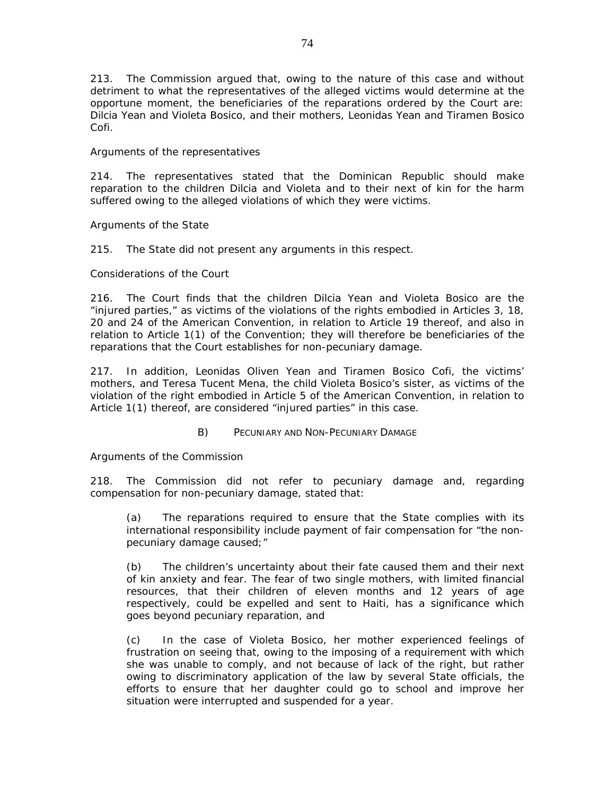213. The Commission argued that, owing to the nature of this case and without detriment to what the representatives of the alleged victims would determine at the opportune moment, the beneficiaries of the reparations ordered by the Court are: Dilcia Yean and Violeta Bosico, and their mothers, Leonidas Yean and Tiramen Bosico Cofi.

## *Arguments of the representatives*

214. The representatives stated that the Dominican Republic should make reparation to the children Dilcia and Violeta and to their next of kin for the harm suffered owing to the alleged violations of which they were victims.

## *Arguments of the State*

215. The State did not present any arguments in this respect.

### *Considerations of the Court*

216. The Court finds that the children Dilcia Yean and Violeta Bosico are the "injured parties," as victims of the violations of the rights embodied in Articles 3, 18, 20 and 24 of the American Convention, in relation to Article 19 thereof, and also in relation to Article 1(1) of the Convention; they will therefore be beneficiaries of the reparations that the Court establishes for non-pecuniary damage.

217. In addition, Leonidas Oliven Yean and Tiramen Bosico Cofi, the victims' mothers, and Teresa Tucent Mena, the child Violeta Bosico's sister, as victims of the violation of the right embodied in Article 5 of the American Convention, in relation to Article 1(1) thereof, are considered "injured parties" in this case.

### *B) PECUNIARY AND NON-PECUNIARY DAMAGE*

### *Arguments of the Commission*

218. The Commission did not refer to pecuniary damage and, regarding compensation for non-pecuniary damage, stated that:

(a) The reparations required to ensure that the State complies with its international responsibility include payment of fair compensation for "the nonpecuniary damage caused;"

(b) The children's uncertainty about their fate caused them and their next of kin anxiety and fear. The fear of two single mothers, with limited financial resources, that their children of eleven months and 12 years of age respectively, could be expelled and sent to Haiti, has a significance which goes beyond pecuniary reparation, and

(c) In the case of Violeta Bosico, her mother experienced feelings of frustration on seeing that, owing to the imposing of a requirement with which she was unable to comply, and not because of lack of the right, but rather owing to discriminatory application of the law by several State officials, the efforts to ensure that her daughter could go to school and improve her situation were interrupted and suspended for a year.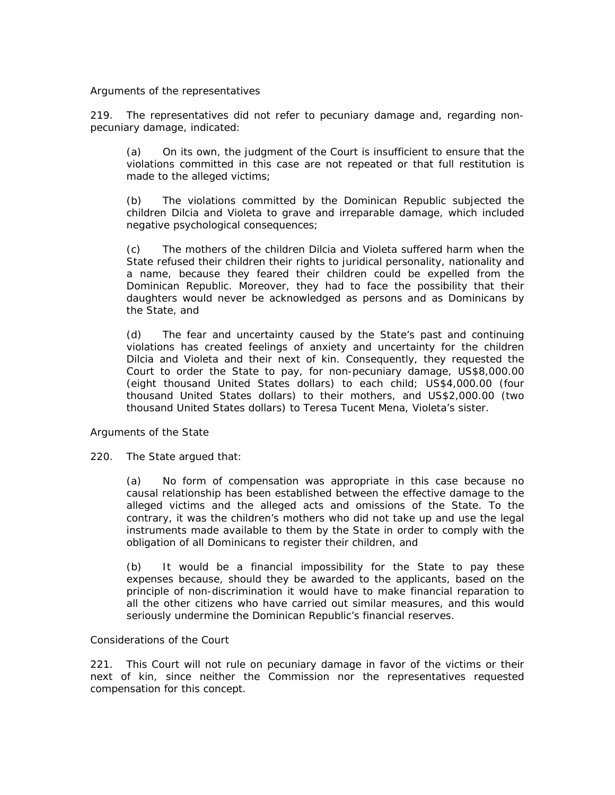### *Arguments of the representatives*

219. The representatives did not refer to pecuniary damage and, regarding nonpecuniary damage, indicated:

(a) On its own, the judgment of the Court is insufficient to ensure that the violations committed in this case are not repeated or that full restitution is made to the alleged victims;

(b) The violations committed by the Dominican Republic subjected the children Dilcia and Violeta to grave and irreparable damage, which included negative psychological consequences;

(c) The mothers of the children Dilcia and Violeta suffered harm when the State refused their children their rights to juridical personality, nationality and a name, because they feared their children could be expelled from the Dominican Republic. Moreover, they had to face the possibility that their daughters would never be acknowledged as persons and as Dominicans by the State, and

(d) The fear and uncertainty caused by the State's past and continuing violations has created feelings of anxiety and uncertainty for the children Dilcia and Violeta and their next of kin. Consequently, they requested the Court to order the State to pay, for non-pecuniary damage, US\$8,000.00 (eight thousand United States dollars) to each child; US\$4,000.00 (four thousand United States dollars) to their mothers, and US\$2,000.00 (two thousand United States dollars) to Teresa Tucent Mena, Violeta's sister.

### *Arguments of the State*

220. The State argued that:

(a) No form of compensation was appropriate in this case because no causal relationship has been established between the effective damage to the alleged victims and the alleged acts and omissions of the State. To the contrary, it was the children's mothers who did not take up and use the legal instruments made available to them by the State in order to comply with the obligation of all Dominicans to register their children, and

(b) It would be a financial impossibility for the State to pay these expenses because, should they be awarded to the applicants, based on the principle of non-discrimination it would have to make financial reparation to all the other citizens who have carried out similar measures, and this would seriously undermine the Dominican Republic's financial reserves.

## *Considerations of the Court*

221. This Court will not rule on pecuniary damage in favor of the victims or their next of kin, since neither the Commission nor the representatives requested compensation for this concept.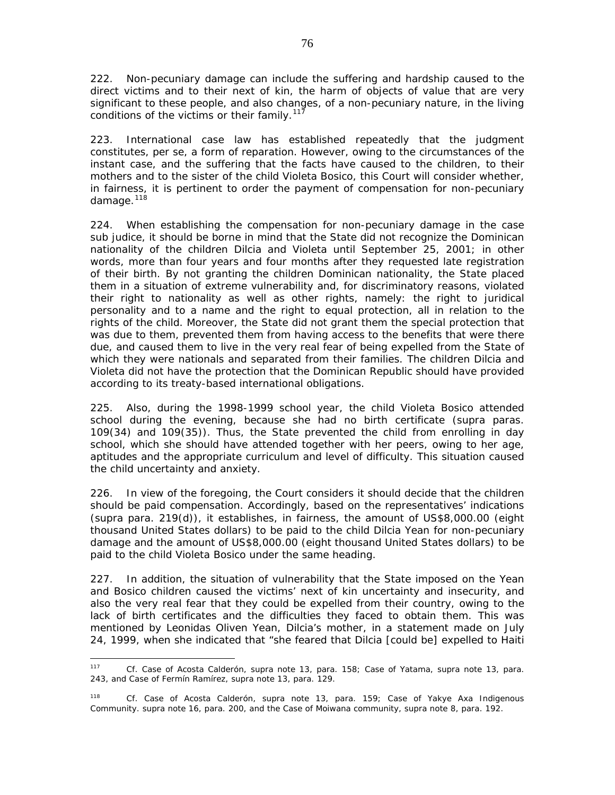222. Non-pecuniary damage can include the suffering and hardship caused to the direct victims and to their next of kin, the harm of objects of value that are very significant to these people, and also changes, of a non-pecuniary nature, in the living conditions of the victims or their family.<sup>[117](#page-75-0)</sup>

223. International case law has established repeatedly that the judgment constitutes, *per se*, a form of reparation. However, owing to the circumstances of the instant case, and the suffering that the facts have caused to the children, to their mothers and to the sister of the child Violeta Bosico, this Court will consider whether, in fairness, it is pertinent to order the payment of compensation for non-pecuniary damage. $118$ 

224. When establishing the compensation for non-pecuniary damage in the case *sub judice,* it should be borne in mind that the State did not recognize the Dominican nationality of the children Dilcia and Violeta until September 25, 2001; in other words, more than four years and four months after they requested late registration of their birth. By not granting the children Dominican nationality, the State placed them in a situation of extreme vulnerability and, for discriminatory reasons, violated their right to nationality as well as other rights, namely: the right to juridical personality and to a name and the right to equal protection, all in relation to the rights of the child. Moreover, the State did not grant them the special protection that was due to them, prevented them from having access to the benefits that were there due, and caused them to live in the very real fear of being expelled from the State of which they were nationals and separated from their families. The children Dilcia and Violeta did not have the protection that the Dominican Republic should have provided according to its treaty-based international obligations.

225. Also, during the 1998-1999 school year, the child Violeta Bosico attended school during the evening, because she had no birth certificate (*supra* paras. 109(34) and 109(35)). Thus, the State prevented the child from enrolling in day school, which she should have attended together with her peers, owing to her age, aptitudes and the appropriate curriculum and level of difficulty. This situation caused the child uncertainty and anxiety.

226. In view of the foregoing, the Court considers it should decide that the children should be paid compensation. Accordingly, based on the representatives' indications (*supra* para. 219(d)), it establishes, in fairness, the amount of US\$8,000.00 (eight thousand United States dollars) to be paid to the child Dilcia Yean for non-pecuniary damage and the amount of US\$8,000.00 (eight thousand United States dollars) to be paid to the child Violeta Bosico under the same heading.

227. In addition, the situation of vulnerability that the State imposed on the Yean and Bosico children caused the victims' next of kin uncertainty and insecurity, and also the very real fear that they could be expelled from their country, owing to the lack of birth certificates and the difficulties they faced to obtain them. This was mentioned by Leonidas Oliven Yean, Dilcia's mother, in a statement made on July 24, 1999, when she indicated that "she feared that Dilcia [could be] expelled to Haiti

<span id="page-75-0"></span><sup>117</sup> <sup>117</sup> *Cf. Case of Acosta Calderón, supra* note 13, para. 158; *Case of Yatama, supra* note 13, para. 243, and *Case of Fermín Ramírez, supra* note 13, para. 129.

<span id="page-75-1"></span><sup>118</sup> *Cf. Case of Acosta Calderón, supra* note 13, para. 159; *Case of Yakye Axa Indigenous Community. supra* note 16, para. 200, and *the Case of Moiwana community, supra* note 8, para. 192.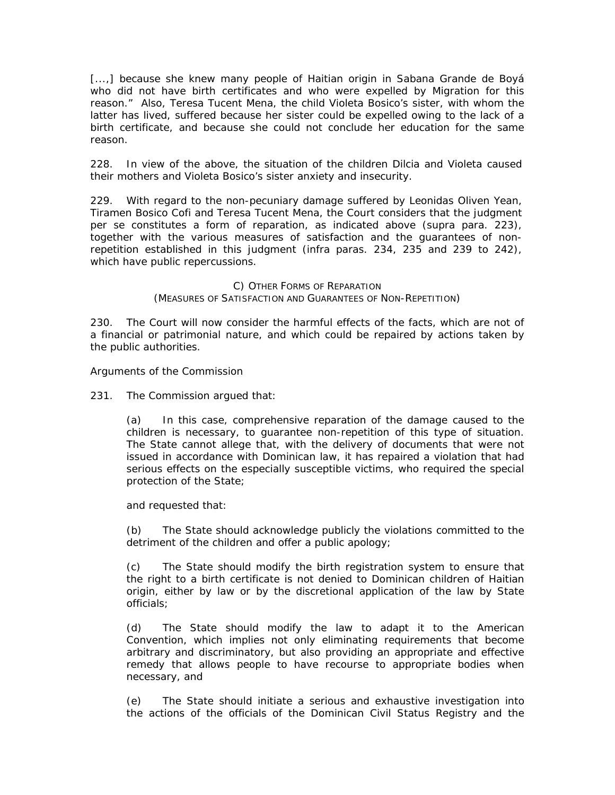[...] because she knew many people of Haitian origin in Sabana Grande de Boyá who did not have birth certificates and who were expelled by Migration for this reason." Also, Teresa Tucent Mena, the child Violeta Bosico's sister, with whom the latter has lived, suffered because her sister could be expelled owing to the lack of a birth certificate, and because she could not conclude her education for the same reason.

228. In view of the above, the situation of the children Dilcia and Violeta caused their mothers and Violeta Bosico's sister anxiety and insecurity.

229. With regard to the non-pecuniary damage suffered by Leonidas Oliven Yean, Tiramen Bosico Cofi and Teresa Tucent Mena, the Court considers that the judgment *per se* constitutes a form of reparation, as indicated above (*supra* para. 223), together with the various measures of satisfaction and the guarantees of nonrepetition established in this judgment (*infra* paras. 234, 235 and 239 to 242), which have public repercussions.

## *C) OTHER FORMS OF REPARATION (MEASURES OF SATISFACTION AND GUARANTEES OF NON-REPETITION)*

230. The Court will now consider the harmful effects of the facts, which are not of a financial or patrimonial nature, and which could be repaired by actions taken by the public authorities.

*Arguments of the Commission* 

231. The Commission argued that:

(a) In this case, comprehensive reparation of the damage caused to the children is necessary, to guarantee non-repetition of this type of situation. The State cannot allege that, with the delivery of documents that were not issued in accordance with Dominican law, it has repaired a violation that had serious effects on the especially susceptible victims, who required the special protection of the State;

and requested that:

(b) The State should acknowledge publicly the violations committed to the detriment of the children and offer a public apology;

(c) The State should modify the birth registration system to ensure that the right to a birth certificate is not denied to Dominican children of Haitian origin, either by law or by the discretional application of the law by State officials;

(d) The State should modify the law to adapt it to the American Convention, which implies not only eliminating requirements that become arbitrary and discriminatory, but also providing an appropriate and effective remedy that allows people to have recourse to appropriate bodies when necessary, and

(e) The State should initiate a serious and exhaustive investigation into the actions of the officials of the Dominican Civil Status Registry and the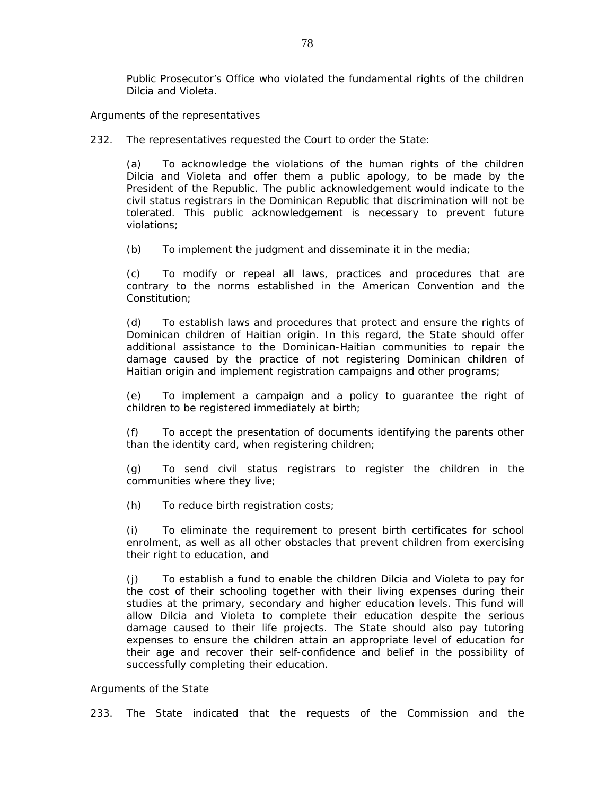Public Prosecutor's Office who violated the fundamental rights of the children Dilcia and Violeta.

#### *Arguments of the representatives*

232. The representatives requested the Court to order the State:

(a) To acknowledge the violations of the human rights of the children Dilcia and Violeta and offer them a public apology, to be made by the President of the Republic. The public acknowledgement would indicate to the civil status registrars in the Dominican Republic that discrimination will not be tolerated. This public acknowledgement is necessary to prevent future violations;

(b) To implement the judgment and disseminate it in the media;

(c) To modify or repeal all laws, practices and procedures that are contrary to the norms established in the American Convention and the Constitution;

(d) To establish laws and procedures that protect and ensure the rights of Dominican children of Haitian origin. In this regard, the State should offer additional assistance to the Dominican-Haitian communities to repair the damage caused by the practice of not registering Dominican children of Haitian origin and implement registration campaigns and other programs;

(e) To implement a campaign and a policy to guarantee the right of children to be registered immediately at birth;

(f) To accept the presentation of documents identifying the parents other than the identity card, when registering children;

(g) To send civil status registrars to register the children in the communities where they live;

(h) To reduce birth registration costs;

(i) To eliminate the requirement to present birth certificates for school enrolment, as well as all other obstacles that prevent children from exercising their right to education, and

(j) To establish a fund to enable the children Dilcia and Violeta to pay for the cost of their schooling together with their living expenses during their studies at the primary, secondary and higher education levels. This fund will allow Dilcia and Violeta to complete their education despite the serious damage caused to their life projects. The State should also pay tutoring expenses to ensure the children attain an appropriate level of education for their age and recover their self-confidence and belief in the possibility of successfully completing their education.

#### *Arguments of the State*

233. The State indicated that the requests of the Commission and the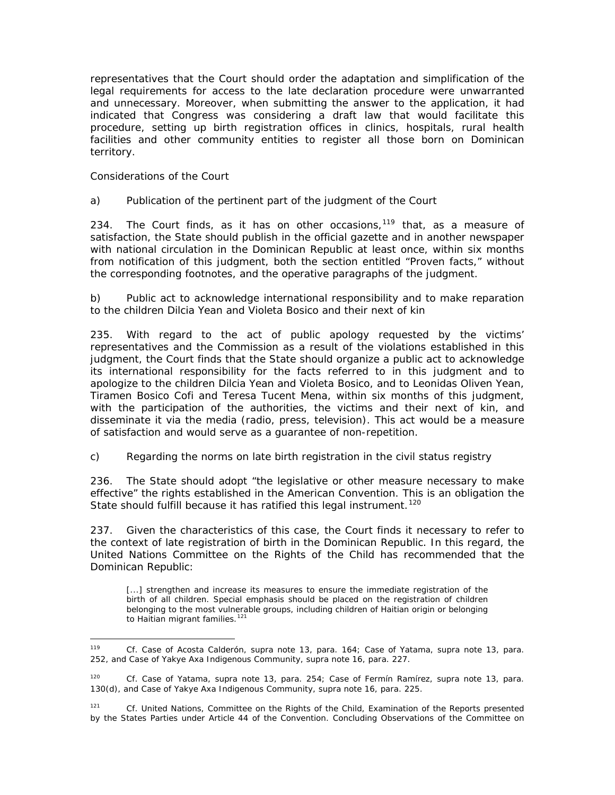representatives that the Court should order the adaptation and simplification of the legal requirements for access to the late declaration procedure were unwarranted and unnecessary. Moreover, when submitting the answer to the application, it had indicated that Congress was considering a draft law that would facilitate this procedure, setting up birth registration offices in clinics, hospitals, rural health facilities and other community entities to register all those born on Dominican territory.

## *Considerations of the Court*

## *a) Publication of the pertinent part of the judgment of the Court*

234. The Court finds, as it has on other occasions,  $119$  that, as a measure of satisfaction, the State should publish in the official gazette and in another newspaper with national circulation in the Dominican Republic at least once, within six months from notification of this judgment, both the section entitled "Proven facts," without the corresponding footnotes, and the operative paragraphs of the judgment.

## *b) Public act to acknowledge international responsibility and to make reparation to the children Dilcia Yean and Violeta Bosico and their next of kin*

235. With regard to the act of public apology requested by the victims' representatives and the Commission as a result of the violations established in this judgment, the Court finds that the State should organize a public act to acknowledge its international responsibility for the facts referred to in this judgment and to apologize to the children Dilcia Yean and Violeta Bosico, and to Leonidas Oliven Yean, Tiramen Bosico Cofi and Teresa Tucent Mena, within six months of this judgment, with the participation of the authorities, the victims and their next of kin, and disseminate it via the media (radio, press, television). This act would be a measure of satisfaction and would serve as a guarantee of non-repetition.

## c) *Regarding the norms on late birth registration in the civil status registry*

236. The State should adopt "the legislative or other measure necessary to make effective" the rights established in the American Convention. This is an obligation the State should fulfill because it has ratified this legal instrument.<sup>[120](#page-78-1)</sup>

237. Given the characteristics of this case, the Court finds it necessary to refer to the context of late registration of birth in the Dominican Republic. In this regard, the United Nations Committee on the Rights of the Child has recommended that the Dominican Republic:

[...] strengthen and increase its measures to ensure the immediate registration of the birth of all children. Special emphasis should be placed on the registration of children belonging to the most vulnerable groups, including children of Haitian origin or belonging to Haitian migrant families.<sup>[121](#page-78-2)</sup>

<span id="page-78-0"></span><sup>119</sup> <sup>119</sup> *Cf. Case of Acosta Calderón, supra* note 13, para. 164; *Case of Yatama, supra* note 13, para. 252, and *Case of Yakye Axa Indigenous Community, supra* note 16, para. 227.

<span id="page-78-1"></span><sup>120</sup> *Cf. Case of Yatama, supra* note 13, para. 254; *Case of Fermín Ramírez, supra* note 13, para. 130(d), and *Case of Yakye Axa Indigenous Community, supra* note 16, para. 225.

<span id="page-78-2"></span><sup>121</sup> *Cf.* United Nations, Committee on the Rights of the Child, Examination of the Reports presented by the States Parties under Article 44 of the Convention. Concluding Observations of the Committee on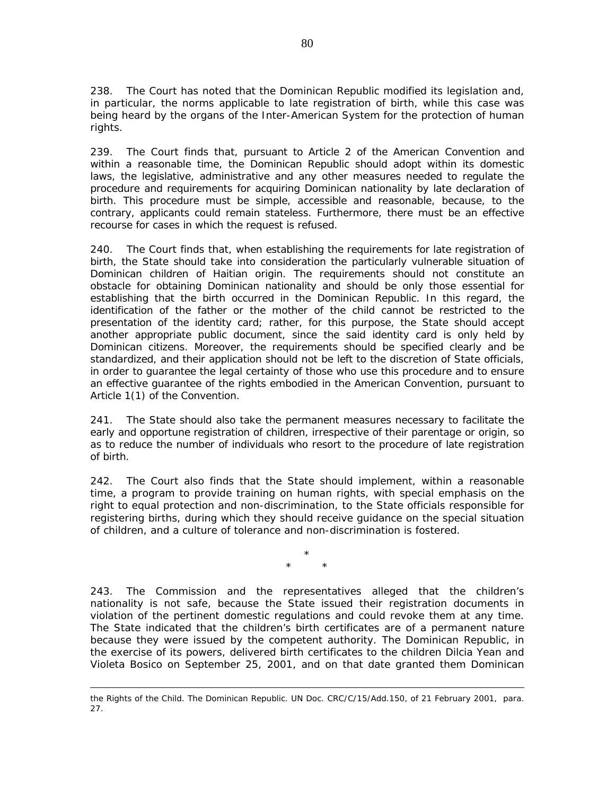238. The Court has noted that the Dominican Republic modified its legislation and, in particular, the norms applicable to late registration of birth, while this case was being heard by the organs of the Inter-American System for the protection of human rights.

239. The Court finds that, pursuant to Article 2 of the American Convention and within a reasonable time, the Dominican Republic should adopt within its domestic laws, the legislative, administrative and any other measures needed to regulate the procedure and requirements for acquiring Dominican nationality by late declaration of birth. This procedure must be simple, accessible and reasonable, because, to the contrary, applicants could remain stateless. Furthermore, there must be an effective recourse for cases in which the request is refused.

240. The Court finds that, when establishing the requirements for late registration of birth, the State should take into consideration the particularly vulnerable situation of Dominican children of Haitian origin. The requirements should not constitute an obstacle for obtaining Dominican nationality and should be only those essential for establishing that the birth occurred in the Dominican Republic. In this regard, the identification of the father or the mother of the child cannot be restricted to the presentation of the identity card; rather, for this purpose, the State should accept another appropriate public document, since the said identity card is only held by Dominican citizens. Moreover, the requirements should be specified clearly and be standardized, and their application should not be left to the discretion of State officials, in order to guarantee the legal certainty of those who use this procedure and to ensure an effective guarantee of the rights embodied in the American Convention, pursuant to Article 1(1) of the Convention.

241. The State should also take the permanent measures necessary to facilitate the early and opportune registration of children, irrespective of their parentage or origin, so as to reduce the number of individuals who resort to the procedure of late registration of birth.

242. The Court also finds that the State should implement, within a reasonable time, a program to provide training on human rights, with special emphasis on the right to equal protection and non-discrimination, to the State officials responsible for registering births, during which they should receive guidance on the special situation of children, and a culture of tolerance and non-discrimination is fostered.

> \* \* \*

243. The Commission and the representatives alleged that the children's nationality is not safe, because the State issued their registration documents in violation of the pertinent domestic regulations and could revoke them at any time. The State indicated that the children's birth certificates are of a permanent nature because they were issued by the competent authority. The Dominican Republic, in the exercise of its powers, delivered birth certificates to the children Dilcia Yean and Violeta Bosico on September 25, 2001, and on that date granted them Dominican

 $\overline{a}$ 

the Rights of the Child. The Dominican Republic. UN Doc. CRC/C/15/Add.150, of 21 February 2001, para. 27.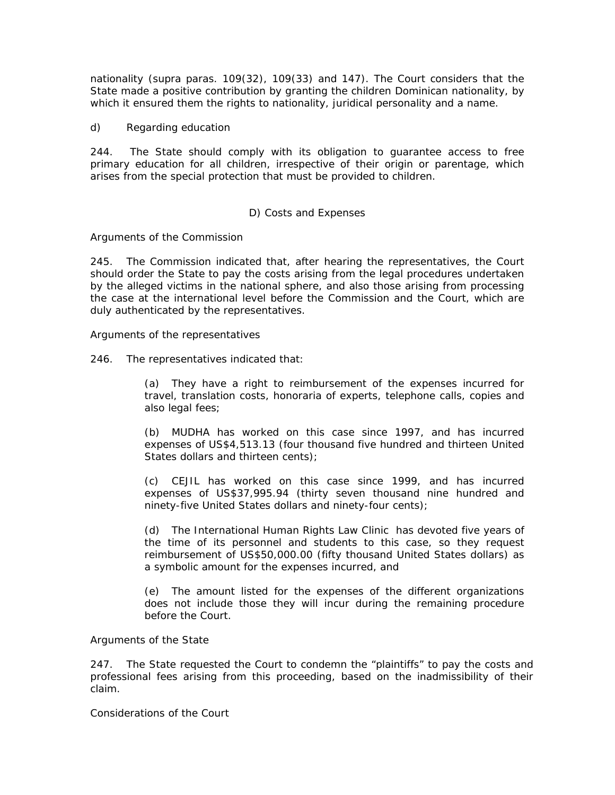nationality (*supra* paras. 109(32), 109(33) and 147). The Court considers that the State made a positive contribution by granting the children Dominican nationality, by which it ensured them the rights to nationality, juridical personality and a name.

## *d) Regarding education*

244. The State should comply with its obligation to guarantee access to free primary education for all children, irrespective of their origin or parentage, which arises from the special protection that must be provided to children.

### *D) Costs and Expenses*

### *Arguments of the Commission*

245. The Commission indicated that, after hearing the representatives, the Court should order the State to pay the costs arising from the legal procedures undertaken by the alleged victims in the national sphere, and also those arising from processing the case at the international level before the Commission and the Court, which are duly authenticated by the representatives.

### *Arguments of the representatives*

246. The representatives indicated that:

(a) They have a right to reimbursement of the expenses incurred for travel, translation costs, honoraria of experts, telephone calls, copies and also legal fees;

(b) MUDHA has worked on this case since 1997, and has incurred expenses of US\$4,513.13 (four thousand five hundred and thirteen United States dollars and thirteen cents);

(c) CEJIL has worked on this case since 1999, and has incurred expenses of US\$37,995.94 (thirty seven thousand nine hundred and ninety-five United States dollars and ninety-four cents);

(d) The International Human Rights Law Clinic has devoted five years of the time of its personnel and students to this case, so they request reimbursement of US\$50,000.00 (fifty thousand United States dollars) as a symbolic amount for the expenses incurred, and

(e) The amount listed for the expenses of the different organizations does not include those they will incur during the remaining procedure before the Court.

### *Arguments of the State*

247. The State requested the Court to condemn the "plaintiffs" to pay the costs and professional fees arising from this proceeding, based on the inadmissibility of their claim.

### *Considerations of the Court*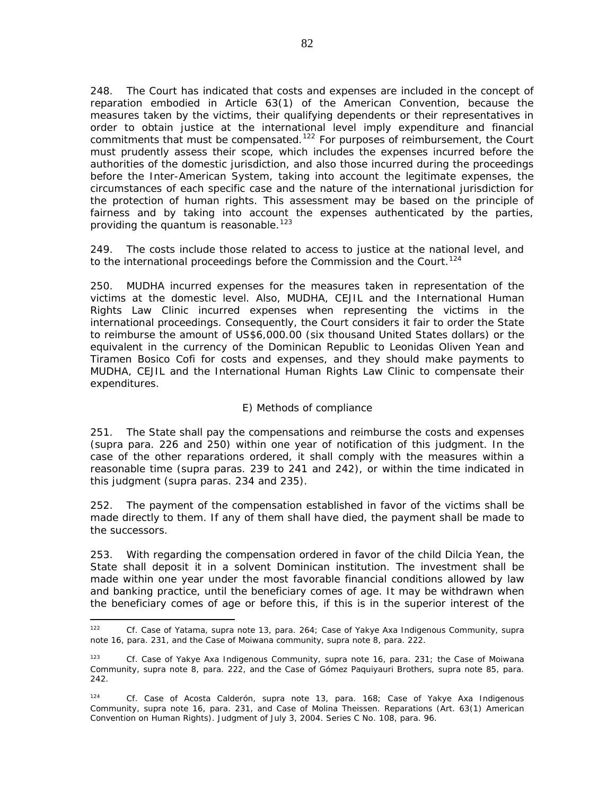248. The Court has indicated that costs and expenses are included in the concept of reparation embodied in Article 63(1) of the American Convention, because the measures taken by the victims, their qualifying dependents or their representatives in order to obtain justice at the international level imply expenditure and financial commitments that must be compensated.<sup>[122](#page-81-0)</sup> For purposes of reimbursement, the Court must prudently assess their scope, which includes the expenses incurred before the authorities of the domestic jurisdiction, and also those incurred during the proceedings before the Inter-American System, taking into account the legitimate expenses, the circumstances of each specific case and the nature of the international jurisdiction for the protection of human rights. This assessment may be based on the principle of fairness and by taking into account the expenses authenticated by the parties, providing the *quantum* is reasonable.<sup>[123](#page-81-1)</sup>

249. The costs include those related to access to justice at the national level, and to the international proceedings before the Commission and the Court.<sup>[124](#page-81-2)</sup>

250. MUDHA incurred expenses for the measures taken in representation of the victims at the domestic level. Also, MUDHA, CEJIL and the International Human Rights Law Clinic incurred expenses when representing the victims in the international proceedings. Consequently, the Court considers it fair to order the State to reimburse the amount of US\$6,000.00 (six thousand United States dollars) or the equivalent in the currency of the Dominican Republic to Leonidas Oliven Yean and Tiramen Bosico Cofi for costs and expenses, and they should make payments to MUDHA, CEJIL and the International Human Rights Law Clinic to compensate their expenditures.

## *E) Methods of compliance*

251. The State shall pay the compensations and reimburse the costs and expenses (*supra* para. 226 and 250) within one year of notification of this judgment. In the case of the other reparations ordered, it shall comply with the measures within a reasonable time (*supra* paras. 239 to 241 and 242), or within the time indicated in this judgment (*supra* paras. 234 and 235).

252. The payment of the compensation established in favor of the victims shall be made directly to them. If any of them shall have died, the payment shall be made to the successors.

253. With regarding the compensation ordered in favor of the child Dilcia Yean, the State shall deposit it in a solvent Dominican institution. The investment shall be made within one year under the most favorable financial conditions allowed by law and banking practice, until the beneficiary comes of age. It may be withdrawn when the beneficiary comes of age or before this, if this is in the superior interest of the

<span id="page-81-0"></span> $122$ <sup>122</sup> *Cf. Case of Yatama, supra* note 13, para. 264; *Case of Yakye Axa Indigenous Community, supra*  note 16, para. 231, and *the Case of Moiwana community, supra* note 8, para. 222.

<span id="page-81-1"></span><sup>123</sup> *Cf. Case of Yakye Axa Indigenous Community, supra* note 16, para. 231; *the Case of Moiwana Community, supra* note 8, para. 222, and *the Case of Gómez Paquiyauri Brothers, supra* note 85, para. 242.

<span id="page-81-2"></span><sup>124</sup> *Cf. Case of Acosta Calderón, supra* note 13, para. 168; *Case of Yakye Axa Indigenous Community, supra* note 16, para. 231, and *Case of Molina Theissen. Reparations (Art. 63(1) American Convention on Human Rights).* Judgment of July 3, 2004. Series C No. 108, para. 96.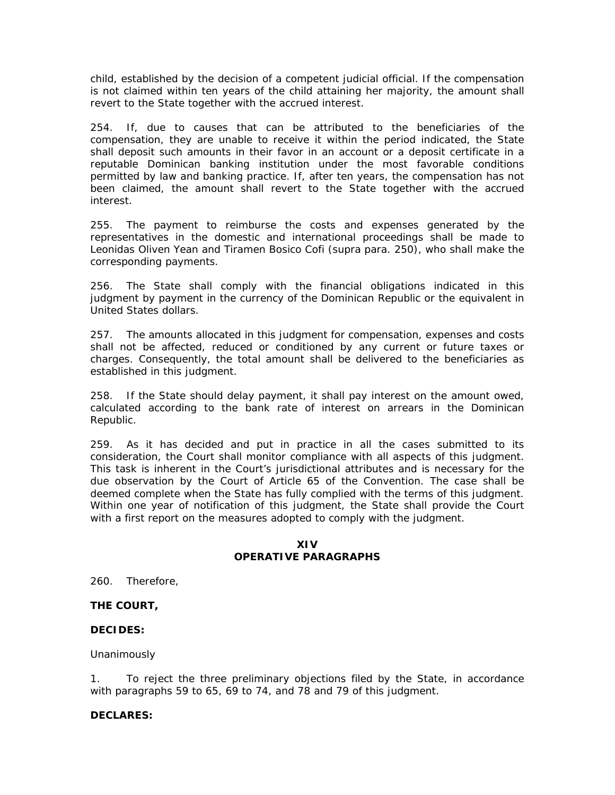child, established by the decision of a competent judicial official. If the compensation is not claimed within ten years of the child attaining her majority, the amount shall revert to the State together with the accrued interest.

254. If, due to causes that can be attributed to the beneficiaries of the compensation, they are unable to receive it within the period indicated, the State shall deposit such amounts in their favor in an account or a deposit certificate in a reputable Dominican banking institution under the most favorable conditions permitted by law and banking practice. If, after ten years, the compensation has not been claimed, the amount shall revert to the State together with the accrued interest.

255. The payment to reimburse the costs and expenses generated by the representatives in the domestic and international proceedings shall be made to Leonidas Oliven Yean and Tiramen Bosico Cofi (*supra* para. 250), who shall make the corresponding payments.

256. The State shall comply with the financial obligations indicated in this judgment by payment in the currency of the Dominican Republic or the equivalent in United States dollars.

257. The amounts allocated in this judgment for compensation, expenses and costs shall not be affected, reduced or conditioned by any current or future taxes or charges. Consequently, the total amount shall be delivered to the beneficiaries as established in this judgment.

258. If the State should delay payment, it shall pay interest on the amount owed, calculated according to the bank rate of interest on arrears in the Dominican Republic.

259. As it has decided and put in practice in all the cases submitted to its consideration, the Court shall monitor compliance with all aspects of this judgment. This task is inherent in the Court's jurisdictional attributes and is necessary for the due observation by the Court of Article 65 of the Convention. The case shall be deemed complete when the State has fully complied with the terms of this judgment. Within one year of notification of this judgment, the State shall provide the Court with a first report on the measures adopted to comply with the judgment.

### **XIV OPERATIVE PARAGRAPHS**

260. Therefore,

## **THE COURT,**

## **DECIDES:**

### Unanimously

1. To reject the three preliminary objections filed by the State, in accordance with paragraphs 59 to 65, 69 to 74, and 78 and 79 of this judgment.

### **DECLARES:**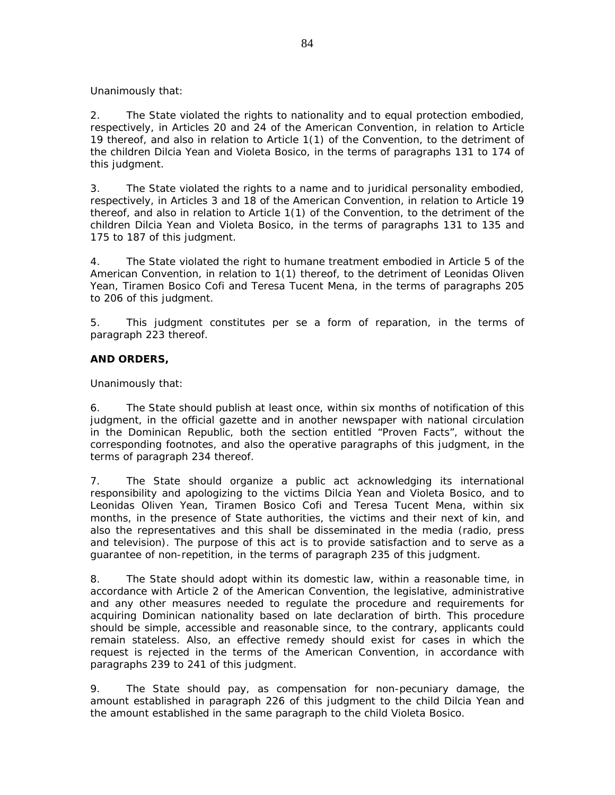Unanimously that:

2. The State violated the rights to nationality and to equal protection embodied, respectively, in Articles 20 and 24 of the American Convention, in relation to Article 19 thereof, and also in relation to Article 1(1) of the Convention, to the detriment of the children Dilcia Yean and Violeta Bosico, in the terms of paragraphs 131 to 174 of this judgment.

3. The State violated the rights to a name and to juridical personality embodied, respectively, in Articles 3 and 18 of the American Convention, in relation to Article 19 thereof, and also in relation to Article 1(1) of the Convention, to the detriment of the children Dilcia Yean and Violeta Bosico, in the terms of paragraphs 131 to 135 and 175 to 187 of this judgment.

4. The State violated the right to humane treatment embodied in Article 5 of the American Convention, in relation to 1(1) thereof, to the detriment of Leonidas Oliven Yean, Tiramen Bosico Cofi and Teresa Tucent Mena, in the terms of paragraphs 205 to 206 of this judgment.

5. This judgment constitutes *per se* a form of reparation, in the terms of paragraph 223 thereof.

# **AND ORDERS,**

Unanimously that:

6. The State should publish at least once, within six months of notification of this judgment, in the official gazette and in another newspaper with national circulation in the Dominican Republic, both the section entitled "Proven Facts", without the corresponding footnotes, and also the operative paragraphs of this judgment, in the terms of paragraph 234 thereof.

7. The State should organize a public act acknowledging its international responsibility and apologizing to the victims Dilcia Yean and Violeta Bosico, and to Leonidas Oliven Yean, Tiramen Bosico Cofi and Teresa Tucent Mena, within six months, in the presence of State authorities, the victims and their next of kin, and also the representatives and this shall be disseminated in the media (radio, press and television). The purpose of this act is to provide satisfaction and to serve as a guarantee of non-repetition, in the terms of paragraph 235 of this judgment.

8. The State should adopt within its domestic law, within a reasonable time, in accordance with Article 2 of the American Convention, the legislative, administrative and any other measures needed to regulate the procedure and requirements for acquiring Dominican nationality based on late declaration of birth. This procedure should be simple, accessible and reasonable since, to the contrary, applicants could remain stateless. Also, an effective remedy should exist for cases in which the request is rejected in the terms of the American Convention, in accordance with paragraphs 239 to 241 of this judgment.

9. The State should pay, as compensation for non-pecuniary damage, the amount established in paragraph 226 of this judgment to the child Dilcia Yean and the amount established in the same paragraph to the child Violeta Bosico.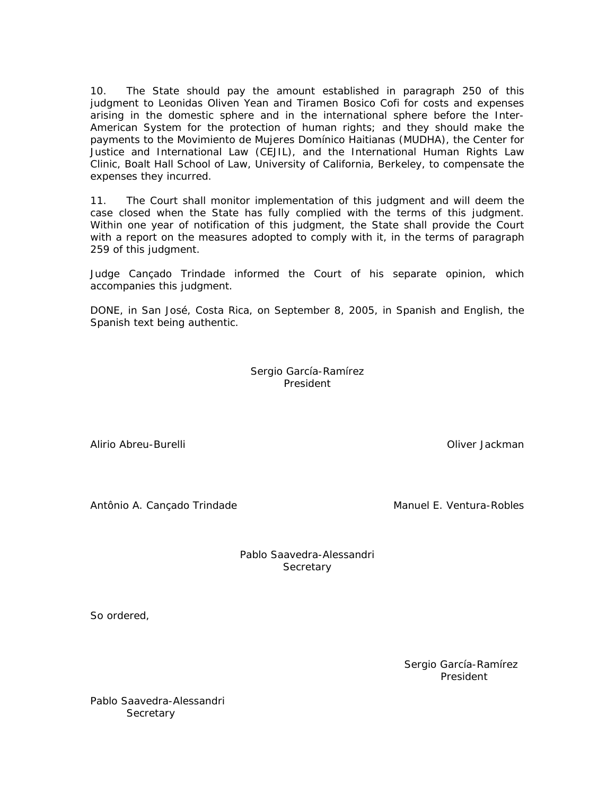10. The State should pay the amount established in paragraph 250 of this judgment to Leonidas Oliven Yean and Tiramen Bosico Cofi for costs and expenses arising in the domestic sphere and in the international sphere before the Inter-American System for the protection of human rights; and they should make the payments to the *Movimiento de Mujeres Domínico Haitianas* (MUDHA), the Center for Justice and International Law (CEJIL), and the International Human Rights Law Clinic, Boalt Hall School of Law, University of California, Berkeley, to compensate the expenses they incurred.

11. The Court shall monitor implementation of this judgment and will deem the case closed when the State has fully complied with the terms of this judgment. Within one year of notification of this judgment, the State shall provide the Court with a report on the measures adopted to comply with it, in the terms of paragraph 259 of this judgment.

Judge Cançado Trindade informed the Court of his separate opinion, which accompanies this judgment.

DONE, in San José, Costa Rica, on September 8, 2005, in Spanish and English, the Spanish text being authentic.

> Sergio García-Ramírez President

Alirio Abreu-Burelli Oliver Jackman

Antônio A. Cancado Trindade Manuel E. Ventura-Robles

Pablo Saavedra-Alessandri **Secretary** 

So ordered,

 Sergio García-Ramírez **President** *President President* 

Pablo Saavedra-Alessandri **Secretary**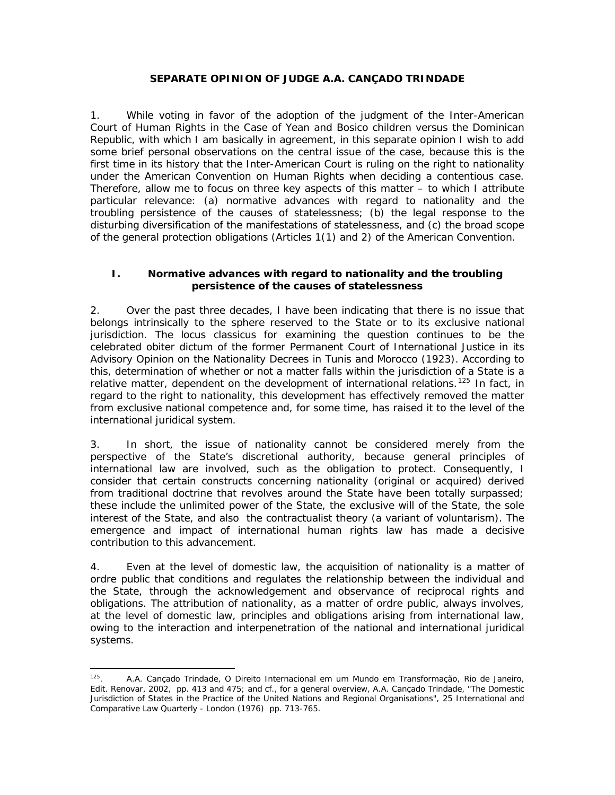### **SEPARATE OPINION OF JUDGE A.A. CANÇADO TRINDADE**

1. While voting in favor of the adoption of the judgment of the Inter-American Court of Human Rights in *the Case of Yean and Bosico children versus the Dominican Republic*, with which I am basically in agreement, in this separate opinion I wish to add some brief personal observations on the central issue of the case, because this is the first time in its history that the Inter-American Court is ruling on the right to nationality under the American Convention on Human Rights when deciding a contentious case. Therefore, allow me to focus on three key aspects of this matter – to which I attribute particular relevance: (a) normative advances with regard to nationality and the troubling persistence of the causes of statelessness; (b) the legal response to the disturbing diversification of the manifestations of statelessness, and (c) the broad scope of the general protection obligations (Articles 1(1) and 2) of the American Convention.

## **I. Normative advances with regard to nationality and the troubling persistence of the causes of statelessness**

2. Over the past three decades, I have been indicating that there is no issue that belongs intrinsically to the sphere reserved to the State or to its exclusive national jurisdiction. The *locus classicus* for examining the question continues to be the celebrated *obiter dictum* of the former Permanent Court of International Justice in its Advisory Opinion on the *Nationality Decrees in Tunis and Morocco* (1923). According to this, determination of whether or not a matter falls within the jurisdiction of a State is a relative matter, dependent on the development of international relations.<sup>[125](#page-86-0)</sup> In fact, in regard to the right to nationality, this development has effectively removed the matter from exclusive national competence and, for some time, has raised it to the level of the international juridical system.

3. In short, the issue of nationality cannot be considered merely from the perspective of the State's discretional authority, because general principles of international law are involved, such as the obligation to protect. Consequently, I consider that certain constructs concerning nationality (original or acquired) derived from traditional doctrine that revolves around the State have been totally surpassed; these include the unlimited power of the State, the exclusive will of the State, the sole interest of the State, and also the contractualist theory (a variant of voluntarism). The emergence and impact of international human rights law has made a decisive contribution to this advancement.

4. Even at the level of domestic law, the acquisition of nationality is a matter of *ordre public* that conditions and regulates the relationship between the individual and the State, through the acknowledgement and observance of reciprocal rights and obligations. The attribution of nationality, as a matter of *ordre public,* always involves, at the level of domestic law, principles and obligations arising from international law, owing to the interaction and interpenetration of the national and international juridical systems.

<span id="page-86-0"></span> $125 -$ 125. A.A. Cançado Trindade, *O Direito Internacional em um Mundo em Transformação*, Rio de Janeiro, Edit. Renovar, 2002, pp. 413 and 475; and cf., for a general overview, A.A. Cançado Trindade, "The Domestic Jurisdiction of States in the Practice of the United Nations and Regional Organisations", 25 *International and Comparative Law Quarterly* - London (1976) pp. 713-765.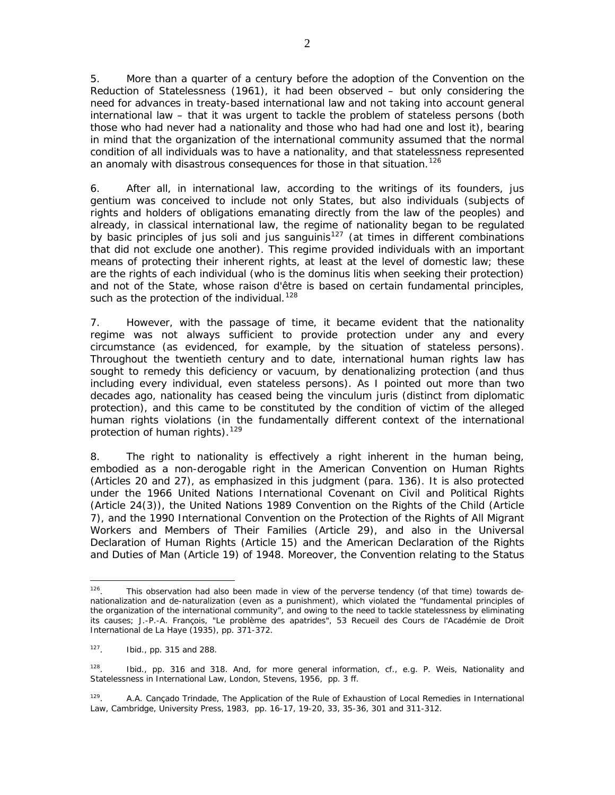5. More than a quarter of a century before the adoption of the Convention on the Reduction of Statelessness (1961), it had been observed – but only considering the need for advances in treaty-based international law and not taking into account general international law – that it was urgent to tackle the problem of stateless persons (both those who had never had a nationality and those who had had one and lost it), bearing in mind that the organization of the international community assumed that the normal condition of all individuals was to have a nationality, and that statelessness represented an anomaly with disastrous consequences for those in that situation.<sup>[126](#page-87-0)</sup>

6. After all, in international law, according to the writings of its founders, *jus gentium* was conceived to include not only States, but also individuals (subjects of rights and holders of obligations emanating directly from the *law of the peoples*) and already, in classical international law, the regime of nationality began to be regulated by basic principles of *jus soli* and *jus sanguinis*[127](#page-87-1) (at times in different combinations that did not exclude one another). This regime provided individuals with an important means of protecting their inherent rights, at least at the level of domestic law; these are the rights of each individual (who is the *dominus litis* when seeking their protection) and not of the State, whose *raison d'être* is based on certain fundamental principles, such as the protection of the individual.<sup>[128](#page-87-2)</sup>

7. However, with the passage of time, it became evident that the nationality regime was not always sufficient to provide protection under any and every circumstance (as evidenced, for example, by the situation of stateless persons). Throughout the twentieth century and to date, international human rights law has sought to remedy this deficiency or vacuum, by denationalizing protection (and thus including every individual, even stateless persons). As I pointed out more than two decades ago, nationality has ceased being the *vinculum juris* (distinct from diplomatic protection), and this came to be constituted by the *condition of victim* of the alleged human rights violations (in the fundamentally different context of the international protection of human rights).  $129$ 

8. The right to nationality is effectively a right inherent in the human being, embodied as a non-derogable right in the American Convention on Human Rights (Articles 20 and 27), as emphasized in this judgment (para. 136). It is also protected under the 1966 United Nations International Covenant on Civil and Political Rights (Article 24(3)), the United Nations 1989 Convention on the Rights of the Child (Article 7), and the 1990 International Convention on the Protection of the Rights of All Migrant Workers and Members of Their Families (Article 29), and also in the Universal Declaration of Human Rights (Article 15) and the American Declaration of the Rights and Duties of Man (Article 19) of 1948. Moreover, the Convention relating to the Status

<span id="page-87-0"></span><sup>126</sup> This observation had also been made in view of the perverse tendency (of that time) towards denationalization and de-naturalization (even as a punishment), which violated the "fundamental principles of the organization of the international community", and owing to the need to tackle statelessness by eliminating its causes; J.-P.-A. François, "Le problème des apatrides", 53 *Recueil des Cours de l'Académie de Droit International de La Haye* (1935), pp. 371-372.

<span id="page-87-1"></span><sup>127.</sup> *Ibid*., pp. 315 and 288.

<span id="page-87-2"></span><sup>128.</sup> *Ibid*., pp. 316 and 318. And, for more general information, cf., e.g. P. Weis*, Nationality and Statelessness in International Law*, London, Stevens, 1956, pp. 3 ff.

<span id="page-87-3"></span><sup>129.</sup> A.A. Cançado Trindade, *The Application of the Rule of Exhaustion of Local Remedies in International Law*, Cambridge, University Press, 1983, pp. 16-17, 19-20, 33, 35-36, 301 and 311-312.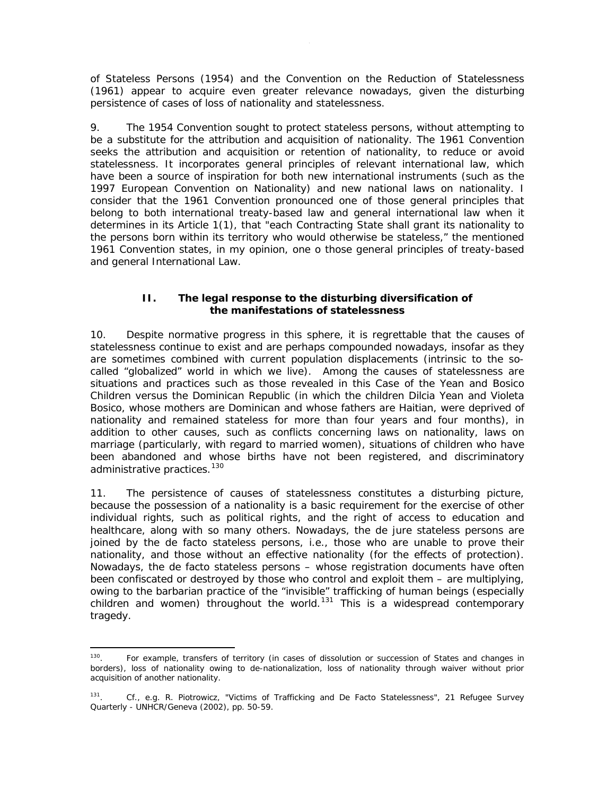of Stateless Persons (1954) and the Convention on the Reduction of Statelessness (1961) appear to acquire even greater relevance nowadays, given the disturbing persistence of cases of loss of nationality and statelessness.

9. The 1954 Convention sought to protect stateless persons, without attempting to be a substitute for the attribution and acquisition of nationality. The 1961 Convention seeks the attribution and acquisition or retention of nationality, to reduce or avoid statelessness. It incorporates general principles of relevant international law, which have been a source of inspiration for both new international instruments (such as the 1997 European Convention on Nationality) and new national laws on nationality. I consider that the 1961 Convention pronounced one of those general principles that belong to both international treaty-based law and general international law when it determines in its Article 1(1), that "each Contracting State shall grant its nationality to the persons born within its territory who would otherwise be stateless," the mentioned 1961 Convention states, in my opinion, one o those general principles of treaty-based and general International Law.

## **II. The legal response to the disturbing diversification of the manifestations of statelessness**

10. Despite normative progress in this sphere, it is regrettable that the causes of statelessness continue to exist and are perhaps compounded nowadays, insofar as they are sometimes combined with current population displacements (intrinsic to the socalled "globalized" world in which we live). Among the causes of statelessness are situations and practices such as those revealed in this *Case of the Yean and Bosico Children versus the Dominican Republic* (in which the children Dilcia Yean and Violeta Bosico, whose mothers are Dominican and whose fathers are Haitian, were deprived of nationality and remained stateless for more than four years and four months), in addition to other causes, such as conflicts concerning laws on nationality, laws on marriage (particularly, with regard to married women), situations of children who have been abandoned and whose births have not been registered, and discriminatory administrative practices.<sup>[130](#page-88-0)</sup>

11. The persistence of causes of statelessness constitutes a disturbing picture, because the possession of a nationality is a basic requirement for the exercise of other individual rights, such as political rights, and the right of access to education and healthcare, along with so many others. Nowadays, the *de jure* stateless persons are joined by the *de facto* stateless persons, i.e., those who are unable to prove their nationality, and those without an effective nationality (for the effects of protection). Nowadays, the *de facto* stateless persons – whose registration documents have often been confiscated or destroyed by those who control and exploit them – are multiplying, owing to the barbarian practice of the "invisible" trafficking of human beings (especially children and women) throughout the world.<sup>[131](#page-88-1)</sup> This is a widespread contemporary tragedy.

<span id="page-88-0"></span> $\overline{a}$ <sup>130</sup>. For example, transfers of territory (in cases of dissolution or succession of States and changes in borders), loss of nationality owing to de-nationalization, loss of nationality through waiver without prior acquisition of another nationality.

<span id="page-88-1"></span><sup>131.</sup> *Cf*., e.g. R. Piotrowicz, "Victims of Trafficking and *De Facto* Statelessness", 21 *Refugee Survey Quarterly* - UNHCR/Geneva (2002), pp. 50-59.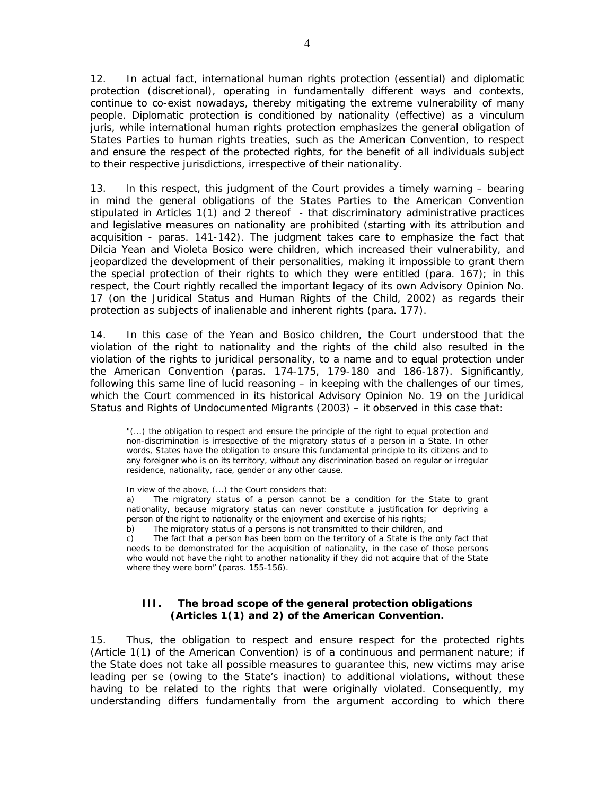12. In actual fact, international human rights protection (essential) and diplomatic protection (discretional), operating in fundamentally different ways and contexts, continue to co-exist nowadays, thereby mitigating the extreme vulnerability of many people. Diplomatic protection is conditioned by nationality (effective) as a *vinculum juris*, while international human rights protection emphasizes the general obligation of States Parties to human rights treaties, such as the American Convention, to respect and ensure the respect of the protected rights, for the benefit of all individuals subject to their respective jurisdictions, irrespective of their *nationality*.

13. ln this respect, this judgment of the Court provides a timely warning – bearing in mind the general obligations of the States Parties to the American Convention stipulated in Articles 1(1) and 2 thereof - that discriminatory administrative practices and legislative measures on nationality are prohibited (starting with its attribution and acquisition - paras. 141-142). The judgment takes care to emphasize the fact that Dilcia Yean and Violeta Bosico were children, which increased their vulnerability, and jeopardized the development of their personalities, making it impossible to grant them the special protection of their rights to which they were entitled (para. 167); in this respect, the Court rightly recalled the important legacy of its own Advisory Opinion No. 17 (on *the Juridical Status and Human Rights of the Child*, 2002) as regards their protection as subjects of inalienable and inherent rights (para. 177).

14. In this case of the *Yean and Bosico children*, the Court understood that the violation of the right to nationality and the rights of the child also resulted in the violation of the rights to juridical personality, to a name and to equal protection under the American Convention (paras. 174-175, 179-180 and 186-187). Significantly, following this same line of lucid reasoning – in keeping with the challenges of our times, which the Court commenced in its historical Advisory Opinion No. 19 on *the Juridical Status and Rights of Undocumented Migrants* (2003) – it observed in this case that:

"(...) the obligation to respect and ensure the principle of the right to equal protection and non-discrimination is irrespective of the migratory status of a person in a State. In other words, States have the obligation to ensure this fundamental principle to its citizens and to any foreigner who is on its territory, without any discrimination based on regular or irregular residence, nationality, race, gender or any other cause.

In view of the above, (...) the Court considers that:

a) The migratory status of a person cannot be a condition for the State to grant nationality, because migratory status can never constitute a justification for depriving a person of the right to nationality or the enjoyment and exercise of his rights;<br>b) The migratory status of a persons is not transmitted to their children.

The migratory status of a persons is not transmitted to their children, and

c) The fact that a person has been born on the territory of a State is the only fact that needs to be demonstrated for the acquisition of nationality, in the case of those persons who would not have the right to another nationality if they did not acquire that of the State where they were born" (paras. 155-156).

## **III. The broad scope of the general protection obligations (Articles 1(1) and 2) of the American Convention.**

15. Thus, the obligation to respect and ensure respect for the protected rights (Article 1(1) of the American Convention) is of a continuous and permanent nature; if the State does not take all possible measures to guarantee this, new victims may arise leading *per se* (owing to the State's inaction) to additional violations, without these having to be related to the rights that were originally violated. Consequently, my understanding differs fundamentally from the argument according to which there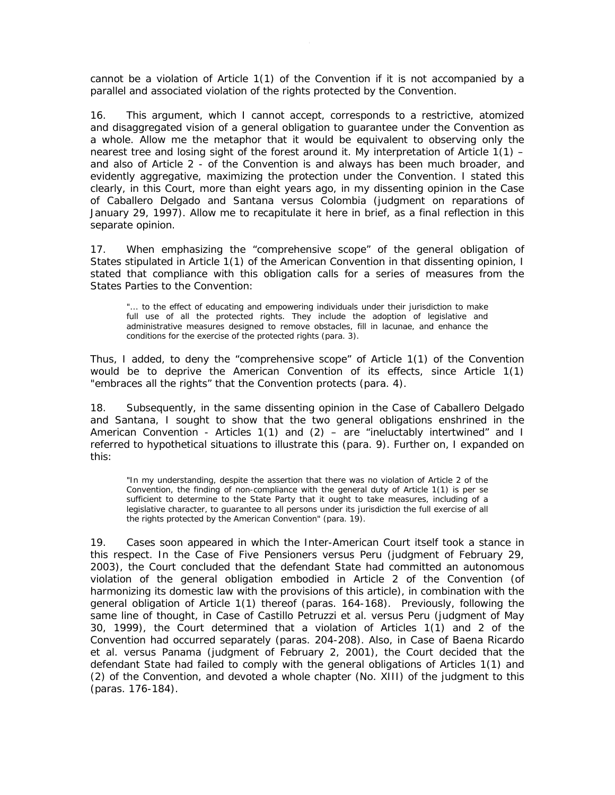cannot be a violation of Article 1(1) of the Convention if it is not accompanied by a parallel and associated violation of the rights protected by the Convention.

16. This argument, which I cannot accept, corresponds to a restrictive, atomized and disaggregated vision of a general obligation to guarantee under the Convention as a whole. Allow me the metaphor that it would be equivalent to observing only the nearest tree and losing sight of the forest around it. My interpretation of Article  $1(1)$  – and also of Article 2 - of the Convention is and always has been much broader, and evidently aggregative, maximizing the protection under the Convention. I stated this clearly, in this Court, more than eight years ago, in my dissenting opinion in the *Case of Caballero Delgado and Santana versus Colombia* (judgment on reparations of January 29, 1997). Allow me to recapitulate it here in brief, as a final reflection in this separate opinion.

17. When emphasizing the "comprehensive scope" of the general obligation of States stipulated in Article 1(1) of the American Convention in that dissenting opinion, I stated that compliance with this obligation calls for a series of measures from the States Parties to the Convention:

"... to the effect of educating and empowering individuals under their jurisdiction to make full use of all the protected rights. They include the adoption of legislative and administrative measures designed to remove obstacles, fill in lacunae, and enhance the conditions for the exercise of the protected rights (para. 3).

Thus, I added, to deny the "comprehensive scope" of Article 1(1) of the Convention would be to deprive the American Convention of its effects, since Article 1(1) "embraces all the rights" that the Convention protects (para. 4).

18. Subsequently, in the same dissenting opinion in the *Case of Caballero Delgado and Santana*, I sought to show that the two general obligations enshrined in the American Convention - Articles 1(1) and (2) – are "ineluctably intertwined" and I referred to hypothetical situations to illustrate this (para. 9). Further on, I expanded on this:

"In my understanding, despite the assertion that there was no violation of Article 2 of the Convention, the finding of non-compliance with the general duty of Article 1(1) is *per se* sufficient to determine to the State Party that it ought to take measures, including of a legislative character, *to guarantee* to all persons under its jurisdiction the full exercise of all the rights protected by the American Convention" (para. 19).

19. Cases soon appeared in which the Inter-American Court itself took a stance in this respect. In the *Case of Five Pensioners versus Peru* (judgment of February 29, 2003), the Court concluded that the defendant State had committed an autonomous violation of the general obligation embodied in Article 2 of the Convention (of harmonizing its domestic law with the provisions of this article), in combination with the general obligation of Article 1(1) thereof (paras. 164-168). Previously, following the same line of thought, in *Case of Castillo Petruzzi et al. versus Peru* (judgment of May 30, 1999), the Court determined that a violation of Articles 1(1) and 2 of the Convention had occurred *separately* (paras. 204-208). Also, in *Case of Baena Ricardo et al. versus Panama* (judgment of February 2, 2001), the Court decided that the defendant State had failed to comply with the general obligations of Articles 1(1) and (2) of the Convention, and devoted a whole chapter (No. XIII) of the judgment to this (paras. 176-184).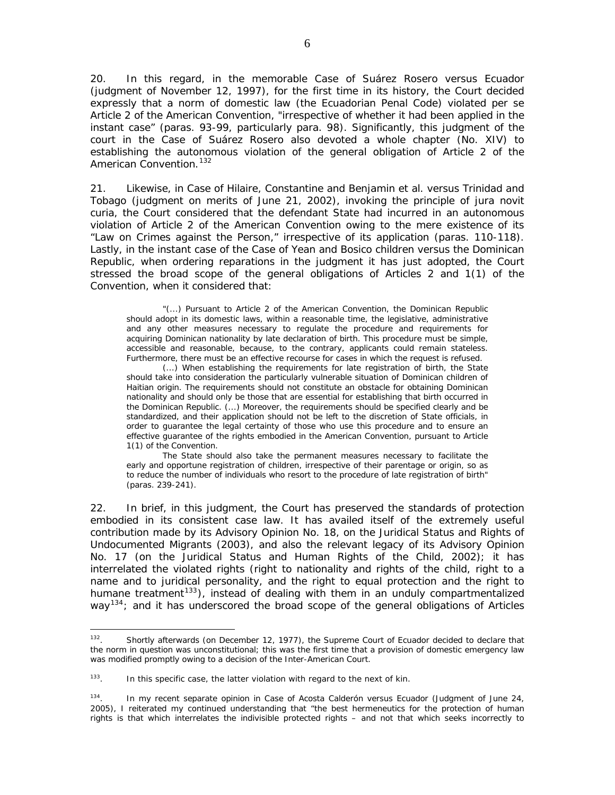20. In this regard, in the memorable *Case of Suárez Rosero versus Ecuador* (judgment of November 12, 1997), for the first time in its history, the Court decided expressly that a norm of domestic law (the Ecuadorian Penal Code) violated *per se* Article 2 of the American Convention, "*irrespective of whether it had been applied in the instant case"* (paras. 93-99, particularly para. 98). Significantly, this judgment of the court in the *Case of Suárez Rosero* also devoted a whole chapter (No. XIV) to establishing the autonomous violation of the general obligation of Article 2 of the American Convention.<sup>[132](#page-91-0)</sup>

21. Likewise, in *Case of Hilaire, Constantine and Benjamin et al. versus Trinidad and Tobago* (judgment on merits of June 21, 2002), invoking the principle of *jura novit curia*, the Court considered that the defendant State had incurred in an autonomous violation of Article 2 of the American Convention owing to the mere existence of its "Law on Crimes against the Person," *irrespective of its application* (paras. 110-118). Lastly, in the instant case of the *Case of Yean and Bosico children versus the Dominican Republic*, when ordering reparations in the judgment it has just adopted, the Court stressed the broad scope of the general obligations of Articles 2 and 1(1) of the Convention, when it considered that:

"(...) Pursuant to Article 2 of the American Convention, the Dominican Republic should adopt in its domestic laws, within a reasonable time, the legislative, administrative and any other measures necessary to regulate the procedure and requirements for acquiring Dominican nationality by late declaration of birth. This procedure must be simple, accessible and reasonable, because, to the contrary, applicants could remain stateless. Furthermore, there must be an effective recourse for cases in which the request is refused.

(...) When establishing the requirements for late registration of birth, the State should take into consideration the particularly vulnerable situation of Dominican children of Haitian origin. The requirements should not constitute an obstacle for obtaining Dominican nationality and should only be those that are essential for establishing that birth occurred in the Dominican Republic. (...) Moreover, the requirements should be specified clearly and be standardized, and their application should not be left to the discretion of State officials, in order to guarantee the legal certainty of those who use this procedure and to ensure an effective guarantee of the rights embodied in the American Convention, pursuant to Article 1(1) of the Convention.

The State should also take the permanent measures necessary to facilitate the early and opportune registration of children, irrespective of their parentage or origin, so as to reduce the number of individuals who resort to the procedure of late registration of birth" (paras. 239-241).

22. In brief, in this judgment, the Court has preserved the standards of protection embodied in its *consistent case law*. It has availed itself of the extremely useful contribution made by its Advisory Opinion No. 18, on the *Juridical Status and Rights of Undocumented Migrants* (2003), and also the relevant legacy of its Advisory Opinion No. 17 (on the *Juridical Status and Human Rights of the Child,* 2002); it has interrelated the violated rights (right to nationality and rights of the child, right to a name and to juridical personality, and the right to equal protection and the right to humane treatment<sup>[133](#page-91-1)</sup>), instead of dealing with them in an unduly compartmentalized way<sup>[134](#page-91-2)</sup>; and it has underscored the broad scope of the general obligations of Articles

 $\overline{a}$ 

<span id="page-91-0"></span><sup>&</sup>lt;sup>132</sup>. Shortly afterwards (on December 12, 1977), the Supreme Court of Ecuador decided to declare that the norm in question was unconstitutional; this was the first time that a provision of domestic emergency law was modified promptly owing to a decision of the Inter-American Court.

<span id="page-91-1"></span><sup>&</sup>lt;sup>133</sup>. In this specific case, the latter violation with regard to the next of kin.

<span id="page-91-2"></span><sup>134.</sup> In my recent separate opinion in *Case of Acosta Calderón versus Ecuador* (Judgment of June 24, 2005), I reiterated my continued understanding that "the best hermeneutics for the protection of human rights is that which interrelates the indivisible protected rights – and not that which seeks incorrectly to